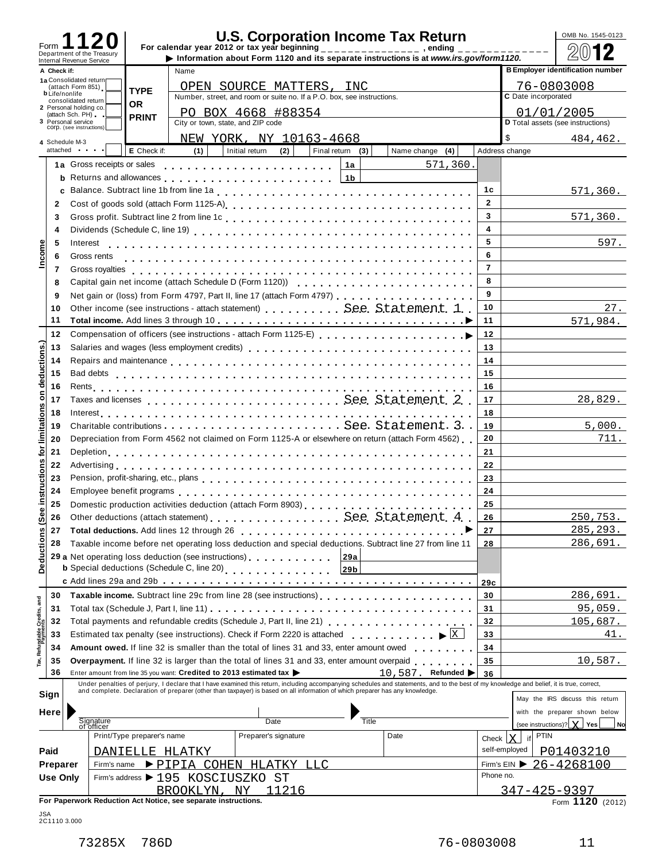| Form                         |                 |                                               |                            |                                                                |                                                                                                   |                  |                                                                                                                                                                                                                                   |                         |                     | OMB No. 1545-0123                                |
|------------------------------|-----------------|-----------------------------------------------|----------------------------|----------------------------------------------------------------|---------------------------------------------------------------------------------------------------|------------------|-----------------------------------------------------------------------------------------------------------------------------------------------------------------------------------------------------------------------------------|-------------------------|---------------------|--------------------------------------------------|
|                              |                 | Department of the Treasury                    |                            |                                                                |                                                                                                   |                  | Information about Form 1120 and its separate instructions is at www.irs.gov/form1120.                                                                                                                                             |                         |                     |                                                  |
|                              | A Check if:     | Internal Revenue Service                      |                            | Name                                                           |                                                                                                   |                  |                                                                                                                                                                                                                                   |                         |                     | <b>B Employer identification number</b>          |
|                              |                 | 1a Consolidated return                        |                            |                                                                | OPEN SOURCE MATTERS, INC                                                                          |                  |                                                                                                                                                                                                                                   |                         |                     | 76-0803008                                       |
|                              |                 | (attach Form 851)<br><b>b</b> Life/nonlife    | <b>TYPE</b>                |                                                                | Number, street, and room or suite no. If a P.O. box, see instructions.                            |                  |                                                                                                                                                                                                                                   |                         | C Date incorporated |                                                  |
|                              |                 | consolidated return<br>2 Personal holding co. | <b>OR</b>                  |                                                                |                                                                                                   |                  |                                                                                                                                                                                                                                   |                         |                     |                                                  |
|                              |                 | (attach Sch. PH).<br>3 Personal service       | <b>PRINT</b>               | City or town, state, and ZIP code                              | PO BOX 4668 #88354                                                                                |                  |                                                                                                                                                                                                                                   |                         |                     | 01/01/2005<br>D Total assets (see instructions)  |
|                              |                 | COrp. (see instructions)                      |                            |                                                                |                                                                                                   |                  |                                                                                                                                                                                                                                   |                         |                     |                                                  |
|                              |                 | 4 Schedule M-3                                |                            |                                                                | NEW YORK, NY 10163-4668                                                                           |                  |                                                                                                                                                                                                                                   |                         | \$                  | 484,462.                                         |
|                              |                 | attached                                      | E Check if:                | (1)                                                            | Initial return<br>(2)                                                                             | Final return (3) | Name change $(4)$                                                                                                                                                                                                                 |                         | Address change      |                                                  |
|                              |                 | 1a Gross receipts or sales                    |                            |                                                                |                                                                                                   | 1a               | 571,360.                                                                                                                                                                                                                          |                         |                     |                                                  |
|                              |                 |                                               |                            |                                                                |                                                                                                   | 1 <sub>b</sub>   |                                                                                                                                                                                                                                   |                         |                     |                                                  |
|                              |                 |                                               |                            |                                                                |                                                                                                   |                  |                                                                                                                                                                                                                                   | 1c                      |                     | 571,360.                                         |
|                              | $\mathbf{2}$    |                                               |                            |                                                                |                                                                                                   |                  |                                                                                                                                                                                                                                   | $\overline{2}$          |                     |                                                  |
|                              | 3               |                                               |                            |                                                                |                                                                                                   |                  |                                                                                                                                                                                                                                   | $\overline{\mathbf{3}}$ |                     | 571,360.                                         |
|                              | 4               |                                               |                            |                                                                |                                                                                                   |                  |                                                                                                                                                                                                                                   | $\overline{\mathbf{4}}$ |                     |                                                  |
|                              | -5              | Interest                                      |                            |                                                                |                                                                                                   |                  |                                                                                                                                                                                                                                   | 5                       |                     | 597.                                             |
| Income                       | 6               | Gross rents                                   |                            |                                                                |                                                                                                   |                  |                                                                                                                                                                                                                                   | 6                       |                     |                                                  |
|                              | 7               | Gross royalties                               |                            |                                                                |                                                                                                   |                  |                                                                                                                                                                                                                                   | $\overline{7}$          |                     |                                                  |
|                              | 8               |                                               |                            |                                                                |                                                                                                   |                  |                                                                                                                                                                                                                                   | 8                       |                     |                                                  |
|                              | 9               |                                               |                            |                                                                |                                                                                                   |                  | Net gain or (loss) from Form 4797, Part II, line 17 (attach Form 4797)                                                                                                                                                            | 9                       |                     |                                                  |
|                              | 10              |                                               |                            |                                                                |                                                                                                   |                  | Other income (see instructions - attach statement)  See. Statement. 1.                                                                                                                                                            | 10                      |                     | 27.                                              |
|                              | 11              |                                               |                            |                                                                |                                                                                                   |                  |                                                                                                                                                                                                                                   | 11                      |                     | 571,984.                                         |
|                              | 12              |                                               |                            |                                                                |                                                                                                   |                  |                                                                                                                                                                                                                                   | 12                      |                     |                                                  |
|                              | 13              |                                               |                            |                                                                |                                                                                                   |                  |                                                                                                                                                                                                                                   | 13                      |                     |                                                  |
| deductions.)                 | 14              |                                               |                            |                                                                |                                                                                                   |                  |                                                                                                                                                                                                                                   | 14                      |                     |                                                  |
|                              | 15              | Bad debts                                     |                            |                                                                |                                                                                                   |                  |                                                                                                                                                                                                                                   | 15                      |                     |                                                  |
|                              | 16              |                                               |                            |                                                                |                                                                                                   |                  |                                                                                                                                                                                                                                   | 16                      |                     |                                                  |
| $\epsilon$                   | 17              |                                               |                            |                                                                |                                                                                                   |                  | Taxes and licenses  See Statement 2.                                                                                                                                                                                              | 17                      |                     | 28,829.                                          |
|                              |                 |                                               |                            |                                                                |                                                                                                   |                  |                                                                                                                                                                                                                                   |                         |                     |                                                  |
|                              | 18              |                                               |                            |                                                                |                                                                                                   |                  |                                                                                                                                                                                                                                   | 18                      |                     |                                                  |
|                              | 19              |                                               |                            |                                                                |                                                                                                   |                  |                                                                                                                                                                                                                                   | 19                      |                     | 5,000.                                           |
|                              | 20              |                                               |                            |                                                                |                                                                                                   |                  | Depreciation from Form 4562 not claimed on Form 1125-A or elsewhere on return (attach Form 4562)                                                                                                                                  | 20                      |                     | 711.                                             |
|                              | 21              |                                               |                            |                                                                |                                                                                                   |                  |                                                                                                                                                                                                                                   | 21                      |                     |                                                  |
|                              | 22              |                                               |                            |                                                                |                                                                                                   |                  |                                                                                                                                                                                                                                   | 22                      |                     |                                                  |
|                              | 23              |                                               |                            |                                                                |                                                                                                   |                  |                                                                                                                                                                                                                                   | 23                      |                     |                                                  |
| instructions for limitations | 24              |                                               |                            |                                                                |                                                                                                   |                  |                                                                                                                                                                                                                                   | 24                      |                     |                                                  |
| $\pmb{\omega}$               | 25              |                                               |                            |                                                                |                                                                                                   |                  |                                                                                                                                                                                                                                   | 25                      |                     |                                                  |
| తీ                           | 26              |                                               |                            |                                                                |                                                                                                   |                  | Other deductions (attach statement)See Statement. 4.                                                                                                                                                                              | 26                      |                     | <u>250,753.</u>                                  |
|                              | 27              |                                               |                            | Total deductions. Add lines 12 through 26                      |                                                                                                   |                  |                                                                                                                                                                                                                                   | 27                      |                     | 285, 293.                                        |
|                              | 28              |                                               |                            |                                                                |                                                                                                   |                  | Taxable income before net operating loss deduction and special deductions. Subtract line 27 from line 11                                                                                                                          | 28                      |                     | 286,691.                                         |
| Deductions                   |                 |                                               |                            |                                                                | 29 a Net operating loss deduction (see instructions)                                              | <b>29a</b>       |                                                                                                                                                                                                                                   |                         |                     |                                                  |
|                              |                 |                                               |                            | <b>b</b> Special deductions (Schedule C, line 20)              | .                                                                                                 | 29b              |                                                                                                                                                                                                                                   |                         |                     |                                                  |
|                              |                 |                                               |                            |                                                                |                                                                                                   |                  |                                                                                                                                                                                                                                   | 29c                     |                     |                                                  |
|                              | 30              |                                               |                            |                                                                |                                                                                                   |                  |                                                                                                                                                                                                                                   | 30                      |                     | 286,691.                                         |
|                              | 31              |                                               |                            |                                                                |                                                                                                   |                  |                                                                                                                                                                                                                                   | 31                      |                     | 95,059.                                          |
|                              | 32              |                                               |                            |                                                                | Total payments and refundable credits (Schedule J, Part II, line 21)                              |                  |                                                                                                                                                                                                                                   | 32                      |                     | 105,687.                                         |
|                              | 33              |                                               |                            |                                                                | Estimated tax penalty (see instructions). Check if Form 2220 is attached                          |                  | X <br>and a range of a range of a                                                                                                                                                                                                 | 33                      |                     | 41.                                              |
| Refundable Credits, and      | 34              |                                               |                            |                                                                | Amount owed. If line 32 is smaller than the total of lines 31 and 33, enter amount owed           |                  |                                                                                                                                                                                                                                   | 34                      |                     |                                                  |
|                              | 35              |                                               |                            |                                                                | <b>Overpayment.</b> If line 32 is larger than the total of lines 31 and 33, enter amount overpaid |                  | and a range and a                                                                                                                                                                                                                 | 35                      |                     | 10,587.                                          |
|                              | 36              |                                               |                            |                                                                | Enter amount from line 35 you want: Credited to 2013 estimated tax                                |                  | 10,587. Refunded >                                                                                                                                                                                                                | 36                      |                     |                                                  |
|                              |                 |                                               |                            |                                                                |                                                                                                   |                  |                                                                                                                                                                                                                                   |                         |                     |                                                  |
|                              | Sign            |                                               |                            |                                                                |                                                                                                   |                  | Under penalties of perjury, I declare that I have examined this return, including accompanying schedules and statements, and to the best of my knowledge and belief, it is true, correct,<br>and complete. Declaration of prepare |                         |                     | May the IRS discuss this return                  |
|                              |                 |                                               |                            |                                                                |                                                                                                   |                  |                                                                                                                                                                                                                                   |                         |                     |                                                  |
|                              | Here            | Signature                                     |                            |                                                                | Date                                                                                              | Title            |                                                                                                                                                                                                                                   |                         |                     | with the preparer shown below                    |
|                              |                 | of officer                                    | Print/Type preparer's name |                                                                | Preparer's signature                                                                              |                  | Date                                                                                                                                                                                                                              |                         |                     | (see instructions)? $X$ Yes<br>No<br><b>PTIN</b> |
|                              |                 |                                               |                            |                                                                |                                                                                                   |                  |                                                                                                                                                                                                                                   | Check                   | if<br>X             |                                                  |
|                              | Paid            |                                               | DANIELLE HLATKY            |                                                                |                                                                                                   |                  |                                                                                                                                                                                                                                   |                         | self-employed       | P01403210                                        |
|                              | Preparer        | Firm's name                                   |                            |                                                                | PIPIA COHEN HLATKY LLC                                                                            |                  |                                                                                                                                                                                                                                   |                         | Firm's $EIN$        | 26-4268100                                       |
|                              | <b>Use Only</b> |                                               |                            | Firm's address > 195 KOSCIUSZKO ST                             |                                                                                                   |                  |                                                                                                                                                                                                                                   | Phone no.               |                     |                                                  |
|                              |                 |                                               |                            | BROOKLYN, NY                                                   | 11216                                                                                             |                  |                                                                                                                                                                                                                                   |                         |                     | $347 - 425 - 9397$                               |
|                              |                 |                                               |                            | For Paperwork Reduction Act Notice, see separate instructions. |                                                                                                   |                  |                                                                                                                                                                                                                                   |                         |                     | Form 1120 (2012)                                 |

JSA 2C1110 3.000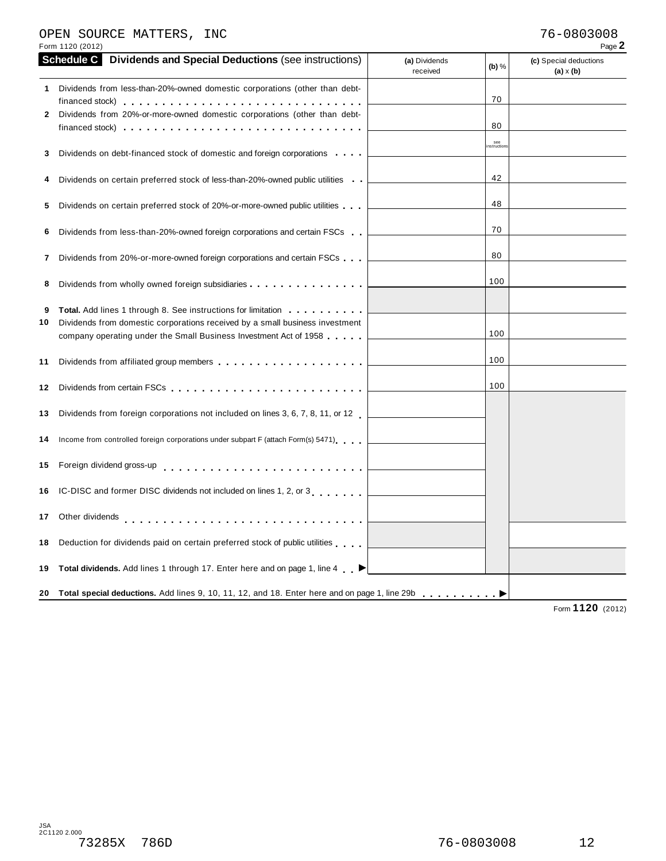#### OPEN SOURCE MATTERS, INC 76-0803008

|    | <b>Schedule C</b> Dividends and Special Deductions (see instructions)                                            | (a) Dividends<br>received | (b) %             | (c) Special deductions<br>$(a) \times (b)$ |
|----|------------------------------------------------------------------------------------------------------------------|---------------------------|-------------------|--------------------------------------------|
| 1. | Dividends from less-than-20%-owned domestic corporations (other than debt-                                       |                           | 70                |                                            |
| 2  | Dividends from 20%-or-more-owned domestic corporations (other than debt-                                         |                           |                   |                                            |
|    | financed stock) $\cdots$ , $\cdots$ , $\cdots$ , $\cdots$ , $\cdots$ , $\cdots$ , $\cdots$ , $\cdots$ , $\cdots$ |                           | 80                |                                            |
| 3  | Dividends on debt-financed stock of domestic and foreign corporations                                            |                           | see<br>nstruction |                                            |
|    |                                                                                                                  |                           |                   |                                            |
| 4  | Dividends on certain preferred stock of less-than-20%-owned public utilities                                     |                           | 42                |                                            |
| 5  | Dividends on certain preferred stock of 20%-or-more-owned public utilities                                       |                           | 48                |                                            |
| 6  | Dividends from less-than-20%-owned foreign corporations and certain FSCs                                         |                           | 70                |                                            |
| 7  | Dividends from 20%-or-more-owned foreign corporations and certain FSCs                                           |                           | 80                |                                            |
| 8  | Dividends from wholly owned foreign subsidiaries                                                                 |                           | 100               |                                            |
|    |                                                                                                                  |                           |                   |                                            |
| 9  | <b>Total.</b> Add lines 1 through 8. See instructions for limitation <b></b>                                     |                           |                   |                                            |
| 10 | Dividends from domestic corporations received by a small business investment                                     |                           | 100               |                                            |
|    | company operating under the Small Business Investment Act of 1958                                                |                           |                   |                                            |
| 11 |                                                                                                                  |                           | 100               |                                            |
|    |                                                                                                                  |                           | 100               |                                            |
|    | 13 Dividends from foreign corporations not included on lines 3, 6, 7, 8, 11, or 12                               |                           |                   |                                            |
|    | 14 Income from controlled foreign corporations under subpart F (attach Form(s) 5471)                             |                           |                   |                                            |
|    | 15 Foreign dividend gross-up entitled and according to the set of the set of the set of the set of the set of    |                           |                   |                                            |
|    | 16 IC-DISC and former DISC dividends not included on lines 1, 2, or 3                                            |                           |                   |                                            |
|    | 17 Other dividends                                                                                               |                           |                   |                                            |
|    | 18 Deduction for dividends paid on certain preferred stock of public utilities                                   |                           |                   |                                            |
|    | 19 Total dividends. Add lines 1 through 17. Enter here and on page 1, line 4                                     |                           |                   |                                            |
|    | 20 Total special deductions. Add lines 9, 10, 11, 12, and 18. Enter here and on page 1, line 29b                 |                           |                   |                                            |
|    |                                                                                                                  |                           |                   |                                            |

Form **1120** (2012)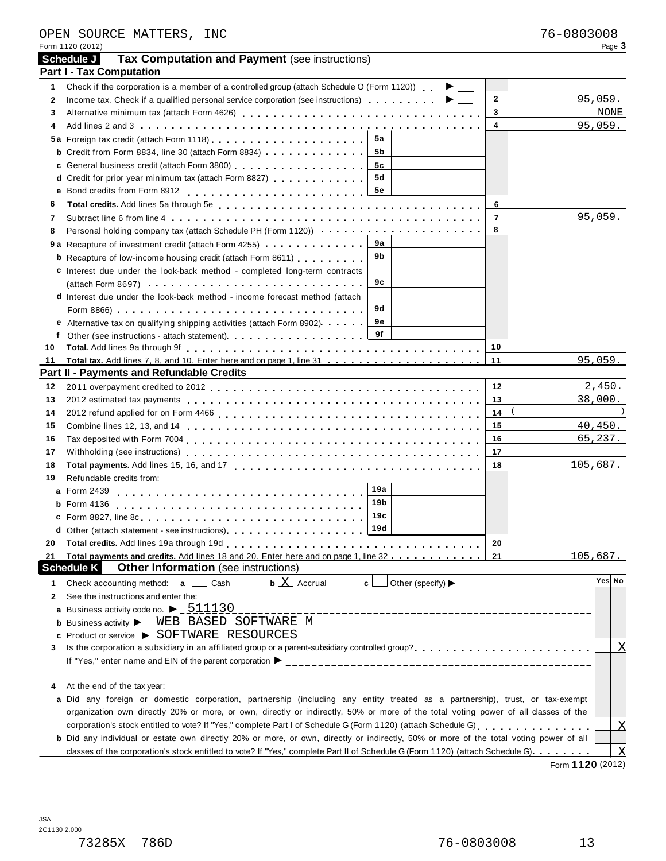| <b>Tax Computation and Payment (see instructions)</b><br>Schedule J<br><b>Part I - Tax Computation</b><br>Check if the corporation is a member of a controlled group (attach Schedule O (Form 1120)).<br>1.<br>▶<br>$\mathbf{2}$<br>Income tax. Check if a qualified personal service corporation (see instructions) $\ldots \ldots$<br>2<br>3<br>3<br>4<br>4<br>5а<br><b>b</b> Credit from Form 8834, line 30 (attach Form 8834) $\cdots$ $\cdots$<br>5b<br>c General business credit (attach Form 3800) [1] [1] Contract Contract Contract Contract Contract Contract Contract Contract Contract Contract Contract Contract Contract Contract Contract Contract Contract Contract Contrac<br>5с<br><b>5d</b><br>d Credit for prior year minimum tax (attach Form 8827)<br>5e<br>Total credits. Add lines 5a through 5e enterpretation of the state of the state of the state of the state of the state of the state of the state of the state of the state of the state of the state of the state of the state<br>6<br>6<br>$\overline{7}$<br>Subtract line 6 from line 4 et al., et al., et al., et al., et al., et al., et al., et al., et al., et al., et<br>7<br>Personal holding company tax (attach Schedule PH (Form 1120))<br>8<br>8<br>9а<br>9b<br><b>b</b> Recapture of low-income housing credit (attach Form 8611)<br>c Interest due under the look-back method - completed long-term contracts<br>9c<br>$(\text{attach Form } 8697) \ldots \ldots \ldots \ldots \ldots \ldots \ldots \ldots \ldots \ldots$<br>d Interest due under the look-back method - income forecast method (attach | 95,059.<br>NONE<br>95,059. |
|---------------------------------------------------------------------------------------------------------------------------------------------------------------------------------------------------------------------------------------------------------------------------------------------------------------------------------------------------------------------------------------------------------------------------------------------------------------------------------------------------------------------------------------------------------------------------------------------------------------------------------------------------------------------------------------------------------------------------------------------------------------------------------------------------------------------------------------------------------------------------------------------------------------------------------------------------------------------------------------------------------------------------------------------------------------------------------------------------------------------------------------------------------------------------------------------------------------------------------------------------------------------------------------------------------------------------------------------------------------------------------------------------------------------------------------------------------------------------------------------------------------------------------------------------------------------------------------------------------|----------------------------|
|                                                                                                                                                                                                                                                                                                                                                                                                                                                                                                                                                                                                                                                                                                                                                                                                                                                                                                                                                                                                                                                                                                                                                                                                                                                                                                                                                                                                                                                                                                                                                                                                         |                            |
|                                                                                                                                                                                                                                                                                                                                                                                                                                                                                                                                                                                                                                                                                                                                                                                                                                                                                                                                                                                                                                                                                                                                                                                                                                                                                                                                                                                                                                                                                                                                                                                                         |                            |
|                                                                                                                                                                                                                                                                                                                                                                                                                                                                                                                                                                                                                                                                                                                                                                                                                                                                                                                                                                                                                                                                                                                                                                                                                                                                                                                                                                                                                                                                                                                                                                                                         |                            |
|                                                                                                                                                                                                                                                                                                                                                                                                                                                                                                                                                                                                                                                                                                                                                                                                                                                                                                                                                                                                                                                                                                                                                                                                                                                                                                                                                                                                                                                                                                                                                                                                         |                            |
|                                                                                                                                                                                                                                                                                                                                                                                                                                                                                                                                                                                                                                                                                                                                                                                                                                                                                                                                                                                                                                                                                                                                                                                                                                                                                                                                                                                                                                                                                                                                                                                                         |                            |
|                                                                                                                                                                                                                                                                                                                                                                                                                                                                                                                                                                                                                                                                                                                                                                                                                                                                                                                                                                                                                                                                                                                                                                                                                                                                                                                                                                                                                                                                                                                                                                                                         |                            |
|                                                                                                                                                                                                                                                                                                                                                                                                                                                                                                                                                                                                                                                                                                                                                                                                                                                                                                                                                                                                                                                                                                                                                                                                                                                                                                                                                                                                                                                                                                                                                                                                         |                            |
|                                                                                                                                                                                                                                                                                                                                                                                                                                                                                                                                                                                                                                                                                                                                                                                                                                                                                                                                                                                                                                                                                                                                                                                                                                                                                                                                                                                                                                                                                                                                                                                                         |                            |
|                                                                                                                                                                                                                                                                                                                                                                                                                                                                                                                                                                                                                                                                                                                                                                                                                                                                                                                                                                                                                                                                                                                                                                                                                                                                                                                                                                                                                                                                                                                                                                                                         |                            |
|                                                                                                                                                                                                                                                                                                                                                                                                                                                                                                                                                                                                                                                                                                                                                                                                                                                                                                                                                                                                                                                                                                                                                                                                                                                                                                                                                                                                                                                                                                                                                                                                         |                            |
|                                                                                                                                                                                                                                                                                                                                                                                                                                                                                                                                                                                                                                                                                                                                                                                                                                                                                                                                                                                                                                                                                                                                                                                                                                                                                                                                                                                                                                                                                                                                                                                                         |                            |
|                                                                                                                                                                                                                                                                                                                                                                                                                                                                                                                                                                                                                                                                                                                                                                                                                                                                                                                                                                                                                                                                                                                                                                                                                                                                                                                                                                                                                                                                                                                                                                                                         |                            |
|                                                                                                                                                                                                                                                                                                                                                                                                                                                                                                                                                                                                                                                                                                                                                                                                                                                                                                                                                                                                                                                                                                                                                                                                                                                                                                                                                                                                                                                                                                                                                                                                         | 95,059.                    |
|                                                                                                                                                                                                                                                                                                                                                                                                                                                                                                                                                                                                                                                                                                                                                                                                                                                                                                                                                                                                                                                                                                                                                                                                                                                                                                                                                                                                                                                                                                                                                                                                         |                            |
|                                                                                                                                                                                                                                                                                                                                                                                                                                                                                                                                                                                                                                                                                                                                                                                                                                                                                                                                                                                                                                                                                                                                                                                                                                                                                                                                                                                                                                                                                                                                                                                                         |                            |
|                                                                                                                                                                                                                                                                                                                                                                                                                                                                                                                                                                                                                                                                                                                                                                                                                                                                                                                                                                                                                                                                                                                                                                                                                                                                                                                                                                                                                                                                                                                                                                                                         |                            |
|                                                                                                                                                                                                                                                                                                                                                                                                                                                                                                                                                                                                                                                                                                                                                                                                                                                                                                                                                                                                                                                                                                                                                                                                                                                                                                                                                                                                                                                                                                                                                                                                         |                            |
|                                                                                                                                                                                                                                                                                                                                                                                                                                                                                                                                                                                                                                                                                                                                                                                                                                                                                                                                                                                                                                                                                                                                                                                                                                                                                                                                                                                                                                                                                                                                                                                                         |                            |
|                                                                                                                                                                                                                                                                                                                                                                                                                                                                                                                                                                                                                                                                                                                                                                                                                                                                                                                                                                                                                                                                                                                                                                                                                                                                                                                                                                                                                                                                                                                                                                                                         |                            |
| 9d                                                                                                                                                                                                                                                                                                                                                                                                                                                                                                                                                                                                                                                                                                                                                                                                                                                                                                                                                                                                                                                                                                                                                                                                                                                                                                                                                                                                                                                                                                                                                                                                      |                            |
| 9е<br>e Alternative tax on qualifying shipping activities (attach Form 8902)                                                                                                                                                                                                                                                                                                                                                                                                                                                                                                                                                                                                                                                                                                                                                                                                                                                                                                                                                                                                                                                                                                                                                                                                                                                                                                                                                                                                                                                                                                                            |                            |
| 9f<br>f                                                                                                                                                                                                                                                                                                                                                                                                                                                                                                                                                                                                                                                                                                                                                                                                                                                                                                                                                                                                                                                                                                                                                                                                                                                                                                                                                                                                                                                                                                                                                                                                 |                            |
| 10<br>10                                                                                                                                                                                                                                                                                                                                                                                                                                                                                                                                                                                                                                                                                                                                                                                                                                                                                                                                                                                                                                                                                                                                                                                                                                                                                                                                                                                                                                                                                                                                                                                                |                            |
| 11<br>11                                                                                                                                                                                                                                                                                                                                                                                                                                                                                                                                                                                                                                                                                                                                                                                                                                                                                                                                                                                                                                                                                                                                                                                                                                                                                                                                                                                                                                                                                                                                                                                                | 95,059.                    |
| <b>Part II - Payments and Refundable Credits</b><br><u> 1989 - Andrea Andrew Maria (h. 1989).</u>                                                                                                                                                                                                                                                                                                                                                                                                                                                                                                                                                                                                                                                                                                                                                                                                                                                                                                                                                                                                                                                                                                                                                                                                                                                                                                                                                                                                                                                                                                       |                            |
| 12<br>12                                                                                                                                                                                                                                                                                                                                                                                                                                                                                                                                                                                                                                                                                                                                                                                                                                                                                                                                                                                                                                                                                                                                                                                                                                                                                                                                                                                                                                                                                                                                                                                                | 2,450.                     |
| 13<br>13                                                                                                                                                                                                                                                                                                                                                                                                                                                                                                                                                                                                                                                                                                                                                                                                                                                                                                                                                                                                                                                                                                                                                                                                                                                                                                                                                                                                                                                                                                                                                                                                | 38,000.                    |
| 14<br>14                                                                                                                                                                                                                                                                                                                                                                                                                                                                                                                                                                                                                                                                                                                                                                                                                                                                                                                                                                                                                                                                                                                                                                                                                                                                                                                                                                                                                                                                                                                                                                                                |                            |
| 15<br>15                                                                                                                                                                                                                                                                                                                                                                                                                                                                                                                                                                                                                                                                                                                                                                                                                                                                                                                                                                                                                                                                                                                                                                                                                                                                                                                                                                                                                                                                                                                                                                                                | 40,450.                    |
| 16<br>16                                                                                                                                                                                                                                                                                                                                                                                                                                                                                                                                                                                                                                                                                                                                                                                                                                                                                                                                                                                                                                                                                                                                                                                                                                                                                                                                                                                                                                                                                                                                                                                                | 65, 237.                   |
| 17<br>17                                                                                                                                                                                                                                                                                                                                                                                                                                                                                                                                                                                                                                                                                                                                                                                                                                                                                                                                                                                                                                                                                                                                                                                                                                                                                                                                                                                                                                                                                                                                                                                                |                            |
| 18<br>18                                                                                                                                                                                                                                                                                                                                                                                                                                                                                                                                                                                                                                                                                                                                                                                                                                                                                                                                                                                                                                                                                                                                                                                                                                                                                                                                                                                                                                                                                                                                                                                                | 105,687.                   |
| Refundable credits from:<br>19<br>19a                                                                                                                                                                                                                                                                                                                                                                                                                                                                                                                                                                                                                                                                                                                                                                                                                                                                                                                                                                                                                                                                                                                                                                                                                                                                                                                                                                                                                                                                                                                                                                   |                            |
| a Form 2439<br>19 <sub>b</sub>                                                                                                                                                                                                                                                                                                                                                                                                                                                                                                                                                                                                                                                                                                                                                                                                                                                                                                                                                                                                                                                                                                                                                                                                                                                                                                                                                                                                                                                                                                                                                                          |                            |
| <b>b</b> Form 4136<br>19c                                                                                                                                                                                                                                                                                                                                                                                                                                                                                                                                                                                                                                                                                                                                                                                                                                                                                                                                                                                                                                                                                                                                                                                                                                                                                                                                                                                                                                                                                                                                                                               |                            |
| 19d                                                                                                                                                                                                                                                                                                                                                                                                                                                                                                                                                                                                                                                                                                                                                                                                                                                                                                                                                                                                                                                                                                                                                                                                                                                                                                                                                                                                                                                                                                                                                                                                     |                            |
| d Other (attach statement - see instructions).                                                                                                                                                                                                                                                                                                                                                                                                                                                                                                                                                                                                                                                                                                                                                                                                                                                                                                                                                                                                                                                                                                                                                                                                                                                                                                                                                                                                                                                                                                                                                          |                            |
| 20<br>20<br>Total payments and credits. Add lines 18 and 20. Enter here and on page 1, line 32 21                                                                                                                                                                                                                                                                                                                                                                                                                                                                                                                                                                                                                                                                                                                                                                                                                                                                                                                                                                                                                                                                                                                                                                                                                                                                                                                                                                                                                                                                                                       | 105,687.                   |
| 21<br>Other Information (see instructions)<br><b>Schedule K</b>                                                                                                                                                                                                                                                                                                                                                                                                                                                                                                                                                                                                                                                                                                                                                                                                                                                                                                                                                                                                                                                                                                                                                                                                                                                                                                                                                                                                                                                                                                                                         |                            |
| $\mathbf{b}$ $\lfloor \mathbf{X} \rfloor$ Accrual<br>Cash<br>Other (specify) $\blacktriangleright$ ________________________<br>Check accounting method: a<br>c l<br>1                                                                                                                                                                                                                                                                                                                                                                                                                                                                                                                                                                                                                                                                                                                                                                                                                                                                                                                                                                                                                                                                                                                                                                                                                                                                                                                                                                                                                                   | Yes No                     |
| See the instructions and enter the:<br>2                                                                                                                                                                                                                                                                                                                                                                                                                                                                                                                                                                                                                                                                                                                                                                                                                                                                                                                                                                                                                                                                                                                                                                                                                                                                                                                                                                                                                                                                                                                                                                |                            |
| a Business activity code no. $\blacktriangleright$ $\underline{\phantom{0}511130}$                                                                                                                                                                                                                                                                                                                                                                                                                                                                                                                                                                                                                                                                                                                                                                                                                                                                                                                                                                                                                                                                                                                                                                                                                                                                                                                                                                                                                                                                                                                      |                            |
|                                                                                                                                                                                                                                                                                                                                                                                                                                                                                                                                                                                                                                                                                                                                                                                                                                                                                                                                                                                                                                                                                                                                                                                                                                                                                                                                                                                                                                                                                                                                                                                                         |                            |
| c                                                                                                                                                                                                                                                                                                                                                                                                                                                                                                                                                                                                                                                                                                                                                                                                                                                                                                                                                                                                                                                                                                                                                                                                                                                                                                                                                                                                                                                                                                                                                                                                       |                            |
| 3                                                                                                                                                                                                                                                                                                                                                                                                                                                                                                                                                                                                                                                                                                                                                                                                                                                                                                                                                                                                                                                                                                                                                                                                                                                                                                                                                                                                                                                                                                                                                                                                       | $\mathbf X$                |
|                                                                                                                                                                                                                                                                                                                                                                                                                                                                                                                                                                                                                                                                                                                                                                                                                                                                                                                                                                                                                                                                                                                                                                                                                                                                                                                                                                                                                                                                                                                                                                                                         |                            |
|                                                                                                                                                                                                                                                                                                                                                                                                                                                                                                                                                                                                                                                                                                                                                                                                                                                                                                                                                                                                                                                                                                                                                                                                                                                                                                                                                                                                                                                                                                                                                                                                         |                            |
| At the end of the tax year:                                                                                                                                                                                                                                                                                                                                                                                                                                                                                                                                                                                                                                                                                                                                                                                                                                                                                                                                                                                                                                                                                                                                                                                                                                                                                                                                                                                                                                                                                                                                                                             |                            |
| a Did any foreign or domestic corporation, partnership (including any entity treated as a partnership), trust, or tax-exempt                                                                                                                                                                                                                                                                                                                                                                                                                                                                                                                                                                                                                                                                                                                                                                                                                                                                                                                                                                                                                                                                                                                                                                                                                                                                                                                                                                                                                                                                            |                            |
| organization own directly 20% or more, or own, directly or indirectly, 50% or more of the total voting power of all classes of the                                                                                                                                                                                                                                                                                                                                                                                                                                                                                                                                                                                                                                                                                                                                                                                                                                                                                                                                                                                                                                                                                                                                                                                                                                                                                                                                                                                                                                                                      |                            |
|                                                                                                                                                                                                                                                                                                                                                                                                                                                                                                                                                                                                                                                                                                                                                                                                                                                                                                                                                                                                                                                                                                                                                                                                                                                                                                                                                                                                                                                                                                                                                                                                         |                            |
| b Did any individual or estate own directly 20% or more, or own, directly or indirectly, 50% or more of the total voting power of all                                                                                                                                                                                                                                                                                                                                                                                                                                                                                                                                                                                                                                                                                                                                                                                                                                                                                                                                                                                                                                                                                                                                                                                                                                                                                                                                                                                                                                                                   |                            |
| classes of the corporation's stock entitled to vote? If "Yes," complete Part II of Schedule G (Form 1120) (attach Schedule G).                                                                                                                                                                                                                                                                                                                                                                                                                                                                                                                                                                                                                                                                                                                                                                                                                                                                                                                                                                                                                                                                                                                                                                                                                                                                                                                                                                                                                                                                          | $\overline{X}$             |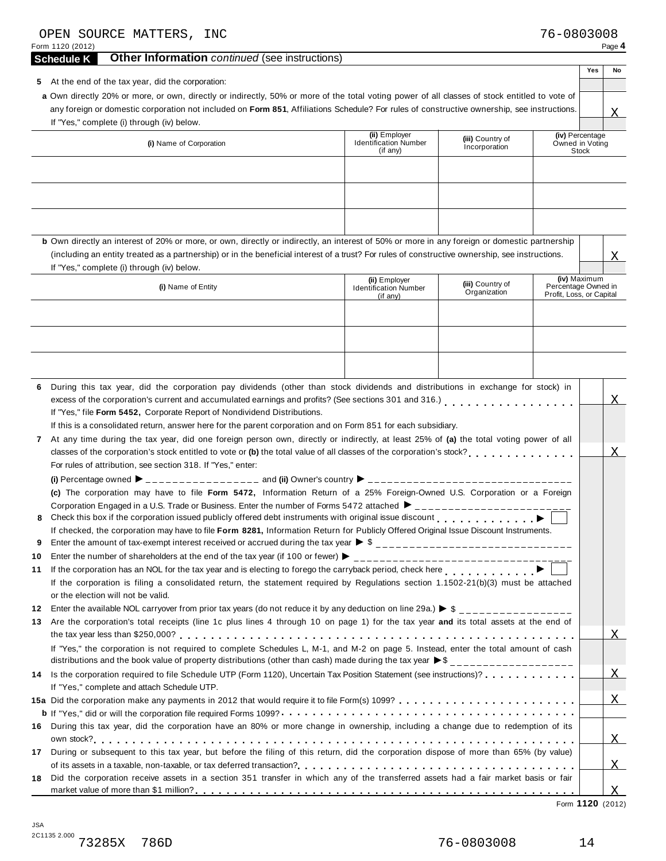|           | OPEN SOURCE MATTERS, INC<br>Form 1120 (2012)                                                                                                                                                                                                                                                                                                                                                                                                                                                                                                                                                                                                                                                | 76-0803008                                      |              | Page 4         |  |  |
|-----------|---------------------------------------------------------------------------------------------------------------------------------------------------------------------------------------------------------------------------------------------------------------------------------------------------------------------------------------------------------------------------------------------------------------------------------------------------------------------------------------------------------------------------------------------------------------------------------------------------------------------------------------------------------------------------------------------|-------------------------------------------------|--------------|----------------|--|--|
|           | Other Information continued (see instructions)<br><b>Schedule K</b>                                                                                                                                                                                                                                                                                                                                                                                                                                                                                                                                                                                                                         |                                                 |              |                |  |  |
|           | 5 At the end of the tax year, did the corporation:<br>a Own directly 20% or more, or own, directly or indirectly, 50% or more of the total voting power of all classes of stock entitled to vote of<br>any foreign or domestic corporation not included on Form 851, Affiliations Schedule? For rules of constructive ownership, see instructions.<br>If "Yes," complete (i) through (iv) below.                                                                                                                                                                                                                                                                                            |                                                 | Yes          | No<br>X        |  |  |
|           | (ii) Employer<br>(iii) Country of<br><b>Identification Number</b><br>(i) Name of Corporation<br>Incorporation<br>$($ if anv $)$                                                                                                                                                                                                                                                                                                                                                                                                                                                                                                                                                             | (iv) Percentage<br>Owned in Voting              | Stock        |                |  |  |
|           | b Own directly an interest of 20% or more, or own, directly or indirectly, an interest of 50% or more in any foreign or domestic partnership                                                                                                                                                                                                                                                                                                                                                                                                                                                                                                                                                |                                                 |              |                |  |  |
|           | (including an entity treated as a partnership) or in the beneficial interest of a trust? For rules of constructive ownership, see instructions.<br>If "Yes," complete (i) through (iv) below.                                                                                                                                                                                                                                                                                                                                                                                                                                                                                               |                                                 |              | Χ              |  |  |
|           | (ii) Employer<br>(iii) Country of<br>(i) Name of Entity<br><b>Identification Number</b><br>Organization<br>(if any)                                                                                                                                                                                                                                                                                                                                                                                                                                                                                                                                                                         | Percentage Owned in<br>Profit, Loss, or Capital | (iv) Maximum |                |  |  |
|           |                                                                                                                                                                                                                                                                                                                                                                                                                                                                                                                                                                                                                                                                                             |                                                 |              |                |  |  |
| 6<br>7    | During this tax year, did the corporation pay dividends (other than stock dividends and distributions in exchange for stock) in<br>excess of the corporation's current and accumulated earnings and profits? (See sections 301 and 316.)<br>excess of the corporation's current and accumulated earnings and profits? (See sections 301 and 316.)<br>If "Yes," file Form 5452, Corporate Report of Nondividend Distributions.<br>If this is a consolidated return, answer here for the parent corporation and on Form 851 for each subsidiary.<br>At any time during the tax year, did one foreign person own, directly or indirectly, at least 25% of (a) the total voting power of all    |                                                 |              |                |  |  |
| 8<br>9    | classes of the corporation's stock entitled to vote or (b) the total value of all classes of the corporation's stock?<br>For rules of attribution, see section 318. If "Yes," enter:<br>(c) The corporation may have to file Form 5472, Information Return of a 25% Foreign-Owned U.S. Corporation or a Foreign<br>Corporation Engaged in a U.S. Trade or Business. Enter the number of Forms 5472 attached ▶ __________________________<br>Check this box if the corporation issued publicly offered debt instruments with original issue discount<br>If checked, the corporation may have to file Form 8281, Information Return for Publicly Offered Original Issue Discount Instruments. |                                                 |              |                |  |  |
| 10        |                                                                                                                                                                                                                                                                                                                                                                                                                                                                                                                                                                                                                                                                                             |                                                 |              |                |  |  |
| 11        | If the corporation has an NOL for the tax year and is electing to forego the carryback period, check here <b>Fig. 1.1.1.1.1.1.</b><br>If the corporation is filing a consolidated return, the statement required by Regulations section 1.1502-21(b)(3) must be attached<br>or the election will not be valid.                                                                                                                                                                                                                                                                                                                                                                              |                                                 |              |                |  |  |
| 12<br>13. | Enter the available NOL carryover from prior tax years (do not reduce it by any deduction on line 29a.) $\triangleright$ \$<br>Are the corporation's total receipts (line 1c plus lines 4 through 10 on page 1) for the tax year and its total assets at the end of<br>If "Yes," the corporation is not required to complete Schedules L, M-1, and M-2 on page 5. Instead, enter the total amount of cash                                                                                                                                                                                                                                                                                   |                                                 |              | $\mathbf X$    |  |  |
| 14        | distributions and the book value of property distributions (other than cash) made during the tax year $\bullet$ \$ _________________<br>Is the corporation required to file Schedule UTP (Form 1120), Uncertain Tax Position Statement (see instructions)?                                                                                                                                                                                                                                                                                                                                                                                                                                  |                                                 |              | $\overline{X}$ |  |  |
|           | If "Yes," complete and attach Schedule UTP.                                                                                                                                                                                                                                                                                                                                                                                                                                                                                                                                                                                                                                                 |                                                 |              | X              |  |  |
|           |                                                                                                                                                                                                                                                                                                                                                                                                                                                                                                                                                                                                                                                                                             |                                                 |              |                |  |  |
| 16        | During this tax year, did the corporation have an 80% or more change in ownership, including a change due to redemption of its                                                                                                                                                                                                                                                                                                                                                                                                                                                                                                                                                              |                                                 |              |                |  |  |
|           |                                                                                                                                                                                                                                                                                                                                                                                                                                                                                                                                                                                                                                                                                             |                                                 |              | X              |  |  |
| 17<br>18  | During or subsequent to this tax year, but before the filing of this return, did the corporation dispose of more than 65% (by value)<br>Did the corporation receive assets in a section 351 transfer in which any of the transferred assets had a fair market basis or fair                                                                                                                                                                                                                                                                                                                                                                                                                 |                                                 |              | X              |  |  |
|           |                                                                                                                                                                                                                                                                                                                                                                                                                                                                                                                                                                                                                                                                                             |                                                 |              | X              |  |  |

Form **1120** (2012)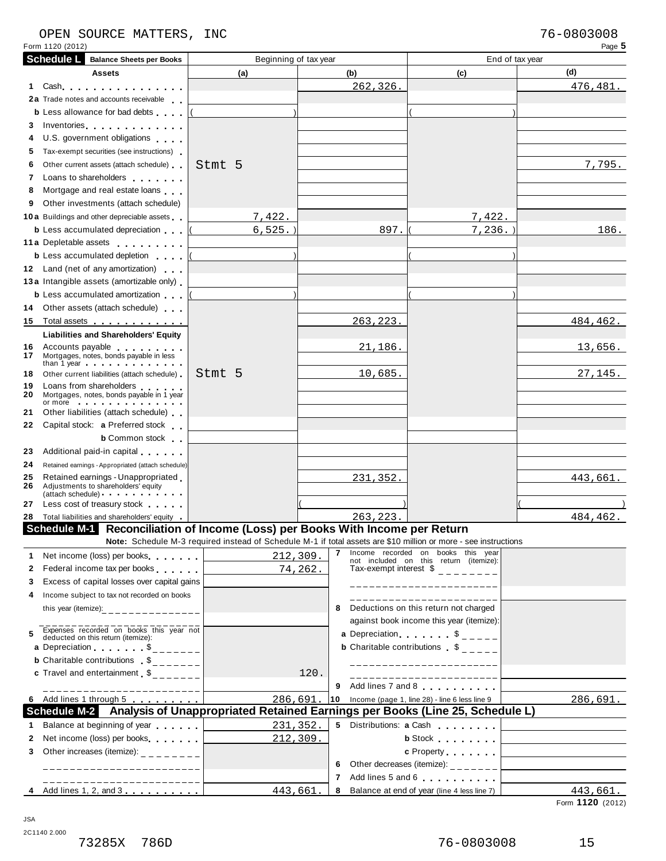#### OPEN SOURCE MATTERS, INC 76-0803008

Form 1120 (2012) Page **5**

|              | <b>Schedule L</b> Balance Sheets per Books                                                                                                                                                                                                                                                             | Beginning of tax year                                                                                                                                                                                                                                                                                                            |          |           |                                                                                              | End of tax year                                             |
|--------------|--------------------------------------------------------------------------------------------------------------------------------------------------------------------------------------------------------------------------------------------------------------------------------------------------------|----------------------------------------------------------------------------------------------------------------------------------------------------------------------------------------------------------------------------------------------------------------------------------------------------------------------------------|----------|-----------|----------------------------------------------------------------------------------------------|-------------------------------------------------------------|
|              | Assets                                                                                                                                                                                                                                                                                                 | (a)                                                                                                                                                                                                                                                                                                                              |          | (b)       | (c)                                                                                          | (d)                                                         |
| 1.           | Cash                                                                                                                                                                                                                                                                                                   |                                                                                                                                                                                                                                                                                                                                  |          | 262, 326. |                                                                                              | 476, 481.                                                   |
|              | 2a Trade notes and accounts receivable                                                                                                                                                                                                                                                                 |                                                                                                                                                                                                                                                                                                                                  |          |           |                                                                                              |                                                             |
|              | <b>b</b> Less allowance for bad debts                                                                                                                                                                                                                                                                  |                                                                                                                                                                                                                                                                                                                                  |          |           |                                                                                              |                                                             |
| 3            | Inventories                                                                                                                                                                                                                                                                                            |                                                                                                                                                                                                                                                                                                                                  |          |           |                                                                                              |                                                             |
| 4            | U.S. government obligations                                                                                                                                                                                                                                                                            |                                                                                                                                                                                                                                                                                                                                  |          |           |                                                                                              |                                                             |
| 5.           | Tax-exempt securities (see instructions)                                                                                                                                                                                                                                                               |                                                                                                                                                                                                                                                                                                                                  |          |           |                                                                                              |                                                             |
| 6            | Other current assets (attach schedule)                                                                                                                                                                                                                                                                 | Stmt 5                                                                                                                                                                                                                                                                                                                           |          |           |                                                                                              | 7,795.                                                      |
| 7            | Loans to shareholders <b>contained</b>                                                                                                                                                                                                                                                                 |                                                                                                                                                                                                                                                                                                                                  |          |           |                                                                                              |                                                             |
| 8            | Mortgage and real estate loans                                                                                                                                                                                                                                                                         |                                                                                                                                                                                                                                                                                                                                  |          |           |                                                                                              |                                                             |
| 9            | Other investments (attach schedule)                                                                                                                                                                                                                                                                    |                                                                                                                                                                                                                                                                                                                                  |          |           |                                                                                              |                                                             |
|              | <b>10a</b> Buildings and other depreciable assets                                                                                                                                                                                                                                                      | 7,422.                                                                                                                                                                                                                                                                                                                           |          |           | 7,422.                                                                                       |                                                             |
|              | <b>b</b> Less accumulated depreciation                                                                                                                                                                                                                                                                 | 6, 525.                                                                                                                                                                                                                                                                                                                          |          | 897.      | 7,236.                                                                                       | 186.                                                        |
|              | 11 a Depletable assets                                                                                                                                                                                                                                                                                 |                                                                                                                                                                                                                                                                                                                                  |          |           |                                                                                              |                                                             |
|              | <b>b</b> Less accumulated depletion                                                                                                                                                                                                                                                                    |                                                                                                                                                                                                                                                                                                                                  |          |           |                                                                                              |                                                             |
|              | 12 Land (net of any amortization)                                                                                                                                                                                                                                                                      |                                                                                                                                                                                                                                                                                                                                  |          |           |                                                                                              |                                                             |
|              | 13 a Intangible assets (amortizable only)                                                                                                                                                                                                                                                              |                                                                                                                                                                                                                                                                                                                                  |          |           |                                                                                              |                                                             |
|              | <b>b</b> Less accumulated amortization                                                                                                                                                                                                                                                                 |                                                                                                                                                                                                                                                                                                                                  |          |           |                                                                                              |                                                             |
|              | 14 Other assets (attach schedule)                                                                                                                                                                                                                                                                      |                                                                                                                                                                                                                                                                                                                                  |          |           |                                                                                              |                                                             |
| 15           | Total assets <b>contained</b> Total assets <b>contained</b>                                                                                                                                                                                                                                            |                                                                                                                                                                                                                                                                                                                                  |          | 263, 223. |                                                                                              | <u>484,462.</u>                                             |
|              | <b>Liabilities and Shareholders' Equity</b>                                                                                                                                                                                                                                                            |                                                                                                                                                                                                                                                                                                                                  |          |           |                                                                                              |                                                             |
| 16.<br>17    | Accounts payable<br>Mortgages, notes, bonds payable in less<br>than 1 year                                                                                                                                                                                                                             |                                                                                                                                                                                                                                                                                                                                  |          | 21,186.   |                                                                                              | 13,656.                                                     |
| 18           | Other current liabilities (attach schedule)                                                                                                                                                                                                                                                            | Stmt 5                                                                                                                                                                                                                                                                                                                           |          | 10,685.   |                                                                                              | 27,145.                                                     |
| 19<br>20     | Loans from shareholders<br>Mortgages, notes, bonds payable in 1 year<br>or more in the set of the set of the set of the set of the set of the set of the set of the set of the set of the set of the set of the set of the set of the set of the set of the set of the set of the set of the set of th |                                                                                                                                                                                                                                                                                                                                  |          |           |                                                                                              |                                                             |
| 21           | Other liabilities (attach schedule)                                                                                                                                                                                                                                                                    |                                                                                                                                                                                                                                                                                                                                  |          |           |                                                                                              |                                                             |
| 22           | Capital stock: a Preferred stock                                                                                                                                                                                                                                                                       |                                                                                                                                                                                                                                                                                                                                  |          |           |                                                                                              |                                                             |
|              | <b>b</b> Common stock                                                                                                                                                                                                                                                                                  |                                                                                                                                                                                                                                                                                                                                  |          |           |                                                                                              |                                                             |
| 23           | Additional paid-in capital                                                                                                                                                                                                                                                                             |                                                                                                                                                                                                                                                                                                                                  |          |           |                                                                                              |                                                             |
| 24           | Retained earnings - Appropriated (attach schedule)                                                                                                                                                                                                                                                     |                                                                                                                                                                                                                                                                                                                                  |          |           |                                                                                              |                                                             |
| 25<br>26     | Retained earnings - Unappropriated<br>Adjustments to shareholders' equity                                                                                                                                                                                                                              |                                                                                                                                                                                                                                                                                                                                  |          | 231,352.  |                                                                                              | 443,661.                                                    |
|              | (attach schedule)                                                                                                                                                                                                                                                                                      |                                                                                                                                                                                                                                                                                                                                  |          |           |                                                                                              |                                                             |
| 27           | Less cost of treasury stock                                                                                                                                                                                                                                                                            |                                                                                                                                                                                                                                                                                                                                  |          |           |                                                                                              |                                                             |
|              | 28 Total liabilities and shareholders' equity                                                                                                                                                                                                                                                          |                                                                                                                                                                                                                                                                                                                                  |          | 263,223   |                                                                                              | 484,462.                                                    |
|              | Schedule M-1 Reconciliation of Income (Loss) per Books With Income per Return                                                                                                                                                                                                                          | Note: Schedule M-3 required instead of Schedule M-1 if total assets are \$10 million or more - see instructions                                                                                                                                                                                                                  |          |           |                                                                                              |                                                             |
|              |                                                                                                                                                                                                                                                                                                        |                                                                                                                                                                                                                                                                                                                                  |          |           | 7 Income recorded on books this year                                                         |                                                             |
| 2            | 1 Net income (loss) per books<br>Federal income tax per books                                                                                                                                                                                                                                          | 212,309.                                                                                                                                                                                                                                                                                                                         | 74, 262. |           | not included on this return (itemize):<br>Tax-exempt interest $\delta$ ________              |                                                             |
| 3            | Excess of capital losses over capital gains                                                                                                                                                                                                                                                            |                                                                                                                                                                                                                                                                                                                                  |          |           |                                                                                              |                                                             |
| 4            | Income subject to tax not recorded on books                                                                                                                                                                                                                                                            |                                                                                                                                                                                                                                                                                                                                  |          |           | ___________________                                                                          |                                                             |
|              |                                                                                                                                                                                                                                                                                                        |                                                                                                                                                                                                                                                                                                                                  |          |           | _______________________<br>8 Deductions on this return not charged                           |                                                             |
|              |                                                                                                                                                                                                                                                                                                        |                                                                                                                                                                                                                                                                                                                                  |          |           | against book income this year (itemize):                                                     |                                                             |
| 5            | Expenses recorded on books this year not<br>deducted on this return (itemize):                                                                                                                                                                                                                         |                                                                                                                                                                                                                                                                                                                                  |          |           | a Depreciation $\begin{array}{ccc} & & \\\end{array}$ $\begin{array}{ccc} & & \\\end{array}$ |                                                             |
|              | a Depreciation $\ldots$ , $\frac{1}{2}$                                                                                                                                                                                                                                                                |                                                                                                                                                                                                                                                                                                                                  |          |           | <b>b</b> Charitable contributions $\begin{bmatrix} 6 & 2 \\ 2 & -2 \end{bmatrix}$            |                                                             |
|              |                                                                                                                                                                                                                                                                                                        |                                                                                                                                                                                                                                                                                                                                  |          |           | _____________________                                                                        |                                                             |
|              | <b>c</b> Travel and entertainment $\delta$ <sub>_______</sub>                                                                                                                                                                                                                                          |                                                                                                                                                                                                                                                                                                                                  | 120.     |           | ________________________                                                                     |                                                             |
|              |                                                                                                                                                                                                                                                                                                        |                                                                                                                                                                                                                                                                                                                                  |          | 9         | Add lines 7 and 8                                                                            |                                                             |
|              | -------------------<br>6 Add lines 1 through 5                                                                                                                                                                                                                                                         | 286,691.                                                                                                                                                                                                                                                                                                                         |          |           | 10 Income (page 1, line 28) - line 6 less line $9$                                           | 286,691.                                                    |
|              | Schedule M-2 Analysis of Unappropriated Retained Earnings per Books (Line 25, Schedule L)                                                                                                                                                                                                              |                                                                                                                                                                                                                                                                                                                                  |          |           |                                                                                              |                                                             |
|              | 1 Balance at beginning of year                                                                                                                                                                                                                                                                         | 231,352.<br>$\label{eq:2.1} \mathcal{L}(\mathcal{L}^{\mathcal{L}}_{\mathcal{L}}(\mathcal{L}^{\mathcal{L}}_{\mathcal{L}})) \leq \mathcal{L}(\mathcal{L}^{\mathcal{L}}_{\mathcal{L}}(\mathcal{L}^{\mathcal{L}}_{\mathcal{L}})) \leq \mathcal{L}(\mathcal{L}^{\mathcal{L}}_{\mathcal{L}}(\mathcal{L}^{\mathcal{L}}_{\mathcal{L}}))$ |          |           | 5 Distributions: a Cash                                                                      |                                                             |
| $\mathbf{2}$ | Net income (loss) per books                                                                                                                                                                                                                                                                            | 212,309.                                                                                                                                                                                                                                                                                                                         |          |           | <b>b</b> Stock <b>contract of the Stock</b>                                                  |                                                             |
| 3            | Other increases (itemize): $\frac{1}{2}$ - - - - - - -                                                                                                                                                                                                                                                 |                                                                                                                                                                                                                                                                                                                                  |          |           | c Property                                                                                   |                                                             |
|              | ______________________                                                                                                                                                                                                                                                                                 |                                                                                                                                                                                                                                                                                                                                  |          | 6         | Other decreases (itemize): $\frac{1}{2}$ - - - - - - -                                       | the control of the control of the control of the control of |
|              | -------------------                                                                                                                                                                                                                                                                                    |                                                                                                                                                                                                                                                                                                                                  |          | 7         | Add lines 5 and 6                                                                            |                                                             |
|              |                                                                                                                                                                                                                                                                                                        | 443,661.                                                                                                                                                                                                                                                                                                                         |          | 8         | Balance at end of year (line 4 less line 7)                                                  | 443,661.                                                    |

Form **1120** (2012)

JSA

2C1140 2.000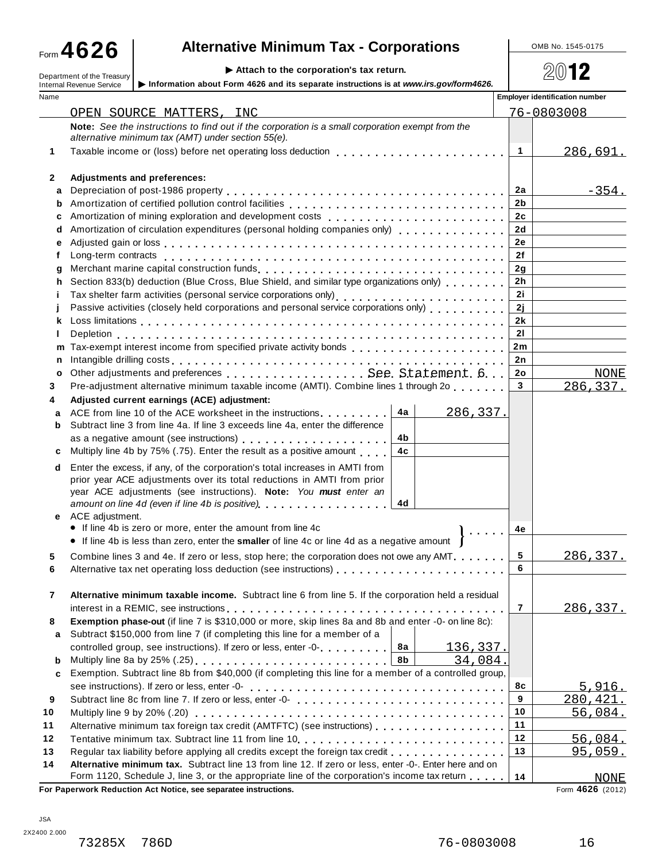## **A**  $\bullet$  26 **a Alternative Minimum Tax - Corporations Alternative Minimum Tax - Corporations**

Department of the Treasury **Attach to the corporation's tax return.** Department of the Treasury **Attach is a set of the Componation's** tax return. <br>Department of the Treasury **Attach is a set of the corporation** is a set

|             | aon to the corporation 3 tax re<br>Department of the Treasury<br>Information about Form 4626 and its separate instructions is at www.irs.gov/form4626.<br><b>Internal Revenue Service</b> |                | <u>zwiz</u>                           |
|-------------|-------------------------------------------------------------------------------------------------------------------------------------------------------------------------------------------|----------------|---------------------------------------|
| Name        |                                                                                                                                                                                           |                | <b>Employer identification number</b> |
|             | OPEN SOURCE MATTERS, INC                                                                                                                                                                  |                | 76-0803008                            |
|             | Note: See the instructions to find out if the corporation is a small corporation exempt from the                                                                                          |                |                                       |
|             | alternative minimum tax (AMT) under section 55(e).                                                                                                                                        |                |                                       |
| 1           | Taxable income or (loss) before net operating loss deduction                                                                                                                              | $\mathbf{1}$   | 286,691.                              |
|             |                                                                                                                                                                                           |                |                                       |
| 2           | Adjustments and preferences:                                                                                                                                                              |                |                                       |
| a           |                                                                                                                                                                                           | 2a             | $-354.$                               |
| b           |                                                                                                                                                                                           | 2b             |                                       |
| с           | Amortization of mining exploration and development costs [1] [1] $\ldots$ [1] [1] $\ldots$ [1] $\ldots$ [1] $\ldots$ [1] $\ldots$ [1]                                                     | 2c             |                                       |
| d           | Amortization of circulation expenditures (personal holding companies only) entitled as a series of the Amorti                                                                             | 2d             |                                       |
| е           |                                                                                                                                                                                           | <b>2e</b>      |                                       |
| f           |                                                                                                                                                                                           | 2f             |                                       |
| g           |                                                                                                                                                                                           | 2q             |                                       |
| h           |                                                                                                                                                                                           | 2 <sub>h</sub> |                                       |
| Ť           |                                                                                                                                                                                           | 2i             |                                       |
|             | Passive activities (closely held corporations and personal service corporations only)                                                                                                     | 2j<br>2k       |                                       |
| k<br>ı      |                                                                                                                                                                                           | 21             |                                       |
| m           |                                                                                                                                                                                           | 2m             |                                       |
| n           |                                                                                                                                                                                           | 2n             |                                       |
| $\mathbf o$ |                                                                                                                                                                                           | 2o             | <b>NONE</b>                           |
| 3           | Pre-adjustment alternative minimum taxable income (AMTI). Combine lines 1 through 2o                                                                                                      | 3 <sup>1</sup> | 286,337.                              |
| 4           | Adjusted current earnings (ACE) adjustment:                                                                                                                                               |                |                                       |
| a           | 4a<br>286,337.<br>ACE from line 10 of the ACE worksheet in the instructions                                                                                                               |                |                                       |
| b           | Subtract line 3 from line 4a. If line 3 exceeds line 4a, enter the difference                                                                                                             |                |                                       |
|             | 4b                                                                                                                                                                                        |                |                                       |
| c           | 4c<br>Multiply line 4b by 75% (.75). Enter the result as a positive amount                                                                                                                |                |                                       |
| d           | Enter the excess, if any, of the corporation's total increases in AMTI from                                                                                                               |                |                                       |
|             | prior year ACE adjustments over its total reductions in AMTI from prior                                                                                                                   |                |                                       |
|             | year ACE adjustments (see instructions). Note: You must enter an                                                                                                                          |                |                                       |
|             | 4d<br>amount on line 4d (even if line 4b is positive) example and in the same and amount on line                                                                                          |                |                                       |
| е           | ACE adjustment.<br>• If line 4b is zero or more, enter the amount from line 4c                                                                                                            |                |                                       |
|             | $\mathbf{r}$ , $\mathbf{r}$ , $\mathbf{r}$ , $\mathbf{r}$<br>• If line 4b is less than zero, enter the smaller of line 4c or line 4d as a negative amount                                 | 4e             |                                       |
|             |                                                                                                                                                                                           | 5              |                                       |
| 6           | Combine lines 3 and 4e. If zero or less, stop here; the corporation does not owe any AMT.                                                                                                 | 6              | <u>286,337.</u>                       |
|             |                                                                                                                                                                                           |                |                                       |
| 7           | Alternative minimum taxable income. Subtract line 6 from line 5. If the corporation held a residual                                                                                       |                |                                       |
|             |                                                                                                                                                                                           | $\overline{7}$ | <u>286,337.</u>                       |
| 8           | Exemption phase-out (if line 7 is \$310,000 or more, skip lines 8a and 8b and enter -0- on line 8c):                                                                                      |                |                                       |
| a           | Subtract \$150,000 from line 7 (if completing this line for a member of a                                                                                                                 |                |                                       |
|             | controlled group, see instructions). If zero or less, enter -0-<br>8a<br><u>136,337.</u>                                                                                                  |                |                                       |
| b           | 8b<br>34,084.                                                                                                                                                                             |                |                                       |
| c           | Exemption. Subtract line 8b from \$40,000 (if completing this line for a member of a controlled group,                                                                                    |                |                                       |
|             |                                                                                                                                                                                           | 8с             | <u>5,916.</u>                         |
| 9           |                                                                                                                                                                                           | 9              | 280, 421.                             |
| 10          |                                                                                                                                                                                           | 10             | 56,084.                               |
| 11          | Alternative minimum tax foreign tax credit (AMTFTC) (see instructions)                                                                                                                    | 11             |                                       |
| 12          |                                                                                                                                                                                           | 12<br>13       | 56,084.                               |
| 13          | Regular tax liability before applying all credits except the foreign tax credit<br>Alternative minimum tax. Subtract line 13 from line 12. If zero or less, enter -0-. Enter here and on  |                | 95,059.                               |
| 14          | Form 1120, Schedule J, line 3, or the appropriate line of the corporation's income tax return                                                                                             | 14             | <b>NONE</b>                           |
|             | For Paperwork Reduction Act Notice, see separatee instructions.                                                                                                                           |                | Form 4626 (2012)                      |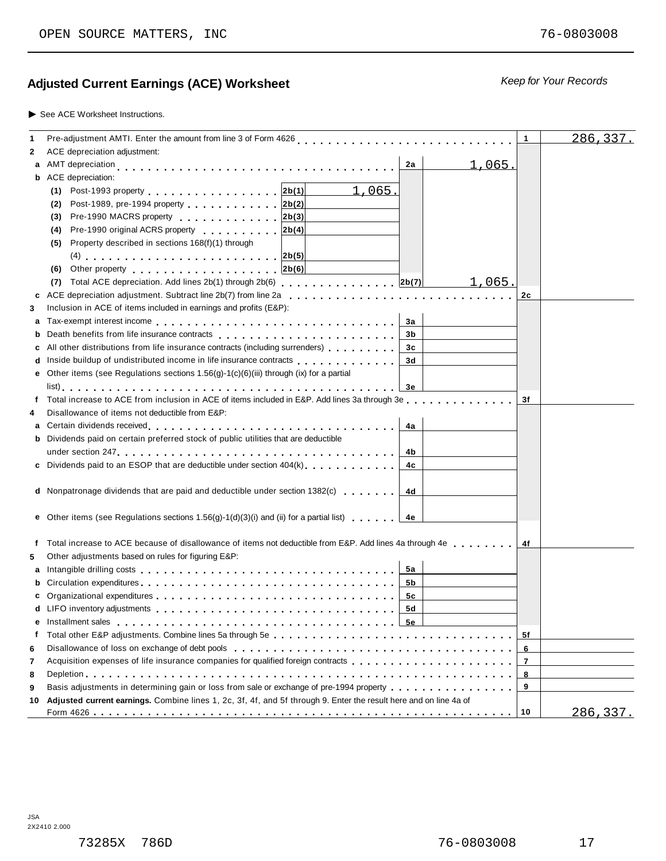### **Ad** *Keep for Your Records* **justed Current Earnings (ACE) Worksheet**

#### ▶ See ACE Worksheet Instructions.

| 1  | Pre-adjustment AMTI. Enter the amount from line 3 of Form 4626                                                                                                                                                                       | 1              | 286, 337. |
|----|--------------------------------------------------------------------------------------------------------------------------------------------------------------------------------------------------------------------------------------|----------------|-----------|
| 2  | ACE depreciation adjustment:                                                                                                                                                                                                         |                |           |
| a  | <u>1,065.</u><br>AMT depreciation<br>2a                                                                                                                                                                                              |                |           |
|    | <b>b</b> ACE depreciation:                                                                                                                                                                                                           |                |           |
|    | <u>1,065.</u><br>(1) Post-1993 property 2b(1)                                                                                                                                                                                        |                |           |
|    | Post-1989, pre-1994 property 2b(2)<br>(2)                                                                                                                                                                                            |                |           |
|    | Pre-1990 MACRS property 2b(3)<br>(3)                                                                                                                                                                                                 |                |           |
|    | Pre-1990 original ACRS property<br>2b(4)<br>(4)                                                                                                                                                                                      |                |           |
|    | Property described in sections 168(f)(1) through<br>(5)                                                                                                                                                                              |                |           |
|    |                                                                                                                                                                                                                                      |                |           |
|    | Other property entering the set of the set of the set of the set of the set of the set of the set of the set of the set of the set of the set of the set of the set of the set of the set of the set of the set of the set of<br>(6) |                |           |
|    | Total ACE depreciation. Add lines 2b(1) through 2b(6) [1] [2b(7) [2b(7)]<br>1,065.<br>(7)                                                                                                                                            |                |           |
|    | c ACE depreciation adjustment. Subtract line $2b(7)$ from line $2a_1, \ldots, a_n, a_1, \ldots, a_n, a_1, \ldots, a_n, a_1, \ldots, a_n$                                                                                             | 2c             |           |
| 3  | Inclusion in ACE of items included in earnings and profits (E&P):                                                                                                                                                                    |                |           |
| a  | 3a                                                                                                                                                                                                                                   |                |           |
|    | b Death benefits from life insurance contracts enteries and and all the set of the set of the set of the set of the set of the set of the set of the set of the set of the set of the set of the set of the set of the set of<br>3b  |                |           |
| с  | All other distributions from life insurance contracts (including surrenders)<br>3c                                                                                                                                                   |                |           |
|    | d Inside buildup of undistributed income in life insurance contracts entertainment of the buildup of undistributed income in life insurance contracts<br>3d                                                                          |                |           |
|    | e Other items (see Regulations sections $1.56(g)-1(c)(6)(iii)$ through (ix) for a partial                                                                                                                                            |                |           |
|    | Зе                                                                                                                                                                                                                                   |                |           |
|    | Total increase to ACE from inclusion in ACE of items included in E&P. Add lines 3a through 3e                                                                                                                                        | 3f             |           |
| 4  | Disallowance of items not deductible from E&P:                                                                                                                                                                                       |                |           |
|    | 4a                                                                                                                                                                                                                                   |                |           |
|    | <b>b</b> Dividends paid on certain preferred stock of public utilities that are deductible                                                                                                                                           |                |           |
|    | 4b                                                                                                                                                                                                                                   |                |           |
|    | c Dividends paid to an ESOP that are deductible under section $404(k)$ , , ,<br>4c                                                                                                                                                   |                |           |
|    |                                                                                                                                                                                                                                      |                |           |
|    | <b>d</b> Nonpatronage dividends that are paid and deductible under section 1382(c)<br>4d                                                                                                                                             |                |           |
|    |                                                                                                                                                                                                                                      |                |           |
|    | <b>e</b> Other items (see Regulations sections $1.56(g)-1(d)(3)(i)$ and (ii) for a partial list)<br>4e                                                                                                                               |                |           |
|    |                                                                                                                                                                                                                                      |                |           |
| f  | Total increase to ACE because of disallowance of items not deductible from E&P. Add lines 4a through 4e                                                                                                                              |                |           |
| 5  | Other adjustments based on rules for figuring E&P:                                                                                                                                                                                   |                |           |
| a  | Intangible drilling costs enterpreteration of the cost of the cost of the cost of the cost of the cost of the c<br>5а                                                                                                                |                |           |
|    | 5b                                                                                                                                                                                                                                   |                |           |
|    | 5c                                                                                                                                                                                                                                   |                |           |
|    | 5d                                                                                                                                                                                                                                   |                |           |
|    |                                                                                                                                                                                                                                      |                |           |
| f  |                                                                                                                                                                                                                                      | 5f             |           |
| 6  |                                                                                                                                                                                                                                      | 6              |           |
| 7  | Acquisition expenses of life insurance companies for qualified foreign contracts                                                                                                                                                     | $\overline{7}$ |           |
| 8  |                                                                                                                                                                                                                                      | 8              |           |
| 9  | Basis adjustments in determining gain or loss from sale or exchange of pre-1994 property                                                                                                                                             | 9              |           |
| 10 | Adjusted current earnings. Combine lines 1, 2c, 3f, 4f, and 5f through 9. Enter the result here and on line 4a of                                                                                                                    |                |           |
|    |                                                                                                                                                                                                                                      |                | 286,337.  |
|    |                                                                                                                                                                                                                                      |                |           |

JSA 2X2410 2.000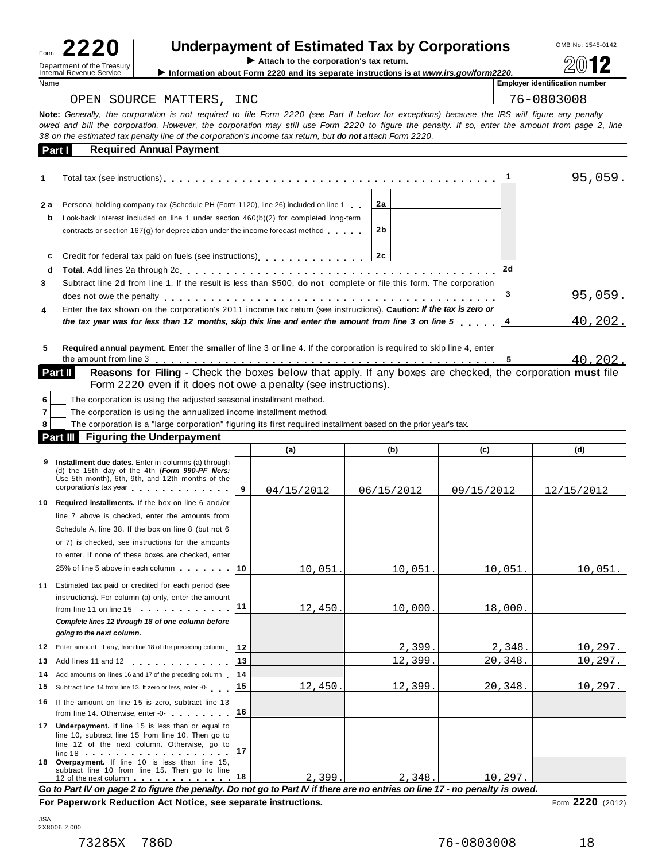Internal Revenue Service **Information about Form 2220 and its separate instructions is at** *www.irs.gov/form2220.***<br>Name <b>information about Form** 2220 and its separate instructions is at *www.irs.gov/form2220.* 

÷,

# Form **2220 lepartment of the Treasury**<br> **Department of the Treasury**<br> **Lettach to the corporation's tax return.**<br> **Lettach to the corporation's tax return.**<br> **Lettach is separate instructions is at www.irs.gov/form2220.**

 $\blacktriangleright$  Attach to the corporation's tax return.

**Employer identification number** 

| OPEN SOURCE MATTERS, INC                                                                                                                         | 76-0803008 |
|--------------------------------------------------------------------------------------------------------------------------------------------------|------------|
| Note: Generally, the corporation is not required to file Form 2220 (see Part II below for exceptions) because the IRS will figure any penalty    |            |
| owed and bill the corporation. However, the corporation may still use Form 2220 to figure the penalty. If so, enter the amount from page 2, line |            |

| Part I | 38 on the estimated tax penalty line of the corporation's income tax return, but <b>do not</b> attach Form 2220.<br><b>Required Annual Payment</b> |    |  |         |
|--------|----------------------------------------------------------------------------------------------------------------------------------------------------|----|--|---------|
| 1      |                                                                                                                                                    |    |  | 95,059. |
| 2 a    | Personal holding company tax (Schedule PH (Form 1120), line 26) included on line 1                                                                 | 2a |  |         |
| b      | Look-back interest included on line 1 under section $460(b)(2)$ for completed long-term                                                            |    |  |         |
|        | contracts or section 167(g) for depreciation under the income forecast method                                                                      | 2b |  |         |
| c      | Credit for federal tax paid on fuels (see instructions)<br>1.1.1.1.1.1.1.20                                                                        |    |  |         |
| d      |                                                                                                                                                    |    |  |         |
| 3      | Subtract line 2d from line 1. If the result is less than \$500, do not complete or file this form. The corporation                                 |    |  |         |
|        |                                                                                                                                                    |    |  | 95,059. |
| 4      | Enter the tax shown on the corporation's 2011 income tax return (see instructions). Caution: If the tax is zero or                                 |    |  |         |
|        | the tax year was for less than 12 months, skip this line and enter the amount from line 3 on line 5                                                |    |  | 40,202. |
| 5      | Required annual payment. Enter the smaller of line 3 or line 4. If the corporation is required to skip line 4, enter                               |    |  |         |
|        |                                                                                                                                                    |    |  | 40.202. |

| Part II | <b>Reasons for Filing - Check the boxes below that apply. If any I</b> |
|---------|------------------------------------------------------------------------|
|         | Form 2220 even if it does not owe a penalty (see instructions).        |

| The corporation is using the adjusted seasonal installment method. |                                                                                                                 |     |     |     |     |  |  |  |
|--------------------------------------------------------------------|-----------------------------------------------------------------------------------------------------------------|-----|-----|-----|-----|--|--|--|
| The corporation is using the annualized income installment method. |                                                                                                                 |     |     |     |     |  |  |  |
|                                                                    | The corporation is a "large corporation" figuring its first required installment based on the prior year's tax. |     |     |     |     |  |  |  |
| <b>Figuring the Underpayment</b><br><b>Part III</b>                |                                                                                                                 |     |     |     |     |  |  |  |
|                                                                    |                                                                                                                 | (a) | (b) | (c) | (d) |  |  |  |
| $\sim$                                                             | iliyata Uwanda diya dataa iliyoo ku saliyaana (a) thusunki                                                      |     |     |     |     |  |  |  |

|    | 9 Installment due dates. Enter in columns (a) through<br>(d) the 15th day of the 4th (Form 990-PF filers:<br>Use 5th month), 6th, 9th, and 12th months of the<br>corporation's tax year corporation.                 | 9  | 04/15/2012 | 06/15/2012 | 09/15/2012 | 12/15/2012 |  |  |  |  |
|----|----------------------------------------------------------------------------------------------------------------------------------------------------------------------------------------------------------------------|----|------------|------------|------------|------------|--|--|--|--|
| 10 | Required installments. If the box on line 6 and/or                                                                                                                                                                   |    |            |            |            |            |  |  |  |  |
|    | line 7 above is checked, enter the amounts from                                                                                                                                                                      |    |            |            |            |            |  |  |  |  |
|    | Schedule A, line 38. If the box on line 8 (but not 6)                                                                                                                                                                |    |            |            |            |            |  |  |  |  |
|    | or 7) is checked, see instructions for the amounts                                                                                                                                                                   |    |            |            |            |            |  |  |  |  |
|    | to enter. If none of these boxes are checked, enter                                                                                                                                                                  |    |            |            |            |            |  |  |  |  |
|    | 25% of line 5 above in each column 10                                                                                                                                                                                |    | 10,051.    | 10,051.    | 10,051.    | 10,051.    |  |  |  |  |
| 11 | Estimated tax paid or credited for each period (see<br>instructions). For column (a) only, enter the amount<br>from line 11 on line 15                                                                               | 11 | 12,450.    | 10,000.    | 18,000     |            |  |  |  |  |
|    | Complete lines 12 through 18 of one column before<br>going to the next column.                                                                                                                                       |    |            |            |            |            |  |  |  |  |
|    | 12 Enter amount, if any, from line 18 of the preceding column                                                                                                                                                        | 12 |            | 2,399.     | 2,348.     | 10,297.    |  |  |  |  |
| 13 | Add lines 11 and 12<br><u>. </u>                                                                                                                                                                                     | 13 |            | 12,399.    | 20,348.    | 10, 297.   |  |  |  |  |
| 14 | Add amounts on lines 16 and 17 of the preceding column                                                                                                                                                               | 14 |            |            |            |            |  |  |  |  |
| 15 | Subtract line 14 from line 13. If zero or less, enter -0-                                                                                                                                                            | 15 | 12,450.    | 12,399.    | 20,348.    | 10, 297.   |  |  |  |  |
|    | 16 If the amount on line 15 is zero, subtract line 13<br>from line 14. Otherwise, enter -0-                                                                                                                          | 16 |            |            |            |            |  |  |  |  |
| 17 | <b>Underpayment.</b> If line 15 is less than or equal to<br>line 10, subtract line 15 from line 10. Then go to<br>line 12 of the next column. Otherwise, go to                                                       | 17 |            |            |            |            |  |  |  |  |
|    | 18 Overpayment. If line 10 is less than line 15,<br>subtract line 10 from line 15. Then go to line<br>12 of the next column entertainment of the next column entertainment of the set of the set of the set of the s | 18 | 2,399.     | 2.348.     | 10.297.    |            |  |  |  |  |
|    | Go to Part IV on page 2 to figure the penalty. Do not go to Part IV if there are no entries on line 17 - no penalty is owed.                                                                                         |    |            |            |            |            |  |  |  |  |

**For Paperwork Reduction Act Notice, see separate instructions.** Form 2220 (2012)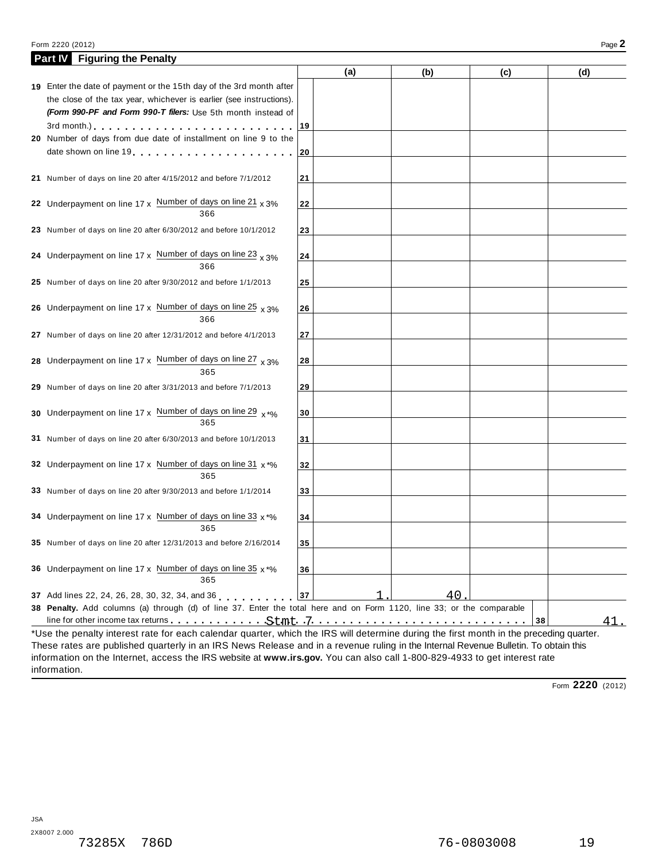| Form 2220 (2012)                                                                                                                                                         |    |     |     |    |     | Page 2 |
|--------------------------------------------------------------------------------------------------------------------------------------------------------------------------|----|-----|-----|----|-----|--------|
| <b>Part IV</b> Figuring the Penalty                                                                                                                                      |    |     |     |    |     |        |
|                                                                                                                                                                          |    | (a) | (b) |    | (c) | (d)    |
| 19 Enter the date of payment or the 15th day of the 3rd month after                                                                                                      |    |     |     |    |     |        |
| the close of the tax year, whichever is earlier (see instructions).                                                                                                      |    |     |     |    |     |        |
| (Form 990-PF and Form 990-T filers: Use 5th month instead of                                                                                                             |    |     |     |    |     |        |
|                                                                                                                                                                          | 19 |     |     |    |     |        |
| 20 Number of days from due date of installment on line 9 to the                                                                                                          |    |     |     |    |     |        |
| date shown on line 19 and the state of the state of the state of the state of the state of the state of the state of                                                     | 20 |     |     |    |     |        |
|                                                                                                                                                                          |    |     |     |    |     |        |
| 21 Number of days on line 20 after 4/15/2012 and before 7/1/2012                                                                                                         | 21 |     |     |    |     |        |
|                                                                                                                                                                          |    |     |     |    |     |        |
| 22 Underpayment on line $17 \times$ Number of days on line $21 \times 3\%$<br>366                                                                                        | 22 |     |     |    |     |        |
|                                                                                                                                                                          |    |     |     |    |     |        |
| 23 Number of days on line 20 after 6/30/2012 and before 10/1/2012                                                                                                        | 23 |     |     |    |     |        |
| 24 Underpayment on line 17 x Number of days on line 23 $_{\text{X}}$ 3%                                                                                                  |    |     |     |    |     |        |
| 366                                                                                                                                                                      | 24 |     |     |    |     |        |
| 25 Number of days on line 20 after 9/30/2012 and before 1/1/2013                                                                                                         | 25 |     |     |    |     |        |
|                                                                                                                                                                          |    |     |     |    |     |        |
| 26 Underpayment on line 17 x Number of days on line 25 $\times$ 3%                                                                                                       | 26 |     |     |    |     |        |
| 366                                                                                                                                                                      |    |     |     |    |     |        |
| 27 Number of days on line 20 after 12/31/2012 and before 4/1/2013                                                                                                        | 27 |     |     |    |     |        |
|                                                                                                                                                                          |    |     |     |    |     |        |
| 28 Underpayment on line 17 x Number of days on line 27 $\times$ 3%                                                                                                       | 28 |     |     |    |     |        |
| 365                                                                                                                                                                      |    |     |     |    |     |        |
| 29 Number of days on line 20 after 3/31/2013 and before 7/1/2013                                                                                                         | 29 |     |     |    |     |        |
|                                                                                                                                                                          |    |     |     |    |     |        |
| 30 Underpayment on line 17 x Number of days on line 29 $x^{*}\%$                                                                                                         | 30 |     |     |    |     |        |
| 365                                                                                                                                                                      |    |     |     |    |     |        |
| 31 Number of days on line 20 after 6/30/2013 and before 10/1/2013                                                                                                        | 31 |     |     |    |     |        |
|                                                                                                                                                                          |    |     |     |    |     |        |
| 32 Underpayment on line 17 x Number of days on line 31 x *%                                                                                                              | 32 |     |     |    |     |        |
| 365                                                                                                                                                                      |    |     |     |    |     |        |
| 33 Number of days on line 20 after 9/30/2013 and before 1/1/2014                                                                                                         | 33 |     |     |    |     |        |
|                                                                                                                                                                          |    |     |     |    |     |        |
| 34 Underpayment on line 17 x Number of days on line 33 x *%                                                                                                              | 34 |     |     |    |     |        |
| 365                                                                                                                                                                      |    |     |     |    |     |        |
| 35 Number of days on line 20 after 12/31/2013 and before 2/16/2014                                                                                                       | 35 |     |     |    |     |        |
|                                                                                                                                                                          |    |     |     |    |     |        |
| 36 Underpayment on line 17 x Number of days on line 35 $x \cdot y_0$<br>365                                                                                              | 36 |     |     |    |     |        |
|                                                                                                                                                                          |    |     |     |    |     |        |
| 37 Add lines 22, 24, 26, 28, 30, 32, 34, and 36<br>38 Penalty. Add columns (a) through (d) of line 37. Enter the total here and on Form 1120, line 33; or the comparable | 37 |     |     | 40 |     |        |
|                                                                                                                                                                          |    |     |     |    | 38  | 41.    |
| *Use the penalty interest rate for each calendar quarter, which the IRS will determine during the first month in the preceding quarter.                                  |    |     |     |    |     |        |

These rates are published quarterly in an IRS News Release and in a revenue ruling in the Internal Revenue Bulletin. To obtain this information on the Internet, access the IRS website at **www.irs.gov.** You can also call 1-800-829-4933 to get interest rate information.

Form **2220** (2012)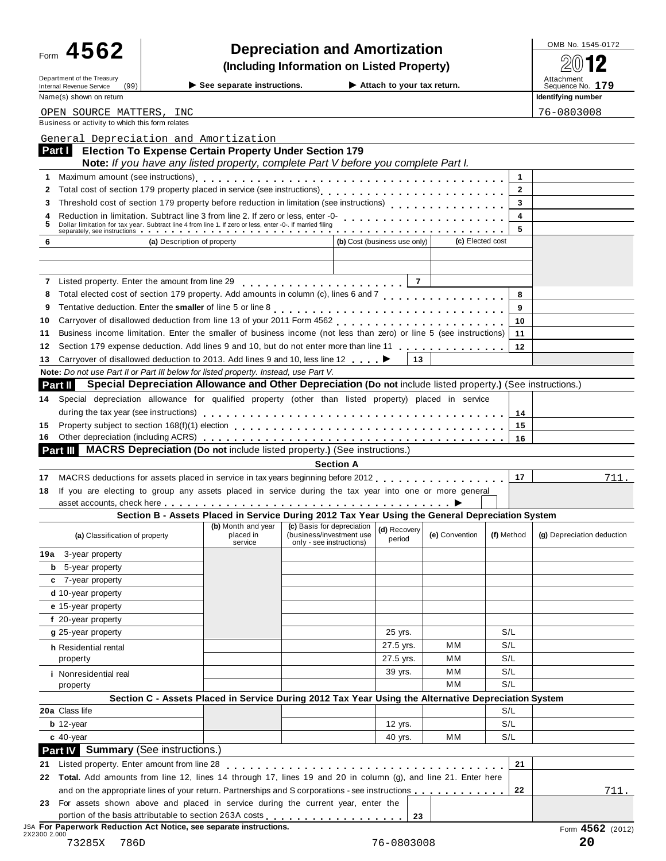| -orm | ΛЛ.<br>56<br>$\boldsymbol{\Lambda}$ |  |
|------|-------------------------------------|--|
|      |                                     |  |
|      |                                     |  |
|      |                                     |  |
|      |                                     |  |
|      |                                     |  |
|      |                                     |  |
|      |                                     |  |
|      |                                     |  |
|      |                                     |  |
|      |                                     |  |
|      |                                     |  |
|      |                                     |  |
|      |                                     |  |
|      |                                     |  |
|      |                                     |  |
|      |                                     |  |
|      |                                     |  |
|      |                                     |  |

# Form  $4562$  **Depreciation and Amortization and** *Depreciation* **1545-0172 12**

**(Including Information on Listed Property)**  $\frac{20012}{\text{N}}$ 

| Department of the Treasury<br>(99)<br>Internal Revenue Service                                                                                                                                                               | $\triangleright$ See separate instructions.                                                     |                                                      |                  | Attach to your tax return.   |                  |              | Attachment<br>Sequence No. 179 |
|------------------------------------------------------------------------------------------------------------------------------------------------------------------------------------------------------------------------------|-------------------------------------------------------------------------------------------------|------------------------------------------------------|------------------|------------------------------|------------------|--------------|--------------------------------|
| Name(s) shown on return                                                                                                                                                                                                      |                                                                                                 |                                                      |                  |                              |                  |              | Identifying number             |
| OPEN SOURCE MATTERS, INC                                                                                                                                                                                                     |                                                                                                 |                                                      |                  |                              |                  |              | 76-0803008                     |
| Business or activity to which this form relates                                                                                                                                                                              |                                                                                                 |                                                      |                  |                              |                  |              |                                |
| General Depreciation and Amortization                                                                                                                                                                                        |                                                                                                 |                                                      |                  |                              |                  |              |                                |
| Part I<br><b>Election To Expense Certain Property Under Section 179</b>                                                                                                                                                      |                                                                                                 |                                                      |                  |                              |                  |              |                                |
| Note: If you have any listed property, complete Part V before you complete Part I.                                                                                                                                           |                                                                                                 |                                                      |                  |                              |                  |              |                                |
| Maximum amount (see instructions)                                                                                                                                                                                            |                                                                                                 |                                                      |                  |                              |                  | 1            |                                |
| 2                                                                                                                                                                                                                            |                                                                                                 |                                                      |                  |                              |                  | $\mathbf{2}$ |                                |
| Threshold cost of section 179 property before reduction in limitation (see instructions)<br>3                                                                                                                                |                                                                                                 |                                                      |                  |                              |                  | 3            |                                |
| Reduction in limitation. Subtract line 3 from line 2. If zero or less, enter -0-<br>4<br>Dollar limitation for tax year. Subtract line 4 from line 1. If zero or less, enter -0-. If married filing<br>5                     |                                                                                                 |                                                      |                  |                              |                  | 4            |                                |
|                                                                                                                                                                                                                              |                                                                                                 |                                                      |                  |                              |                  | 5            |                                |
| (a) Description of property<br>6                                                                                                                                                                                             |                                                                                                 |                                                      |                  | (b) Cost (business use only) | (c) Elected cost |              |                                |
|                                                                                                                                                                                                                              |                                                                                                 |                                                      |                  |                              |                  |              |                                |
| Listed property. Enter the amount from line 29                                                                                                                                                                               |                                                                                                 |                                                      |                  | $\overline{7}$               |                  |              |                                |
| 8                                                                                                                                                                                                                            |                                                                                                 | .                                                    |                  |                              |                  | 8            |                                |
| 9                                                                                                                                                                                                                            |                                                                                                 |                                                      |                  |                              |                  | 9            |                                |
| 10                                                                                                                                                                                                                           |                                                                                                 |                                                      |                  |                              |                  | 10           |                                |
| Business income limitation. Enter the smaller of business income (not less than zero) or line 5 (see instructions)<br>11                                                                                                     |                                                                                                 |                                                      |                  |                              |                  | 11           |                                |
| Section 179 expense deduction. Add lines 9 and 10, but do not enter more than line 11<br>12                                                                                                                                  |                                                                                                 |                                                      |                  |                              |                  | 12           |                                |
| Carryover of disallowed deduction to 2013. Add lines 9 and 10, less line 12 <b>→</b><br>13                                                                                                                                   |                                                                                                 |                                                      |                  | 13                           |                  |              |                                |
| Note: Do not use Part II or Part III below for listed property. Instead, use Part V.                                                                                                                                         |                                                                                                 |                                                      |                  |                              |                  |              |                                |
| Special Depreciation Allowance and Other Depreciation (Do not include listed property.) (See instructions.)<br>Part II                                                                                                       |                                                                                                 |                                                      |                  |                              |                  |              |                                |
| Special depreciation allowance for qualified property (other than listed property) placed in service<br>14.                                                                                                                  |                                                                                                 |                                                      |                  |                              |                  |              |                                |
|                                                                                                                                                                                                                              |                                                                                                 |                                                      |                  |                              |                  | 14           |                                |
| 15                                                                                                                                                                                                                           |                                                                                                 |                                                      |                  |                              |                  | 15           |                                |
| 16.                                                                                                                                                                                                                          |                                                                                                 |                                                      |                  |                              |                  | 16           |                                |
| <b>MACRS Depreciation (Do not include listed property.) (See instructions.)</b><br>Part III I                                                                                                                                |                                                                                                 |                                                      |                  |                              |                  |              |                                |
|                                                                                                                                                                                                                              |                                                                                                 |                                                      | <b>Section A</b> |                              |                  |              |                                |
| MACRS deductions for assets placed in service in tax years beginning before 2012<br>17                                                                                                                                       |                                                                                                 |                                                      |                  |                              |                  | 17           | 711.                           |
| If you are electing to group any assets placed in service during the tax year into one or more general<br>18                                                                                                                 |                                                                                                 |                                                      |                  |                              |                  |              |                                |
| asset accounts, check here enterprise on the contract of the contract of the contract of the contract of the contract of the contract of the contract of the contract of the contract of the contract of the contract of the | Section B - Assets Placed in Service During 2012 Tax Year Using the General Depreciation System |                                                      |                  |                              |                  |              |                                |
|                                                                                                                                                                                                                              | (b) Month and year                                                                              | (c) Basis for depreciation                           |                  | (d) Recovery                 |                  |              |                                |
| (a) Classification of property                                                                                                                                                                                               | placed in<br>service                                                                            | (business/investment use<br>only - see instructions) |                  | period                       | (e) Convention   | (f) Method   | (g) Depreciation deduction     |
| <b>19a</b> 3-year property                                                                                                                                                                                                   |                                                                                                 |                                                      |                  |                              |                  |              |                                |
| <b>b</b> 5-year property                                                                                                                                                                                                     |                                                                                                 |                                                      |                  |                              |                  |              |                                |
| c 7-year property                                                                                                                                                                                                            |                                                                                                 |                                                      |                  |                              |                  |              |                                |
| d 10-year property<br>e 15-year property                                                                                                                                                                                     |                                                                                                 |                                                      |                  |                              |                  |              |                                |
| f 20-year property                                                                                                                                                                                                           |                                                                                                 |                                                      |                  |                              |                  |              |                                |
| g 25-year property                                                                                                                                                                                                           |                                                                                                 |                                                      |                  | 25 yrs.                      |                  | S/L          |                                |
| h Residential rental                                                                                                                                                                                                         |                                                                                                 |                                                      |                  | 27.5 yrs.                    | ΜМ               | S/L          |                                |
| property                                                                                                                                                                                                                     |                                                                                                 |                                                      |                  | 27.5 yrs.                    | MМ               | S/L          |                                |
| <i>i</i> Nonresidential real                                                                                                                                                                                                 |                                                                                                 |                                                      |                  | 39 yrs.                      | MМ               | S/L          |                                |
| property                                                                                                                                                                                                                     |                                                                                                 |                                                      |                  |                              | MМ               | S/L          |                                |
| Section C - Assets Placed in Service During 2012 Tax Year Using the Alternative Depreciation System                                                                                                                          |                                                                                                 |                                                      |                  |                              |                  |              |                                |
| 20a Class life                                                                                                                                                                                                               |                                                                                                 |                                                      |                  |                              |                  | S/L          |                                |
| $b$ 12-year                                                                                                                                                                                                                  |                                                                                                 |                                                      |                  | 12 yrs.                      |                  | S/L          |                                |
| $c$ 40-year                                                                                                                                                                                                                  |                                                                                                 |                                                      |                  | 40 yrs.                      | мм               | S/L          |                                |
| Part IV Summary (See instructions.)                                                                                                                                                                                          |                                                                                                 |                                                      |                  |                              |                  |              |                                |
| Listed property. Enter amount from line 28<br>21                                                                                                                                                                             |                                                                                                 |                                                      |                  |                              |                  | 21           |                                |
| 22 Total. Add amounts from line 12, lines 14 through 17, lines 19 and 20 in column (g), and line 21. Enter here                                                                                                              |                                                                                                 |                                                      |                  |                              |                  |              |                                |
| and on the appropriate lines of your return. Partnerships and S corporations - see instructions                                                                                                                              |                                                                                                 |                                                      |                  |                              |                  | 22           | 711.                           |
| 23 For assets shown above and placed in service during the current year, enter the                                                                                                                                           |                                                                                                 |                                                      |                  |                              |                  |              |                                |
| portion of the basis attributable to section 263A costs                                                                                                                                                                      |                                                                                                 |                                                      |                  | 23                           |                  |              |                                |

JSA **For Paperwork Reduction Act Notice, see separate instructions.** Form **4562** (2012) 2X2300 2.000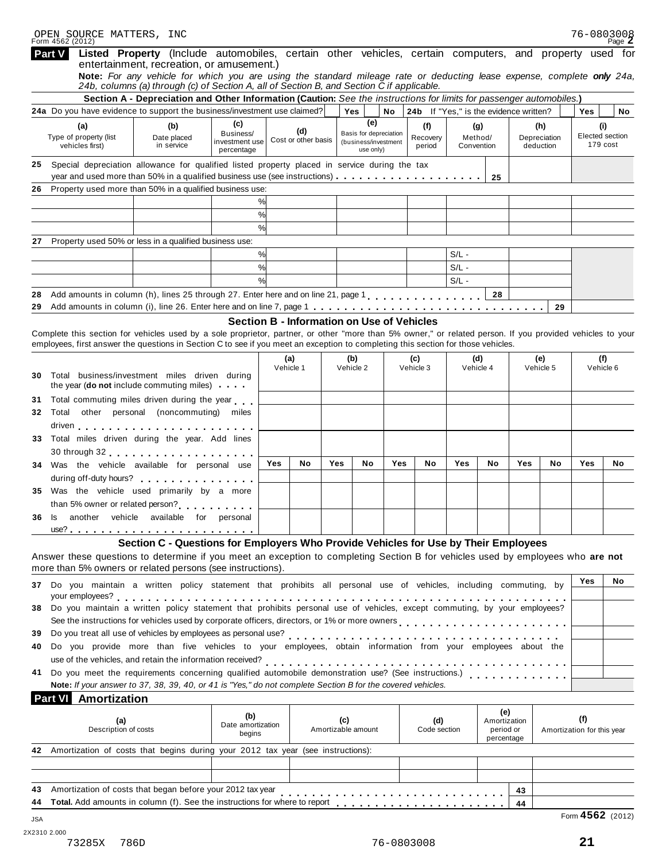|          | <b>Part V</b> |                             |                      |                                                        | Listed Property (Include automobiles, certain other vehicles, certain computers, and property used for<br>entertainment, recreation, or amusement.)                                                                                                                                            |               |                     |            |                                                |     |                                                   |            |              |     |                  |                            |                             |
|----------|---------------|-----------------------------|----------------------|--------------------------------------------------------|------------------------------------------------------------------------------------------------------------------------------------------------------------------------------------------------------------------------------------------------------------------------------------------------|---------------|---------------------|------------|------------------------------------------------|-----|---------------------------------------------------|------------|--------------|-----|------------------|----------------------------|-----------------------------|
|          |               |                             |                      |                                                        | Note: For any vehicle for which you are using the standard mileage rate or deducting lease expense, complete only 24a,<br>24b, columns (a) through (c) of Section A, all of Section B, and Section C if applicable.                                                                            |               |                     |            |                                                |     |                                                   |            |              |     |                  |                            |                             |
|          |               |                             |                      |                                                        | Section A - Depreciation and Other Information (Caution: See the instructions for limits for passenger automobiles.)                                                                                                                                                                           |               |                     |            |                                                |     |                                                   |            |              |     |                  |                            |                             |
|          |               |                             |                      |                                                        | 24a Do you have evidence to support the business/investment use claimed?                                                                                                                                                                                                                       |               |                     |            | Yes                                            | No  | 24b If "Yes," is the evidence written?            |            |              |     |                  | Yes                        | No                          |
|          |               | (a)                         |                      | (b)                                                    | (c)                                                                                                                                                                                                                                                                                            |               | (d)                 |            | (e)                                            |     | (f)                                               |            | (g)          |     | (h)              |                            | (i)                         |
|          |               | Type of property (list      |                      | Date placed<br>in service                              | Business/<br>investment use                                                                                                                                                                                                                                                                    |               | Cost or other basis |            | Basis for depreciation<br>(business/investment |     | Recovery                                          | Method/    |              |     | Depreciation     |                            | Elected section<br>179 cost |
|          |               | vehicles first)             |                      |                                                        | percentage                                                                                                                                                                                                                                                                                     |               |                     |            | use only)                                      |     | period                                            | Convention |              |     | deduction        |                            |                             |
| 25       |               |                             |                      |                                                        | Special depreciation allowance for qualified listed property placed in service during the tax                                                                                                                                                                                                  |               |                     |            |                                                |     |                                                   |            |              |     |                  |                            |                             |
|          |               |                             |                      |                                                        |                                                                                                                                                                                                                                                                                                |               |                     |            |                                                |     |                                                   |            | 25           |     |                  |                            |                             |
| 26       |               |                             |                      |                                                        | Property used more than 50% in a qualified business use:                                                                                                                                                                                                                                       |               |                     |            |                                                |     |                                                   |            |              |     |                  |                            |                             |
|          |               |                             |                      |                                                        |                                                                                                                                                                                                                                                                                                | %             |                     |            |                                                |     |                                                   |            |              |     |                  |                            |                             |
|          |               |                             |                      |                                                        |                                                                                                                                                                                                                                                                                                | %             |                     |            |                                                |     |                                                   |            |              |     |                  |                            |                             |
|          |               |                             |                      |                                                        |                                                                                                                                                                                                                                                                                                | %             |                     |            |                                                |     |                                                   |            |              |     |                  |                            |                             |
| 27       |               |                             |                      | Property used 50% or less in a qualified business use: |                                                                                                                                                                                                                                                                                                |               |                     |            |                                                |     |                                                   |            |              |     |                  |                            |                             |
|          |               |                             |                      |                                                        |                                                                                                                                                                                                                                                                                                | %             |                     |            |                                                |     |                                                   | $S/L -$    |              |     |                  |                            |                             |
|          |               |                             |                      |                                                        |                                                                                                                                                                                                                                                                                                | %             |                     |            |                                                |     |                                                   | $S/L -$    |              |     |                  |                            |                             |
|          |               |                             |                      |                                                        |                                                                                                                                                                                                                                                                                                | $\frac{9}{6}$ |                     |            |                                                |     |                                                   | $S/L -$    |              |     |                  |                            |                             |
|          |               |                             |                      |                                                        | Add amounts in column (h), lines 25 through 27. Enter here and on line 21, page 1, , , , , , , , , , , , , , ,                                                                                                                                                                                 |               |                     |            |                                                |     |                                                   |            | 28           |     |                  |                            |                             |
| 28<br>29 |               |                             |                      |                                                        |                                                                                                                                                                                                                                                                                                |               |                     |            |                                                |     |                                                   |            |              |     |                  |                            |                             |
|          |               |                             |                      |                                                        |                                                                                                                                                                                                                                                                                                |               |                     |            |                                                |     |                                                   |            |              |     | 29               |                            |                             |
|          |               |                             |                      |                                                        |                                                                                                                                                                                                                                                                                                |               |                     |            |                                                |     | <b>Section B - Information on Use of Vehicles</b> |            |              |     |                  |                            |                             |
|          |               |                             |                      |                                                        | Complete this section for vehicles used by a sole proprietor, partner, or other "more than 5% owner," or related person. If you provided vehicles to your<br>employees, first answer the questions in Section C to see if you meet an exception to completing this section for those vehicles. |               |                     |            |                                                |     |                                                   |            |              |     |                  |                            |                             |
|          |               |                             |                      |                                                        |                                                                                                                                                                                                                                                                                                |               |                     |            |                                                |     |                                                   |            |              |     |                  |                            |                             |
|          |               |                             |                      |                                                        |                                                                                                                                                                                                                                                                                                |               | (a)<br>Vehicle 1    |            | (b)<br>Vehicle 2                               |     | (c)<br>Vehicle 3                                  | Vehicle 4  | (d)          |     | (e)<br>Vehicle 5 |                            | (f)<br>Vehicle 6            |
| 30       |               |                             |                      | Total business/investment miles driven during          |                                                                                                                                                                                                                                                                                                |               |                     |            |                                                |     |                                                   |            |              |     |                  |                            |                             |
|          |               |                             |                      | the year (do not include commuting miles)              |                                                                                                                                                                                                                                                                                                |               |                     |            |                                                |     |                                                   |            |              |     |                  |                            |                             |
| 31       |               |                             |                      |                                                        | Total commuting miles driven during the year                                                                                                                                                                                                                                                   |               |                     |            |                                                |     |                                                   |            |              |     |                  |                            |                             |
| 32       | Total         |                             |                      | other personal (noncommuting) miles                    |                                                                                                                                                                                                                                                                                                |               |                     |            |                                                |     |                                                   |            |              |     |                  |                            |                             |
|          |               |                             |                      |                                                        |                                                                                                                                                                                                                                                                                                |               |                     |            |                                                |     |                                                   |            |              |     |                  |                            |                             |
| 33.      |               |                             |                      | Total miles driven during the year. Add lines          |                                                                                                                                                                                                                                                                                                |               |                     |            |                                                |     |                                                   |            |              |     |                  |                            |                             |
|          |               |                             |                      |                                                        |                                                                                                                                                                                                                                                                                                |               |                     |            |                                                |     |                                                   |            |              |     |                  |                            |                             |
| 34       |               |                             |                      | Was the vehicle available for personal use             |                                                                                                                                                                                                                                                                                                | Yes           | No.                 | <b>Yes</b> | No                                             | Yes | No                                                | Yes        | No           | Yes | No               | Yes                        | No                          |
|          |               |                             |                      |                                                        | during off-duty hours?                                                                                                                                                                                                                                                                         |               |                     |            |                                                |     |                                                   |            |              |     |                  |                            |                             |
| 35       |               |                             |                      | Was the vehicle used primarily by a more               |                                                                                                                                                                                                                                                                                                |               |                     |            |                                                |     |                                                   |            |              |     |                  |                            |                             |
|          |               |                             |                      |                                                        |                                                                                                                                                                                                                                                                                                |               |                     |            |                                                |     |                                                   |            |              |     |                  |                            |                             |
|          |               |                             |                      |                                                        | than 5% owner or related person?                                                                                                                                                                                                                                                               |               |                     |            |                                                |     |                                                   |            |              |     |                  |                            |                             |
| 36       | ls            |                             |                      | another vehicle available for personal                 |                                                                                                                                                                                                                                                                                                |               |                     |            |                                                |     |                                                   |            |              |     |                  |                            |                             |
|          |               |                             |                      |                                                        |                                                                                                                                                                                                                                                                                                |               |                     |            |                                                |     |                                                   |            |              |     |                  |                            |                             |
|          |               |                             |                      |                                                        | Section C - Questions for Employers Who Provide Vehicles for Use by Their Employees                                                                                                                                                                                                            |               |                     |            |                                                |     |                                                   |            |              |     |                  |                            |                             |
|          |               |                             |                      |                                                        | Answer these questions to determine if you meet an exception to completing Section B for vehicles used by employees who are not                                                                                                                                                                |               |                     |            |                                                |     |                                                   |            |              |     |                  |                            |                             |
|          |               |                             |                      |                                                        | more than 5% owners or related persons (see instructions).                                                                                                                                                                                                                                     |               |                     |            |                                                |     |                                                   |            |              |     |                  |                            |                             |
| 37       |               |                             |                      |                                                        | Do you maintain a written policy statement that prohibits all personal use of vehicles, including commuting, by                                                                                                                                                                                |               |                     |            |                                                |     |                                                   |            |              |     |                  | Yes                        | No                          |
|          |               |                             |                      |                                                        |                                                                                                                                                                                                                                                                                                |               |                     |            |                                                |     |                                                   |            |              |     |                  |                            |                             |
| 38       |               |                             |                      |                                                        | Do you maintain a written policy statement that prohibits personal use of vehicles, except commuting, by your employees?                                                                                                                                                                       |               |                     |            |                                                |     |                                                   |            |              |     |                  |                            |                             |
|          |               |                             |                      |                                                        | See the instructions for vehicles used by corporate officers, directors, or 1% or more owners produced and provided in the content of the set of the content of the content of the content of the content of the content of th                                                                 |               |                     |            |                                                |     |                                                   |            |              |     |                  |                            |                             |
| 39       |               |                             |                      |                                                        |                                                                                                                                                                                                                                                                                                |               |                     |            |                                                |     |                                                   |            |              |     |                  |                            |                             |
| 40       |               |                             |                      |                                                        | Do you provide more than five vehicles to your employees, obtain information from your employees about the                                                                                                                                                                                     |               |                     |            |                                                |     |                                                   |            |              |     |                  |                            |                             |
|          |               |                             |                      |                                                        |                                                                                                                                                                                                                                                                                                |               |                     |            |                                                |     |                                                   |            |              |     |                  |                            |                             |
| 41       |               |                             |                      |                                                        | Do you meet the requirements concerning qualified automobile demonstration use? (See instructions.)                                                                                                                                                                                            |               |                     |            |                                                |     |                                                   |            |              |     |                  |                            |                             |
|          |               |                             |                      |                                                        | Note: If your answer to 37, 38, 39, 40, or 41 is "Yes," do not complete Section B for the covered vehicles.                                                                                                                                                                                    |               |                     |            |                                                |     |                                                   |            |              |     |                  |                            |                             |
|          |               | <b>Part VI</b> Amortization |                      |                                                        |                                                                                                                                                                                                                                                                                                |               |                     |            |                                                |     |                                                   |            |              |     |                  |                            |                             |
|          |               |                             |                      |                                                        |                                                                                                                                                                                                                                                                                                |               |                     |            |                                                |     |                                                   |            | (e)          |     |                  |                            |                             |
|          |               |                             | (a)                  |                                                        | (b)<br>Date amortization                                                                                                                                                                                                                                                                       |               |                     | (c)        |                                                |     | (d)                                               |            | Amortization |     |                  | (f)                        |                             |
|          |               |                             | Description of costs |                                                        | begins                                                                                                                                                                                                                                                                                         |               |                     |            | Amortizable amount                             |     | Code section                                      |            | period or    |     |                  | Amortization for this year |                             |
|          |               |                             |                      |                                                        |                                                                                                                                                                                                                                                                                                |               |                     |            |                                                |     |                                                   |            | percentage   |     |                  |                            |                             |
| 42       |               |                             |                      |                                                        | Amortization of costs that begins during your 2012 tax year (see instructions):                                                                                                                                                                                                                |               |                     |            |                                                |     |                                                   |            |              |     |                  |                            |                             |
|          |               |                             |                      |                                                        |                                                                                                                                                                                                                                                                                                |               |                     |            |                                                |     |                                                   |            |              |     |                  |                            |                             |
|          |               |                             |                      |                                                        |                                                                                                                                                                                                                                                                                                |               |                     |            |                                                |     |                                                   |            |              |     |                  |                            |                             |
|          |               |                             |                      |                                                        | 43 Amortization of costs that began before your 2012 tax year                                                                                                                                                                                                                                  |               |                     |            |                                                |     |                                                   |            |              | 42  |                  |                            |                             |

|     | 43 Amortization of costs that began before your 2012 tax year                                                                                                                                                                  |  |  | 43 |                    |
|-----|--------------------------------------------------------------------------------------------------------------------------------------------------------------------------------------------------------------------------------|--|--|----|--------------------|
|     | 44 Total. Add amounts in column (f). See the instructions for where to report enterprise and set of the set of the set of the set of the set of the set of the set of the set of the set of the set of the set of the set of t |  |  |    |                    |
| JSA |                                                                                                                                                                                                                                |  |  |    | Form $4562$ (2012) |

2X2310 2.000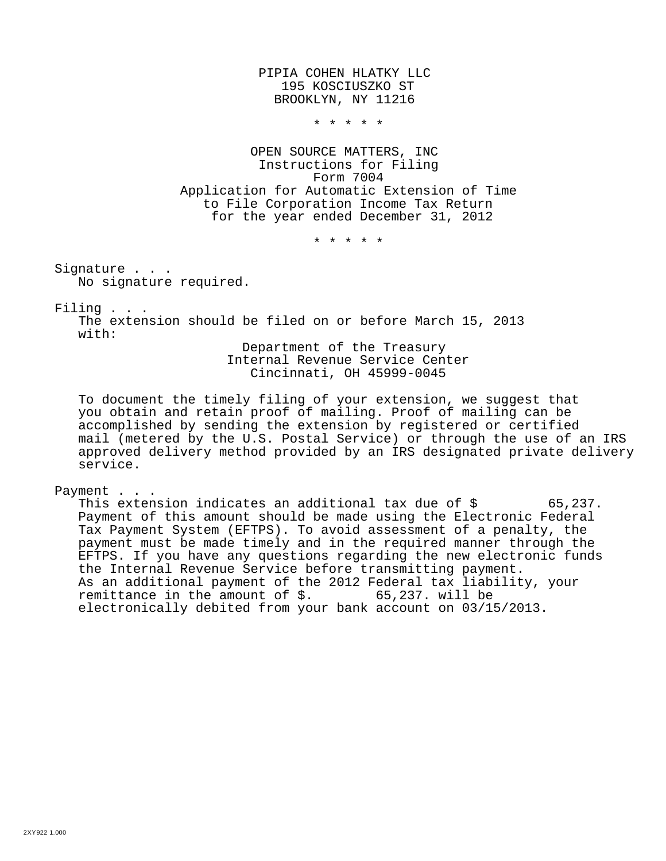PIPIA COHEN HLATKY LLC 195 KOSCIUSZKO ST BROOKLYN, NY 11216

\* \* \* \* \*

OPEN SOURCE MATTERS, INC Instructions for Filing Form 7004 Application for Automatic Extension of Time to File Corporation Income Tax Return for the year ended December 31, 2012

\* \* \* \* \*

Signature . . . No signature required.

Filing . . .

The extension should be filed on or before March 15, 2013 with:

> Department of the Treasury Internal Revenue Service Center Cincinnati, OH 45999-0045

To document the timely filing of your extension, we suggest that you obtain and retain proof of mailing. Proof of mailing can be accomplished by sending the extension by registered or certified mail (metered by the U.S. Postal Service) or through the use of an IRS approved delivery method provided by an IRS designated private delivery service.

Payment . . .

This extension indicates an additional tax due of  $\zeta$  65,237. Payment of this amount should be made using the Electronic Federal Tax Payment System (EFTPS). To avoid assessment of a penalty, the payment must be made timely and in the required manner through the EFTPS. If you have any questions regarding the new electronic funds the Internal Revenue Service before transmitting payment. As an additional payment of the 2012 Federal tax liability, your remittance in the amount of  $\zeta$ . 65,237. will be electronically debited from your bank account on 03/15/2013.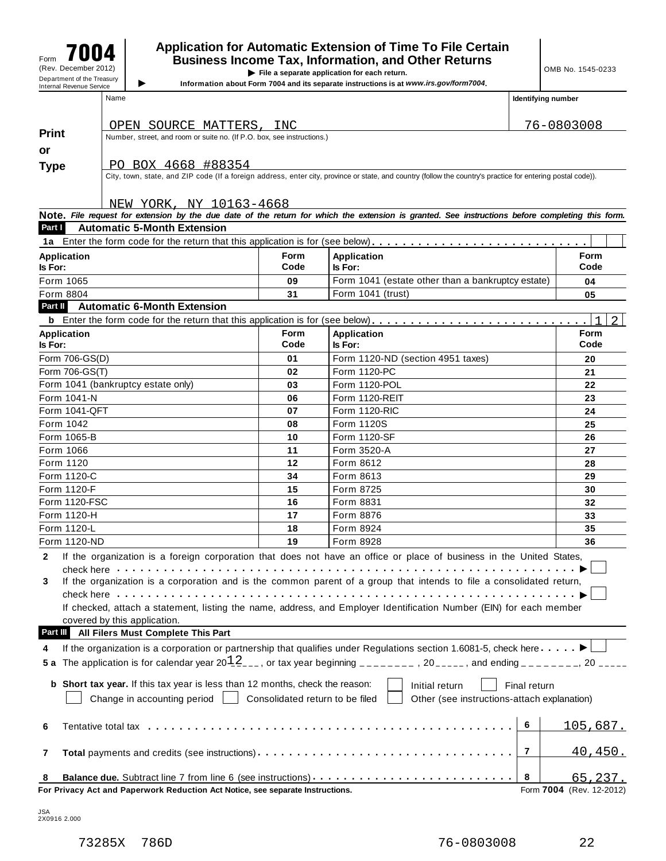### $\mathcal{F}_{\text{form}}$  **7004** Application for Automatic Extension of Time To File Certain<br>Eqs. 3004 Business Income Tax, Information, and Other Returns Figure **1990 CONSING ISLANT CONSISTING A**<br>
(Rev. December 2012) **File a separate application for each return.**<br>
Department of the Treasury **of the State of Application is a separate instructions is at www.irs cov/form700**

**IDERTHERE IS a separate application for each return.**<br>Information about Form 7004 and its separate instructions is at *www.irs.gov/form7004*.

| Name | Identifying number |
|------|--------------------|
|      |                    |

|                |                    | OPEN SOURCE MATTERS, INC                                                                                       |                                 |                                                                                                                                                                                                                                | 76-0803008                          |
|----------------|--------------------|----------------------------------------------------------------------------------------------------------------|---------------------------------|--------------------------------------------------------------------------------------------------------------------------------------------------------------------------------------------------------------------------------|-------------------------------------|
| <b>Print</b>   |                    | Number, street, and room or suite no. (If P.O. box, see instructions.)                                         |                                 |                                                                                                                                                                                                                                |                                     |
| or             |                    |                                                                                                                |                                 |                                                                                                                                                                                                                                |                                     |
| Type           |                    | PO BOX 4668 #88354                                                                                             |                                 |                                                                                                                                                                                                                                |                                     |
|                |                    |                                                                                                                |                                 | City, town, state, and ZIP code (If a foreign address, enter city, province or state, and country (follow the country's practice for entering postal code)).                                                                   |                                     |
|                |                    |                                                                                                                |                                 |                                                                                                                                                                                                                                |                                     |
|                |                    | NEW YORK, NY 10163-4668                                                                                        |                                 |                                                                                                                                                                                                                                |                                     |
|                |                    |                                                                                                                |                                 | Note. File request for extension by the due date of the return for which the extension is granted. See instructions before completing this form.                                                                               |                                     |
| Part I         |                    | <b>Automatic 5-Month Extension</b>                                                                             |                                 |                                                                                                                                                                                                                                |                                     |
|                |                    |                                                                                                                |                                 | 1a Enter the form code for the return that this application is for (see below).                                                                                                                                                |                                     |
| ls For:        | <b>Application</b> |                                                                                                                | <b>Form</b><br>Code             | <b>Application</b><br>Is For:                                                                                                                                                                                                  | Form<br>Code                        |
|                | Form 1065          |                                                                                                                | 09                              | Form 1041 (estate other than a bankruptcy estate)                                                                                                                                                                              | 04                                  |
|                | Form 8804          |                                                                                                                | 31                              | Form 1041 (trust)                                                                                                                                                                                                              | 05                                  |
| Part II        |                    | <b>Automatic 6-Month Extension</b>                                                                             |                                 |                                                                                                                                                                                                                                |                                     |
|                |                    |                                                                                                                |                                 |                                                                                                                                                                                                                                |                                     |
|                | <b>Application</b> |                                                                                                                | <b>Form</b>                     | <b>Application</b>                                                                                                                                                                                                             | Form                                |
| <b>Is For:</b> |                    |                                                                                                                | Code                            | Is For:                                                                                                                                                                                                                        | Code                                |
|                | Form 706-GS(D)     |                                                                                                                | 01                              | Form 1120-ND (section 4951 taxes)                                                                                                                                                                                              | 20                                  |
|                | Form 706-GS(T)     |                                                                                                                | 02                              | Form 1120-PC                                                                                                                                                                                                                   | 21                                  |
|                |                    | Form 1041 (bankruptcy estate only)                                                                             | 03                              | Form 1120-POL                                                                                                                                                                                                                  | 22                                  |
|                | Form 1041-N        |                                                                                                                | 06                              | Form 1120-REIT                                                                                                                                                                                                                 | 23                                  |
|                | Form 1041-QFT      |                                                                                                                | 07                              | Form 1120-RIC                                                                                                                                                                                                                  | 24                                  |
|                | Form 1042          |                                                                                                                | 08                              | Form 1120S                                                                                                                                                                                                                     | 25                                  |
|                | Form 1065-B        |                                                                                                                | 10                              | Form 1120-SF                                                                                                                                                                                                                   | 26                                  |
|                | Form 1066          |                                                                                                                | 11                              | Form 3520-A                                                                                                                                                                                                                    | 27                                  |
|                | Form 1120          |                                                                                                                | 12                              | Form 8612                                                                                                                                                                                                                      | 28                                  |
|                | Form 1120-C        |                                                                                                                | 34                              | Form 8613                                                                                                                                                                                                                      | 29                                  |
|                | Form 1120-F        |                                                                                                                | 15                              | Form 8725                                                                                                                                                                                                                      | 30                                  |
|                | Form 1120-FSC      |                                                                                                                | 16                              | Form 8831                                                                                                                                                                                                                      | 32                                  |
|                | Form 1120-H        |                                                                                                                | 17                              | Form 8876                                                                                                                                                                                                                      | 33                                  |
|                | Form 1120-L        |                                                                                                                | 18                              | Form 8924                                                                                                                                                                                                                      | 35                                  |
|                | Form 1120-ND       |                                                                                                                | 19                              | Form 8928                                                                                                                                                                                                                      | 36                                  |
| $\mathbf{2}$   |                    |                                                                                                                |                                 | If the organization is a foreign corporation that does not have an office or place of business in the United States,                                                                                                           |                                     |
|                |                    | check here with the check here.                                                                                |                                 |                                                                                                                                                                                                                                |                                     |
| 3              |                    |                                                                                                                |                                 | If the organization is a corporation and is the common parent of a group that intends to file a consolidated return,                                                                                                           |                                     |
|                |                    | check here with a state of the state of the state of the state of the state of the state of the state of the s | .                               |                                                                                                                                                                                                                                |                                     |
|                |                    |                                                                                                                |                                 | If checked, attach a statement, listing the name, address, and Employer Identification Number (EIN) for each member                                                                                                            |                                     |
|                |                    | covered by this application.                                                                                   |                                 |                                                                                                                                                                                                                                |                                     |
| Part III       |                    | All Filers Must Complete This Part                                                                             |                                 |                                                                                                                                                                                                                                |                                     |
| 4              |                    |                                                                                                                |                                 | If the organization is a corporation or partnership that qualifies under Regulations section 1.6081-5, check here                                                                                                              |                                     |
| 5 a            |                    |                                                                                                                |                                 | The application is for calendar year $20\frac{1}{2}$ , or tax year beginning _______, 20____, and ending ______, 20 ____                                                                                                       |                                     |
|                |                    |                                                                                                                |                                 |                                                                                                                                                                                                                                |                                     |
|                |                    | <b>b</b> Short tax year. If this tax year is less than 12 months, check the reason:                            |                                 | Initial return                                                                                                                                                                                                                 | Final return                        |
|                |                    | Change in accounting period                                                                                    | Consolidated return to be filed | Other (see instructions-attach explanation)                                                                                                                                                                                    |                                     |
|                |                    |                                                                                                                |                                 |                                                                                                                                                                                                                                |                                     |
| 6              |                    |                                                                                                                |                                 | Tentative total tax experience in the contract of the contract of the contract of the contract of the contract of the contract of the contract of the contract of the contract of the contract of the contract of the contract | 6<br><u> 105,687.</u>               |
| 7              |                    |                                                                                                                |                                 |                                                                                                                                                                                                                                | 7<br><u>40,450.</u>                 |
|                |                    |                                                                                                                |                                 | Balance due. Subtract line 7 from line 6 (see instructions)                                                                                                                                                                    | 8                                   |
| 8              |                    | For Privacy Act and Paperwork Reduction Act Notice, see separate Instructions.                                 |                                 |                                                                                                                                                                                                                                | 65,237.<br>Form 7004 (Rev. 12-2012) |

JSA 2X0916 2.000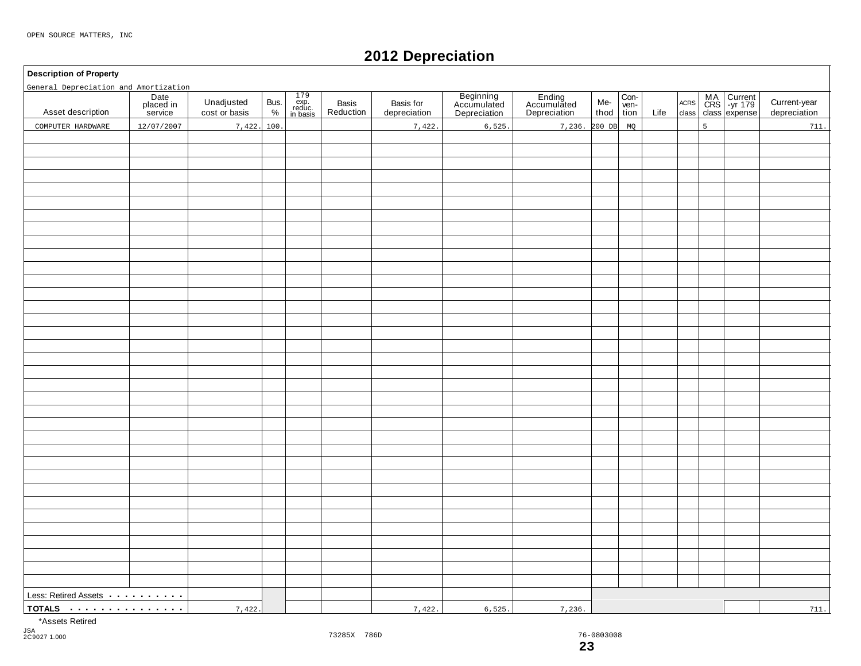### **2012 Depreciation**

#### **Description of Property**

| General Depreciation and Amortization    |                              |                             |              |                                                                                        |                    |                           |                                          |                                       |             |                      |      |                     |                |                                            |                              |
|------------------------------------------|------------------------------|-----------------------------|--------------|----------------------------------------------------------------------------------------|--------------------|---------------------------|------------------------------------------|---------------------------------------|-------------|----------------------|------|---------------------|----------------|--------------------------------------------|------------------------------|
| Asset description                        | Date<br>placed in<br>service | Unadjusted<br>cost or basis | Bus.<br>$\%$ | $\begin{array}{c} 179 \\ \text{exp.} \\ \text{reduce.} \\ \text{in basis} \end{array}$ | Basis<br>Reduction | Basis for<br>depreciation | Beginning<br>Accumulated<br>Depreciation | Ending<br>Accumulated<br>Depreciation | Me-<br>thod | Con-<br>ven-<br>tion | Life | $\sf ACRS$<br>class |                | MA Current<br>CRS -yr 179<br>class expense | Current-year<br>depreciation |
| COMPUTER HARDWARE                        | 12/07/2007                   | 7,422.                      | 100.         |                                                                                        |                    | 7,422                     | 6,525                                    | 7,236. 200 DB                         |             | MQ                   |      |                     | $\overline{5}$ |                                            | 711.                         |
|                                          |                              |                             |              |                                                                                        |                    |                           |                                          |                                       |             |                      |      |                     |                |                                            |                              |
|                                          |                              |                             |              |                                                                                        |                    |                           |                                          |                                       |             |                      |      |                     |                |                                            |                              |
|                                          |                              |                             |              |                                                                                        |                    |                           |                                          |                                       |             |                      |      |                     |                |                                            |                              |
|                                          |                              |                             |              |                                                                                        |                    |                           |                                          |                                       |             |                      |      |                     |                |                                            |                              |
|                                          |                              |                             |              |                                                                                        |                    |                           |                                          |                                       |             |                      |      |                     |                |                                            |                              |
|                                          |                              |                             |              |                                                                                        |                    |                           |                                          |                                       |             |                      |      |                     |                |                                            |                              |
|                                          |                              |                             |              |                                                                                        |                    |                           |                                          |                                       |             |                      |      |                     |                |                                            |                              |
|                                          |                              |                             |              |                                                                                        |                    |                           |                                          |                                       |             |                      |      |                     |                |                                            |                              |
|                                          |                              |                             |              |                                                                                        |                    |                           |                                          |                                       |             |                      |      |                     |                |                                            |                              |
|                                          |                              |                             |              |                                                                                        |                    |                           |                                          |                                       |             |                      |      |                     |                |                                            |                              |
|                                          |                              |                             |              |                                                                                        |                    |                           |                                          |                                       |             |                      |      |                     |                |                                            |                              |
|                                          |                              |                             |              |                                                                                        |                    |                           |                                          |                                       |             |                      |      |                     |                |                                            |                              |
|                                          |                              |                             |              |                                                                                        |                    |                           |                                          |                                       |             |                      |      |                     |                |                                            |                              |
|                                          |                              |                             |              |                                                                                        |                    |                           |                                          |                                       |             |                      |      |                     |                |                                            |                              |
|                                          |                              |                             |              |                                                                                        |                    |                           |                                          |                                       |             |                      |      |                     |                |                                            |                              |
|                                          |                              |                             |              |                                                                                        |                    |                           |                                          |                                       |             |                      |      |                     |                |                                            |                              |
|                                          |                              |                             |              |                                                                                        |                    |                           |                                          |                                       |             |                      |      |                     |                |                                            |                              |
|                                          |                              |                             |              |                                                                                        |                    |                           |                                          |                                       |             |                      |      |                     |                |                                            |                              |
|                                          |                              |                             |              |                                                                                        |                    |                           |                                          |                                       |             |                      |      |                     |                |                                            |                              |
|                                          |                              |                             |              |                                                                                        |                    |                           |                                          |                                       |             |                      |      |                     |                |                                            |                              |
|                                          |                              |                             |              |                                                                                        |                    |                           |                                          |                                       |             |                      |      |                     |                |                                            |                              |
|                                          |                              |                             |              |                                                                                        |                    |                           |                                          |                                       |             |                      |      |                     |                |                                            |                              |
|                                          |                              |                             |              |                                                                                        |                    |                           |                                          |                                       |             |                      |      |                     |                |                                            |                              |
|                                          |                              |                             |              |                                                                                        |                    |                           |                                          |                                       |             |                      |      |                     |                |                                            |                              |
|                                          |                              |                             |              |                                                                                        |                    |                           |                                          |                                       |             |                      |      |                     |                |                                            |                              |
|                                          |                              |                             |              |                                                                                        |                    |                           |                                          |                                       |             |                      |      |                     |                |                                            |                              |
|                                          |                              |                             |              |                                                                                        |                    |                           |                                          |                                       |             |                      |      |                     |                |                                            |                              |
|                                          |                              |                             |              |                                                                                        |                    |                           |                                          |                                       |             |                      |      |                     |                |                                            |                              |
|                                          |                              |                             |              |                                                                                        |                    |                           |                                          |                                       |             |                      |      |                     |                |                                            |                              |
|                                          |                              |                             |              |                                                                                        |                    |                           |                                          |                                       |             |                      |      |                     |                |                                            |                              |
|                                          |                              |                             |              |                                                                                        |                    |                           |                                          |                                       |             |                      |      |                     |                |                                            |                              |
|                                          |                              |                             |              |                                                                                        |                    |                           |                                          |                                       |             |                      |      |                     |                |                                            |                              |
|                                          |                              |                             |              |                                                                                        |                    |                           |                                          |                                       |             |                      |      |                     |                |                                            |                              |
|                                          |                              |                             |              |                                                                                        |                    |                           |                                          |                                       |             |                      |      |                     |                |                                            |                              |
|                                          |                              |                             |              |                                                                                        |                    |                           |                                          |                                       |             |                      |      |                     |                |                                            |                              |
|                                          |                              |                             |              |                                                                                        |                    |                           |                                          |                                       |             |                      |      |                     |                |                                            |                              |
|                                          |                              |                             |              |                                                                                        |                    |                           |                                          |                                       |             |                      |      |                     |                |                                            |                              |
| Less: Retired Assets <b>Acceleration</b> |                              |                             |              |                                                                                        |                    |                           |                                          |                                       |             |                      |      |                     |                |                                            |                              |
| TOTALS                                   |                              | 7,422.                      |              |                                                                                        |                    | 7,422.                    | 6,525.                                   | 7,236.                                |             |                      |      |                     |                |                                            | 711.                         |
|                                          |                              |                             |              |                                                                                        |                    |                           |                                          |                                       |             |                      |      |                     |                |                                            |                              |

\*Assets Retired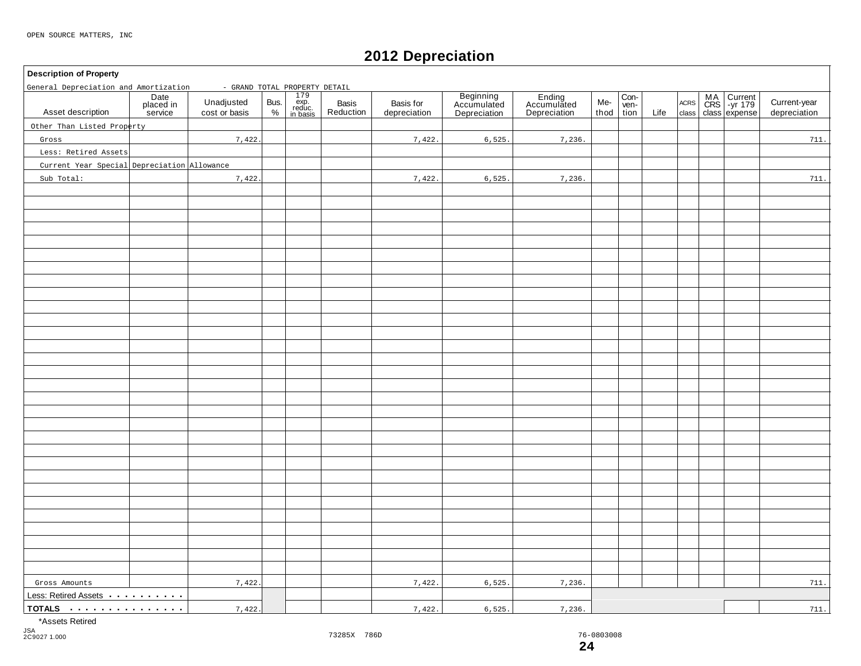### **2012 Depreciation**

#### **Description of Property**

| General Depreciation and Amortization<br>- GRAND TOTAL PROPERTY DETAIL |                              |                             |              |                                                                                                              |                    |                           |                                          |                                       |             |                      |      |                     |  |                                    |                              |
|------------------------------------------------------------------------|------------------------------|-----------------------------|--------------|--------------------------------------------------------------------------------------------------------------|--------------------|---------------------------|------------------------------------------|---------------------------------------|-------------|----------------------|------|---------------------|--|------------------------------------|------------------------------|
| Asset description                                                      | Date<br>placed in<br>service | Unadjusted<br>cost or basis | Bus.<br>$\%$ | $\begin{array}{r}\n 179 \\  \times p. \\  \text{reduce.} \\  \text{index} \\  \text{in basis}\n \end{array}$ | Basis<br>Reduction | Basis for<br>depreciation | Beginning<br>Accumulated<br>Depreciation | Ending<br>Accumulated<br>Depreciation | Me-<br>thod | Con-<br>ven-<br>tion | Life | $\sf ACRS$<br>class |  | MA<br>CRS -yr 179<br>class expense | Current-year<br>depreciation |
| Other Than Listed Property                                             |                              |                             |              |                                                                                                              |                    |                           |                                          |                                       |             |                      |      |                     |  |                                    |                              |
| Gross                                                                  |                              | 7,422.                      |              |                                                                                                              |                    | 7,422.                    | 6,525.                                   | 7,236.                                |             |                      |      |                     |  |                                    | 711.                         |
| Less: Retired Assets                                                   |                              |                             |              |                                                                                                              |                    |                           |                                          |                                       |             |                      |      |                     |  |                                    |                              |
| Current Year Special Depreciation Allowance                            |                              |                             |              |                                                                                                              |                    |                           |                                          |                                       |             |                      |      |                     |  |                                    |                              |
| Sub Total:                                                             |                              | 7,422.                      |              |                                                                                                              |                    | 7,422.                    | 6,525.                                   | 7,236.                                |             |                      |      |                     |  |                                    | 711.                         |
|                                                                        |                              |                             |              |                                                                                                              |                    |                           |                                          |                                       |             |                      |      |                     |  |                                    |                              |
|                                                                        |                              |                             |              |                                                                                                              |                    |                           |                                          |                                       |             |                      |      |                     |  |                                    |                              |
|                                                                        |                              |                             |              |                                                                                                              |                    |                           |                                          |                                       |             |                      |      |                     |  |                                    |                              |
|                                                                        |                              |                             |              |                                                                                                              |                    |                           |                                          |                                       |             |                      |      |                     |  |                                    |                              |
|                                                                        |                              |                             |              |                                                                                                              |                    |                           |                                          |                                       |             |                      |      |                     |  |                                    |                              |
|                                                                        |                              |                             |              |                                                                                                              |                    |                           |                                          |                                       |             |                      |      |                     |  |                                    |                              |
|                                                                        |                              |                             |              |                                                                                                              |                    |                           |                                          |                                       |             |                      |      |                     |  |                                    |                              |
|                                                                        |                              |                             |              |                                                                                                              |                    |                           |                                          |                                       |             |                      |      |                     |  |                                    |                              |
|                                                                        |                              |                             |              |                                                                                                              |                    |                           |                                          |                                       |             |                      |      |                     |  |                                    |                              |
|                                                                        |                              |                             |              |                                                                                                              |                    |                           |                                          |                                       |             |                      |      |                     |  |                                    |                              |
|                                                                        |                              |                             |              |                                                                                                              |                    |                           |                                          |                                       |             |                      |      |                     |  |                                    |                              |
|                                                                        |                              |                             |              |                                                                                                              |                    |                           |                                          |                                       |             |                      |      |                     |  |                                    |                              |
|                                                                        |                              |                             |              |                                                                                                              |                    |                           |                                          |                                       |             |                      |      |                     |  |                                    |                              |
|                                                                        |                              |                             |              |                                                                                                              |                    |                           |                                          |                                       |             |                      |      |                     |  |                                    |                              |
|                                                                        |                              |                             |              |                                                                                                              |                    |                           |                                          |                                       |             |                      |      |                     |  |                                    |                              |
|                                                                        |                              |                             |              |                                                                                                              |                    |                           |                                          |                                       |             |                      |      |                     |  |                                    |                              |
|                                                                        |                              |                             |              |                                                                                                              |                    |                           |                                          |                                       |             |                      |      |                     |  |                                    |                              |
|                                                                        |                              |                             |              |                                                                                                              |                    |                           |                                          |                                       |             |                      |      |                     |  |                                    |                              |
|                                                                        |                              |                             |              |                                                                                                              |                    |                           |                                          |                                       |             |                      |      |                     |  |                                    |                              |
|                                                                        |                              |                             |              |                                                                                                              |                    |                           |                                          |                                       |             |                      |      |                     |  |                                    |                              |
|                                                                        |                              |                             |              |                                                                                                              |                    |                           |                                          |                                       |             |                      |      |                     |  |                                    |                              |
|                                                                        |                              |                             |              |                                                                                                              |                    |                           |                                          |                                       |             |                      |      |                     |  |                                    |                              |
|                                                                        |                              |                             |              |                                                                                                              |                    |                           |                                          |                                       |             |                      |      |                     |  |                                    |                              |
|                                                                        |                              |                             |              |                                                                                                              |                    |                           |                                          |                                       |             |                      |      |                     |  |                                    |                              |
|                                                                        |                              |                             |              |                                                                                                              |                    |                           |                                          |                                       |             |                      |      |                     |  |                                    |                              |
|                                                                        |                              |                             |              |                                                                                                              |                    |                           |                                          |                                       |             |                      |      |                     |  |                                    |                              |
|                                                                        |                              |                             |              |                                                                                                              |                    |                           |                                          |                                       |             |                      |      |                     |  |                                    |                              |
|                                                                        |                              |                             |              |                                                                                                              |                    |                           |                                          |                                       |             |                      |      |                     |  |                                    |                              |
|                                                                        |                              |                             |              |                                                                                                              |                    |                           |                                          |                                       |             |                      |      |                     |  |                                    |                              |
|                                                                        |                              |                             |              |                                                                                                              |                    |                           |                                          |                                       |             |                      |      |                     |  |                                    |                              |
| Gross Amounts                                                          |                              | 7,422.                      |              |                                                                                                              |                    | 7,422.                    | 6,525.                                   | 7,236.                                |             |                      |      |                     |  |                                    | 711.                         |
| Less: Retired Assets                                                   |                              |                             |              |                                                                                                              |                    |                           |                                          |                                       |             |                      |      |                     |  |                                    |                              |
| TOTALS                                                                 |                              | 7,422.                      |              |                                                                                                              |                    | 7,422.                    | 6,525.                                   | 7,236.                                |             |                      |      |                     |  | 711.                               |                              |

\*Assets Retired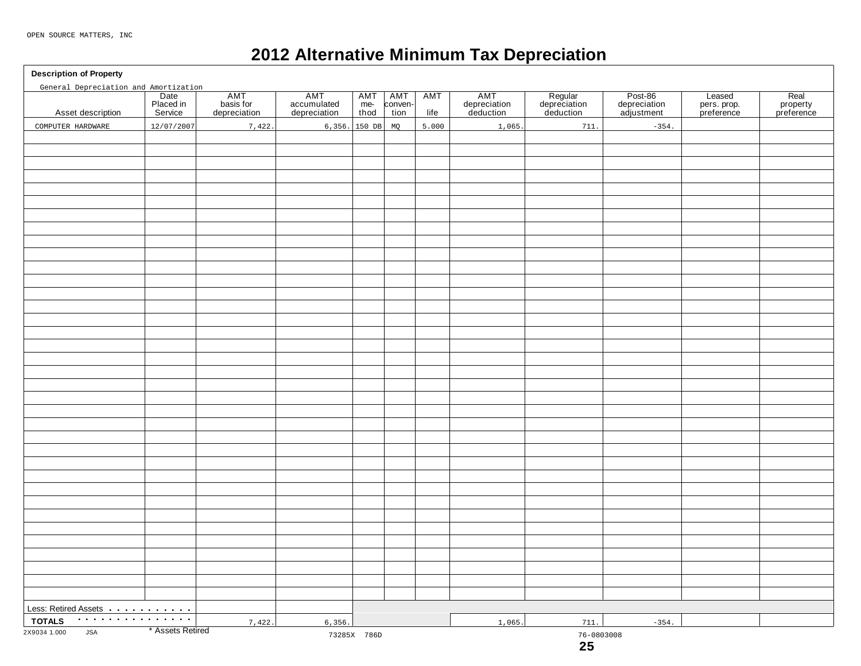### **2012 Alternative Minimum Tax Depreciation**

**Description of Property**

| General Depreciation and Amortization |                              |                                  |                                    |                      |                        |                    |                                  |                                      |                                       |                                     |                                |
|---------------------------------------|------------------------------|----------------------------------|------------------------------------|----------------------|------------------------|--------------------|----------------------------------|--------------------------------------|---------------------------------------|-------------------------------------|--------------------------------|
| Asset description                     | Date<br>Placed in<br>Service | AMT<br>basis for<br>depreciation | AMT<br>accumulated<br>depreciation | AMT<br>$me-$<br>thod | AMT<br>conven-<br>tion | <b>AMT</b><br>life | AMT<br>depreciation<br>deduction | Regular<br>depreciation<br>deduction | Post-86<br>depreciation<br>adjustment | Leased<br>pers. prop.<br>preference | Real<br>property<br>preference |
| COMPUTER HARDWARE                     | 12/07/2007                   | 7,422.                           |                                    | $6,356.$ 150 DB      | MQ                     | 5.000              | 1,065.                           | 711.                                 | $-354.$                               |                                     |                                |
|                                       |                              |                                  |                                    |                      |                        |                    |                                  |                                      |                                       |                                     |                                |
|                                       |                              |                                  |                                    |                      |                        |                    |                                  |                                      |                                       |                                     |                                |
|                                       |                              |                                  |                                    |                      |                        |                    |                                  |                                      |                                       |                                     |                                |
|                                       |                              |                                  |                                    |                      |                        |                    |                                  |                                      |                                       |                                     |                                |
|                                       |                              |                                  |                                    |                      |                        |                    |                                  |                                      |                                       |                                     |                                |
|                                       |                              |                                  |                                    |                      |                        |                    |                                  |                                      |                                       |                                     |                                |
|                                       |                              |                                  |                                    |                      |                        |                    |                                  |                                      |                                       |                                     |                                |
|                                       |                              |                                  |                                    |                      |                        |                    |                                  |                                      |                                       |                                     |                                |
|                                       |                              |                                  |                                    |                      |                        |                    |                                  |                                      |                                       |                                     |                                |
|                                       |                              |                                  |                                    |                      |                        |                    |                                  |                                      |                                       |                                     |                                |
|                                       |                              |                                  |                                    |                      |                        |                    |                                  |                                      |                                       |                                     |                                |
|                                       |                              |                                  |                                    |                      |                        |                    |                                  |                                      |                                       |                                     |                                |
|                                       |                              |                                  |                                    |                      |                        |                    |                                  |                                      |                                       |                                     |                                |
|                                       |                              |                                  |                                    |                      |                        |                    |                                  |                                      |                                       |                                     |                                |
|                                       |                              |                                  |                                    |                      |                        |                    |                                  |                                      |                                       |                                     |                                |
|                                       |                              |                                  |                                    |                      |                        |                    |                                  |                                      |                                       |                                     |                                |
|                                       |                              |                                  |                                    |                      |                        |                    |                                  |                                      |                                       |                                     |                                |
|                                       |                              |                                  |                                    |                      |                        |                    |                                  |                                      |                                       |                                     |                                |
|                                       |                              |                                  |                                    |                      |                        |                    |                                  |                                      |                                       |                                     |                                |
|                                       |                              |                                  |                                    |                      |                        |                    |                                  |                                      |                                       |                                     |                                |
|                                       |                              |                                  |                                    |                      |                        |                    |                                  |                                      |                                       |                                     |                                |
|                                       |                              |                                  |                                    |                      |                        |                    |                                  |                                      |                                       |                                     |                                |
|                                       |                              |                                  |                                    |                      |                        |                    |                                  |                                      |                                       |                                     |                                |
|                                       |                              |                                  |                                    |                      |                        |                    |                                  |                                      |                                       |                                     |                                |
|                                       |                              |                                  |                                    |                      |                        |                    |                                  |                                      |                                       |                                     |                                |
|                                       |                              |                                  |                                    |                      |                        |                    |                                  |                                      |                                       |                                     |                                |
|                                       |                              |                                  |                                    |                      |                        |                    |                                  |                                      |                                       |                                     |                                |
|                                       |                              |                                  |                                    |                      |                        |                    |                                  |                                      |                                       |                                     |                                |
|                                       |                              |                                  |                                    |                      |                        |                    |                                  |                                      |                                       |                                     |                                |
|                                       |                              |                                  |                                    |                      |                        |                    |                                  |                                      |                                       |                                     |                                |
|                                       |                              |                                  |                                    |                      |                        |                    |                                  |                                      |                                       |                                     |                                |
|                                       |                              |                                  |                                    |                      |                        |                    |                                  |                                      |                                       |                                     |                                |
|                                       |                              |                                  |                                    |                      |                        |                    |                                  |                                      |                                       |                                     |                                |
|                                       |                              |                                  |                                    |                      |                        |                    |                                  |                                      |                                       |                                     |                                |
|                                       |                              |                                  |                                    |                      |                        |                    |                                  |                                      |                                       |                                     |                                |
|                                       |                              |                                  |                                    |                      |                        |                    |                                  |                                      |                                       |                                     |                                |
| Less: Retired Assets                  |                              |                                  |                                    |                      |                        |                    |                                  |                                      |                                       |                                     |                                |
| . <b>.</b><br><b>TOTALS</b>           |                              |                                  |                                    |                      |                        |                    |                                  |                                      |                                       |                                     |                                |
| 2X9034 1.000<br><b>JSA</b>            | * Assets Retired             | 7,422.                           | 6,356.                             |                      |                        |                    | 1,065.                           | 711.                                 | $-354.$                               |                                     |                                |
|                                       |                              |                                  |                                    | 73285X 786D          |                        |                    |                                  | $76 - 0803008$<br>25                 |                                       |                                     |                                |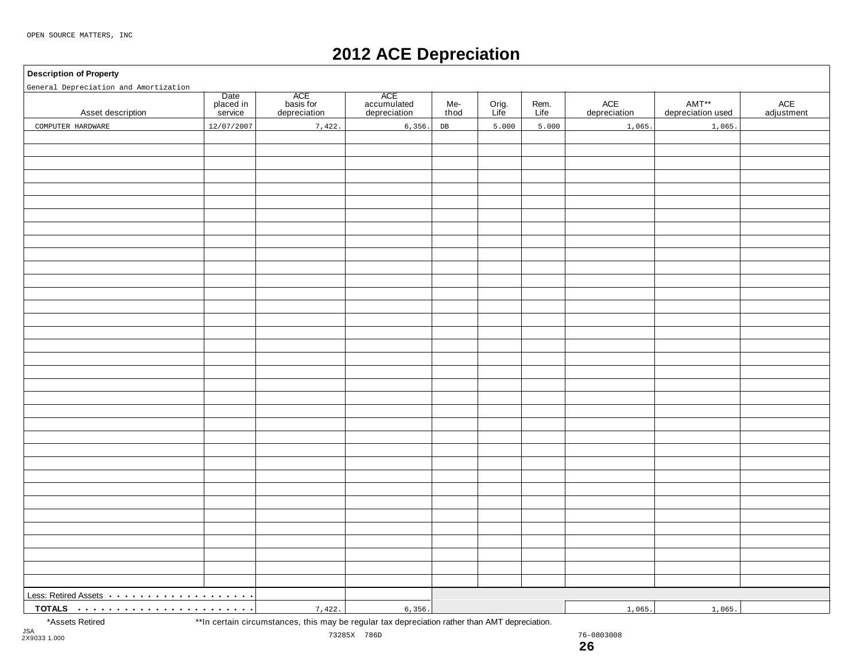### **2012 ACE Depreciation**

#### **Description of Property**

| General Depreciation and Amortization                         |                              |                                  |                                    |             |               |              |                     |                            |                   |
|---------------------------------------------------------------|------------------------------|----------------------------------|------------------------------------|-------------|---------------|--------------|---------------------|----------------------------|-------------------|
| Asset description                                             | Date<br>placed in<br>service | ACE<br>basis for<br>depreciation | ACE<br>accumulated<br>depreciation | Me-<br>thod | Orig.<br>Life | Rem.<br>Life | ACE<br>depreciation | AMT**<br>depreciation used | ACE<br>adjustment |
| COMPUTER HARDWARE                                             | 12/07/2007                   | 7,422.                           | 6, 356.                            | DB          | 5.000         | 5.000        | 1,065.              | 1,065.                     |                   |
|                                                               |                              |                                  |                                    |             |               |              |                     |                            |                   |
|                                                               |                              |                                  |                                    |             |               |              |                     |                            |                   |
|                                                               |                              |                                  |                                    |             |               |              |                     |                            |                   |
|                                                               |                              |                                  |                                    |             |               |              |                     |                            |                   |
|                                                               |                              |                                  |                                    |             |               |              |                     |                            |                   |
|                                                               |                              |                                  |                                    |             |               |              |                     |                            |                   |
|                                                               |                              |                                  |                                    |             |               |              |                     |                            |                   |
|                                                               |                              |                                  |                                    |             |               |              |                     |                            |                   |
|                                                               |                              |                                  |                                    |             |               |              |                     |                            |                   |
|                                                               |                              |                                  |                                    |             |               |              |                     |                            |                   |
|                                                               |                              |                                  |                                    |             |               |              |                     |                            |                   |
|                                                               |                              |                                  |                                    |             |               |              |                     |                            |                   |
|                                                               |                              |                                  |                                    |             |               |              |                     |                            |                   |
|                                                               |                              |                                  |                                    |             |               |              |                     |                            |                   |
|                                                               |                              |                                  |                                    |             |               |              |                     |                            |                   |
|                                                               |                              |                                  |                                    |             |               |              |                     |                            |                   |
|                                                               |                              |                                  |                                    |             |               |              |                     |                            |                   |
|                                                               |                              |                                  |                                    |             |               |              |                     |                            |                   |
|                                                               |                              |                                  |                                    |             |               |              |                     |                            |                   |
|                                                               |                              |                                  |                                    |             |               |              |                     |                            |                   |
|                                                               |                              |                                  |                                    |             |               |              |                     |                            |                   |
|                                                               |                              |                                  |                                    |             |               |              |                     |                            |                   |
|                                                               |                              |                                  |                                    |             |               |              |                     |                            |                   |
|                                                               |                              |                                  |                                    |             |               |              |                     |                            |                   |
|                                                               |                              |                                  |                                    |             |               |              |                     |                            |                   |
|                                                               |                              |                                  |                                    |             |               |              |                     |                            |                   |
|                                                               |                              |                                  |                                    |             |               |              |                     |                            |                   |
|                                                               |                              |                                  |                                    |             |               |              |                     |                            |                   |
|                                                               |                              |                                  |                                    |             |               |              |                     |                            |                   |
|                                                               |                              |                                  |                                    |             |               |              |                     |                            |                   |
|                                                               |                              |                                  |                                    |             |               |              |                     |                            |                   |
|                                                               |                              |                                  |                                    |             |               |              |                     |                            |                   |
|                                                               |                              |                                  |                                    |             |               |              |                     |                            |                   |
|                                                               |                              |                                  |                                    |             |               |              |                     |                            |                   |
|                                                               |                              |                                  |                                    |             |               |              |                     |                            |                   |
| Less: Retired Assets <b>Acceleration</b> Less: Retired Assets |                              |                                  |                                    |             |               |              |                     |                            |                   |
|                                                               |                              | 7,422.                           | 6, 356.                            |             |               |              | 1,065.              | 1,065.                     |                   |

\*Assets Retired \*\*In certain circumstances, this may be regular tax depreciation rather than AMT depreciation.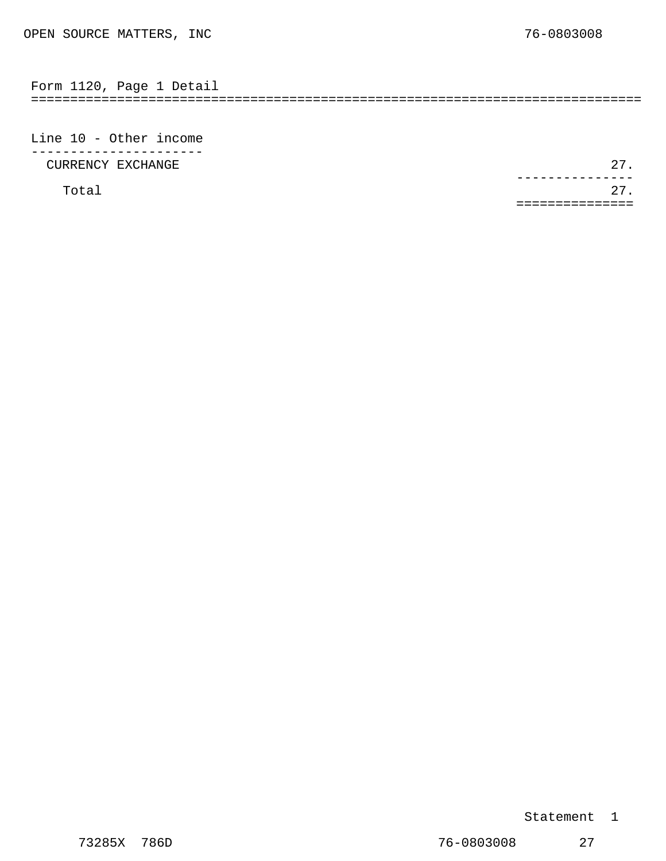<span id="page-17-0"></span>

| $\overline{\phantom{0}}$ | . ٻر، |  |  |
|--------------------------|-------|--|--|
|                          |       |  |  |

Line 10 - Other income ---------------------- CURRENCY EXCHANGE 27.

Total 27. ---------------<br>27. ===============

#### Statement 1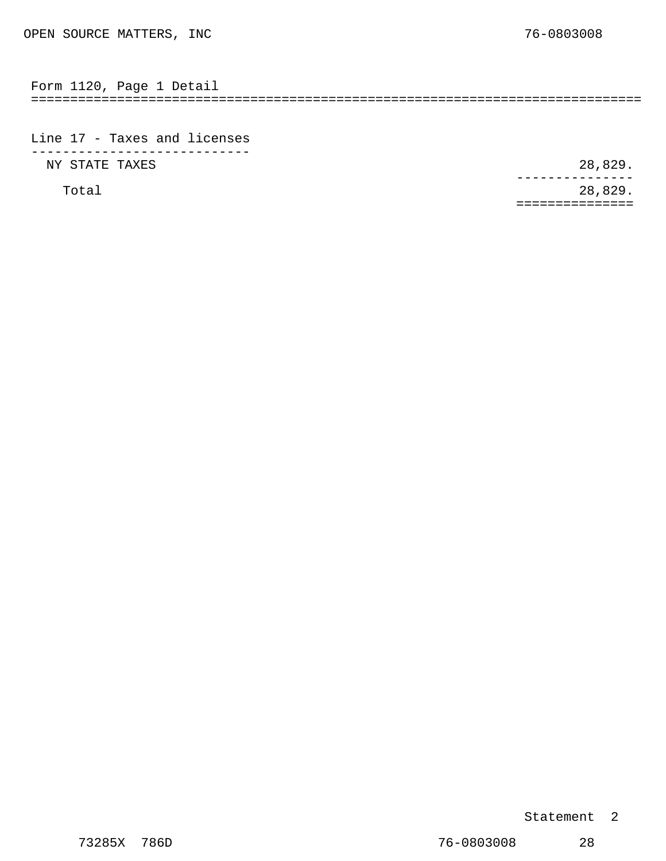<span id="page-18-0"></span>

| Form<br>1120 | Page | Detail |  |  |
|--------------|------|--------|--|--|
|              |      |        |  |  |

Line 17 - Taxes and licenses ---------------------------- NY STATE TAXES 28,829.

Total 28,829. --------------- ===============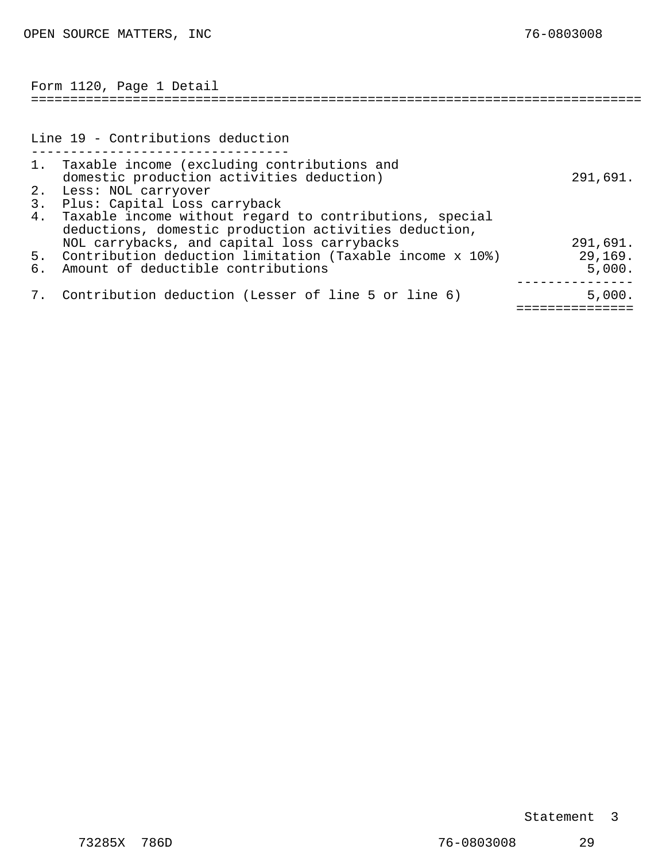<span id="page-19-0"></span>

|    | Form 1120, Page 1 Detail                                    |          |
|----|-------------------------------------------------------------|----------|
|    |                                                             |          |
|    | Line 19 - Contributions deduction                           |          |
|    | 1. Taxable income (excluding contributions and              |          |
|    | domestic production activities deduction)                   | 291,691. |
|    | 2. Less: NOL carryover                                      |          |
|    | 3. Plus: Capital Loss carryback                             |          |
| 4. | Taxable income without regard to contributions, special     |          |
|    | deductions, domestic production activities deduction,       |          |
|    | NOL carrybacks, and capital loss carrybacks                 | 291,691. |
|    | 5. Contribution deduction limitation (Taxable income x 10%) | 29,169.  |
| 6. | Amount of deductible contributions                          | 5,000.   |
|    |                                                             |          |
|    | 7. Contribution deduction (Lesser of line 5 or line 6)      | 5,000.   |
|    |                                                             |          |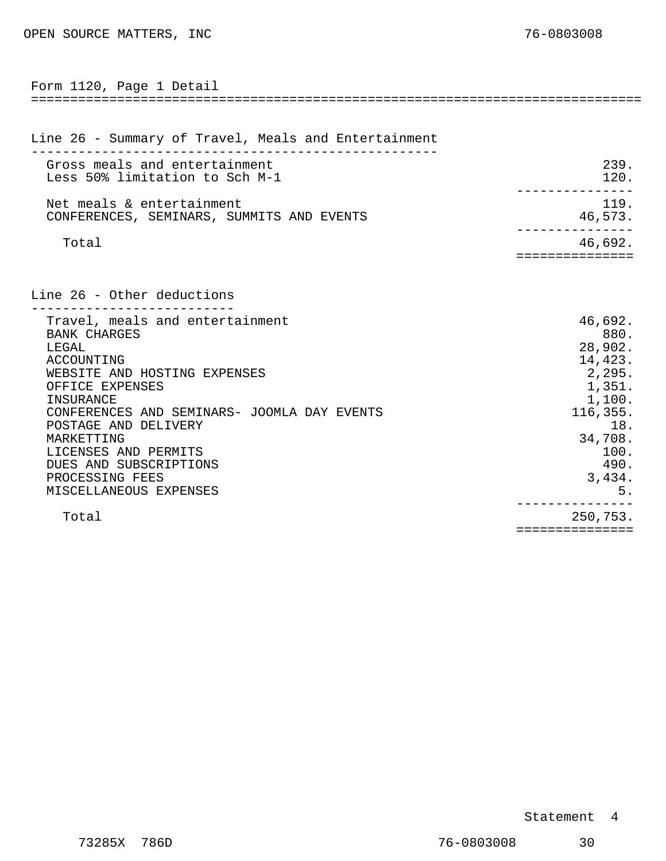<span id="page-20-0"></span>

| Form 1120, Page 1 Detail<br>==============================                                                                                                                                                                                                                                                                        |                                                                                                                                   |
|-----------------------------------------------------------------------------------------------------------------------------------------------------------------------------------------------------------------------------------------------------------------------------------------------------------------------------------|-----------------------------------------------------------------------------------------------------------------------------------|
|                                                                                                                                                                                                                                                                                                                                   |                                                                                                                                   |
| Line 26 - Summary of Travel, Meals and Entertainment                                                                                                                                                                                                                                                                              |                                                                                                                                   |
| Gross meals and entertainment<br>Less 50% limitation to Sch M-1                                                                                                                                                                                                                                                                   | 239.<br>120.                                                                                                                      |
| Net meals & entertainment<br>CONFERENCES, SEMINARS, SUMMITS AND EVENTS                                                                                                                                                                                                                                                            | 119.<br>46,573.                                                                                                                   |
| Total                                                                                                                                                                                                                                                                                                                             | 46,692.<br>===========                                                                                                            |
| Line 26 - Other deductions                                                                                                                                                                                                                                                                                                        |                                                                                                                                   |
| Travel, meals and entertainment<br><b>BANK CHARGES</b><br>LEGAL<br>ACCOUNTING<br>WEBSITE AND HOSTING EXPENSES<br>OFFICE EXPENSES<br>INSURANCE<br>CONFERENCES AND SEMINARS- JOOMLA DAY EVENTS<br>POSTAGE AND DELIVERY<br>MARKETTING<br>LICENSES AND PERMITS<br>DUES AND SUBSCRIPTIONS<br>PROCESSING FEES<br>MISCELLANEOUS EXPENSES | 46,692.<br>880.<br>28,902.<br>14,423.<br>2,295.<br>1,351.<br>1,100.<br>116,355.<br>18.<br>34,708.<br>100.<br>490.<br>3,434.<br>5. |
| Total                                                                                                                                                                                                                                                                                                                             | 250,753.<br>===============                                                                                                       |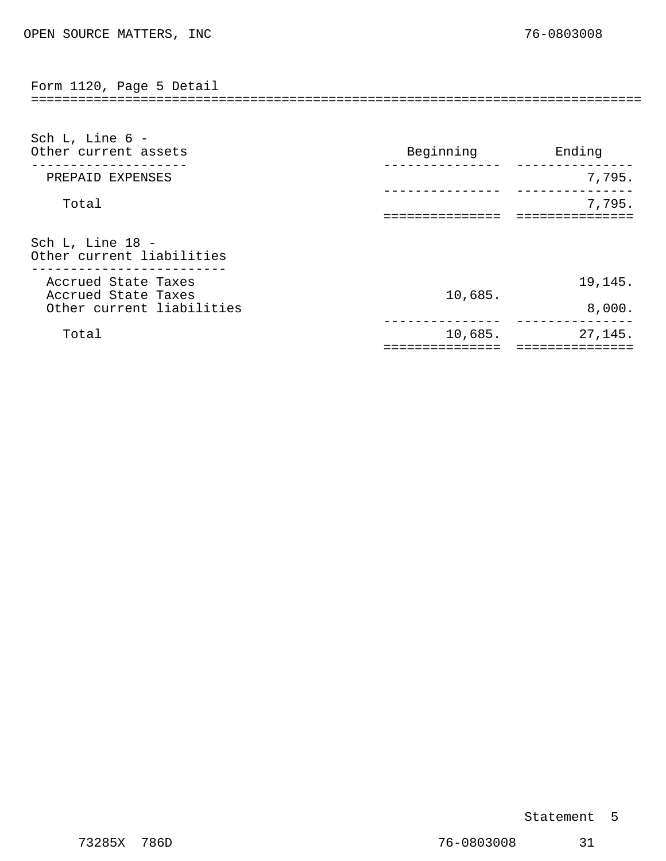<span id="page-21-0"></span>============================================================================== Form 1120, Page 5 Detail

| Sch L, Line 6 -<br>Other current assets       | Beginning | Ending  |
|-----------------------------------------------|-----------|---------|
| PREPAID EXPENSES                              |           | 7,795.  |
| Total                                         |           | 7,795.  |
| Sch L, Line 18 -<br>Other current liabilities |           |         |
| Accrued State Taxes<br>Accrued State Taxes    | 10,685.   | 19,145. |
| Other current liabilities                     |           | 8,000.  |
| Total                                         | 10,685.   | 27,145. |

#### Statement 5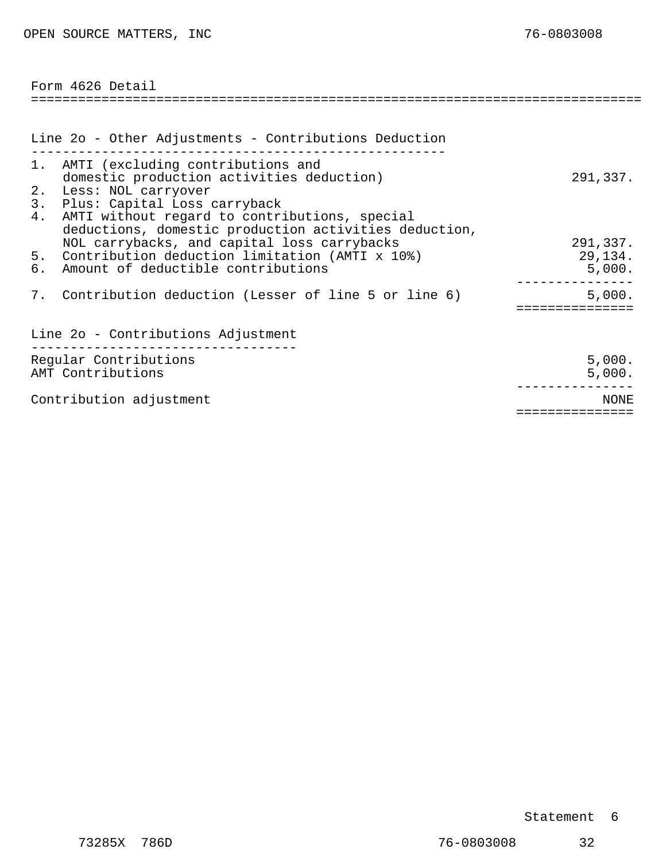<span id="page-22-0"></span>

| Form 4626 Detail                                                                                                                                                                                            |                               |
|-------------------------------------------------------------------------------------------------------------------------------------------------------------------------------------------------------------|-------------------------------|
|                                                                                                                                                                                                             |                               |
| Line 2o - Other Adjustments - Contributions Deduction                                                                                                                                                       |                               |
| 1. AMTI (excluding contributions and<br>domestic production activities deduction)<br>2.<br>Less: NOL carryover<br>Plus: Capital Loss carryback<br>3.<br>AMTI without regard to contributions, special<br>4. | 291,337.                      |
| deductions, domestic production activities deduction,<br>NOL carrybacks, and capital loss carrybacks<br>Contribution deduction limitation (AMTI x 10%)<br>5.<br>Amount of deductible contributions<br>6.    | 291,337.<br>29,134.<br>5,000. |
| 7. Contribution deduction (Lesser of line 5 or line 6)                                                                                                                                                      | 5,000.                        |
| Line 2o - Contributions Adjustment                                                                                                                                                                          |                               |
| Regular Contributions<br>AMT Contributions                                                                                                                                                                  | 5,000.<br>5,000.              |
| Contribution adjustment                                                                                                                                                                                     | NONE.<br>==============       |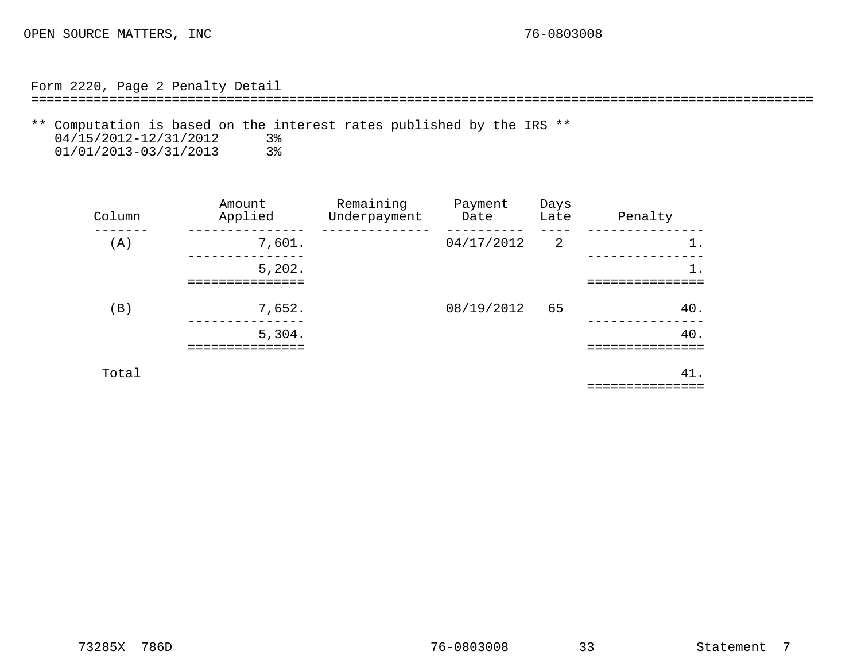Form 2220, Page 2 Penalty Detail

====================================================================================================

<span id="page-23-0"></span>\*\* Computation is based on the interest rates published by the IRS \*\*  $04/15/2012 - 12/31/2012$  3% 04/15/2012-12/31/2012 3%<br>01/01/2013-03/31/2013 3% 01/01/2013-03/31/2013

| Column | Amount<br>Applied | Remaining<br>Underpayment | Payment<br>Date | Days<br>Late | Penalty |
|--------|-------------------|---------------------------|-----------------|--------------|---------|
| (A)    | 7,601.            |                           | 04/17/2012      | 2            | $1$ .   |
|        | 5,202.            |                           |                 |              | $1$ .   |
| (B)    | 7,652.            |                           | 08/19/2012      | 65           | 40.     |
|        | 5,304.            |                           |                 |              | 40.     |
| Total  |                   |                           |                 |              | 41.     |

===============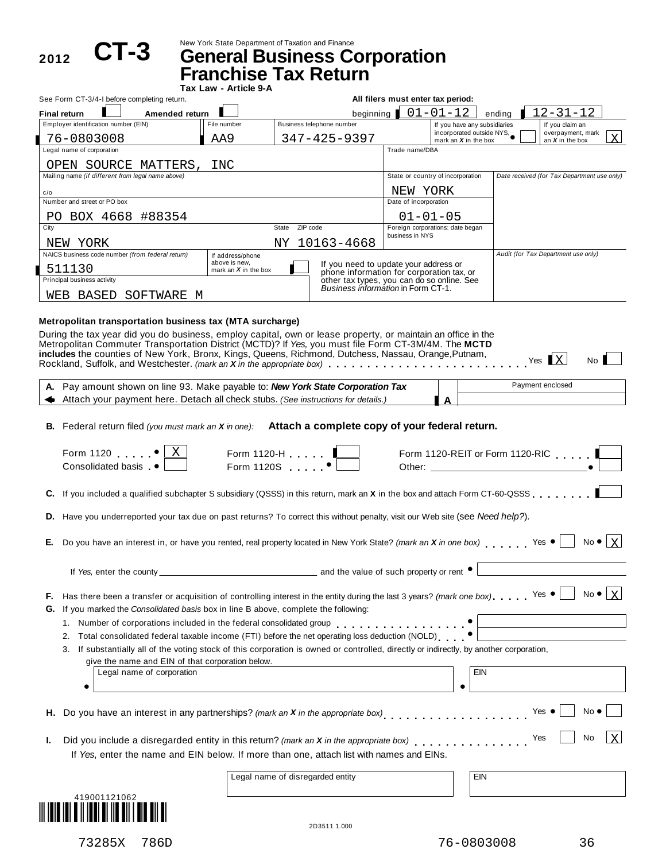2012 **CT-3** 

New York State Department of Taxation and Finance **CT-3 General Business Corporation**

**Franchise Tax Return**

|      |                                                                                                                                                                                                                     | Tax Law - Article 9-A                   |                   | ו נואיטו מא                                                                        |                                                                   |                                                           |                                             |                        |                |
|------|---------------------------------------------------------------------------------------------------------------------------------------------------------------------------------------------------------------------|-----------------------------------------|-------------------|------------------------------------------------------------------------------------|-------------------------------------------------------------------|-----------------------------------------------------------|---------------------------------------------|------------------------|----------------|
|      | See Form CT-3/4-I before completing return.                                                                                                                                                                         |                                         |                   |                                                                                    | All filers must enter tax period:                                 |                                                           |                                             |                        |                |
|      | Amended return<br><b>Final return</b>                                                                                                                                                                               |                                         |                   |                                                                                    | beginning $\begin{bmatrix} 0 & 1 & -0 & 1 & -1 & 2 \end{bmatrix}$ | ending                                                    | $12 - 31 - 12$                              |                        |                |
|      | Employer identification number (EIN)                                                                                                                                                                                | File number                             |                   | Business telephone number                                                          |                                                                   | If you have any subsidiaries<br>incorporated outside NYS, | If you claim an<br>overpayment, mark        |                        |                |
|      | 76-0803008                                                                                                                                                                                                          | AA9                                     |                   | 347-425-9397                                                                       |                                                                   | mark an $X$ in the box                                    | an $X$ in the box                           |                        | $\overline{X}$ |
|      | Legal name of corporation                                                                                                                                                                                           |                                         |                   |                                                                                    | Trade name/DBA                                                    |                                                           |                                             |                        |                |
|      | OPEN SOURCE MATTERS, INC<br>Mailing name (if different from legal name above)                                                                                                                                       |                                         |                   |                                                                                    | State or country of incorporation                                 |                                                           | Date received (for Tax Department use only) |                        |                |
|      |                                                                                                                                                                                                                     |                                         |                   |                                                                                    |                                                                   |                                                           |                                             |                        |                |
| c/o  | Number and street or PO box                                                                                                                                                                                         |                                         |                   |                                                                                    | NEW YORK<br>Date of incorporation                                 |                                                           |                                             |                        |                |
|      | PO BOX 4668 #88354                                                                                                                                                                                                  |                                         |                   |                                                                                    | $01 - 01 - 05$                                                    |                                                           |                                             |                        |                |
| City |                                                                                                                                                                                                                     |                                         | State<br>ZIP code |                                                                                    | Foreign corporations: date began                                  |                                                           |                                             |                        |                |
|      | NEW YORK                                                                                                                                                                                                            |                                         |                   | NY 10163-4668                                                                      | business in NYS                                                   |                                                           |                                             |                        |                |
|      | NAICS business code number (from federal return)                                                                                                                                                                    | If address/phone                        |                   |                                                                                    |                                                                   |                                                           | Audit (for Tax Department use only)         |                        |                |
|      | 511130                                                                                                                                                                                                              | above is new,<br>mark an $X$ in the box |                   | If you need to update your address or<br>phone information for corporation tax, or |                                                                   |                                                           |                                             |                        |                |
|      | Principal business activity                                                                                                                                                                                         |                                         |                   | other tax types, you can do so online. See<br>Business information in Form CT-1.   |                                                                   |                                                           |                                             |                        |                |
|      | WEB BASED SOFTWARE M                                                                                                                                                                                                |                                         |                   |                                                                                    |                                                                   |                                                           |                                             |                        |                |
|      |                                                                                                                                                                                                                     |                                         |                   |                                                                                    |                                                                   |                                                           |                                             |                        |                |
|      | Metropolitan transportation business tax (MTA surcharge)                                                                                                                                                            |                                         |                   |                                                                                    |                                                                   |                                                           |                                             |                        |                |
|      | During the tax year did you do business, employ capital, own or lease property, or maintain an office in the<br>Metropolitan Commuter Transportation District (MCTD)? If Yes, you must file Form CT-3M/4M. The MCTD |                                         |                   |                                                                                    |                                                                   |                                                           |                                             |                        |                |
|      | includes the counties of New York, Bronx, Kings, Queens, Richmond, Dutchess, Nassau, Orange, Putnam,                                                                                                                |                                         |                   |                                                                                    |                                                                   |                                                           |                                             |                        |                |
|      | Rockland, Suffolk, and Westchester. (mark an X in the appropriate box)                                                                                                                                              |                                         |                   |                                                                                    |                                                                   |                                                           | Yes $\mathbf{X}$                            | No                     |                |
|      | A. Pay amount shown on line 93. Make payable to: New York State Corporation Tax                                                                                                                                     |                                         |                   |                                                                                    |                                                                   |                                                           | Payment enclosed                            |                        |                |
|      | Attach your payment here. Detach all check stubs. (See instructions for details.)                                                                                                                                   |                                         |                   |                                                                                    |                                                                   |                                                           |                                             |                        |                |
|      |                                                                                                                                                                                                                     |                                         |                   |                                                                                    |                                                                   |                                                           |                                             |                        |                |
|      | B. Federal return filed (you must mark an $X$ in one): Attach a complete copy of your federal return.                                                                                                               |                                         |                   |                                                                                    |                                                                   |                                                           |                                             |                        |                |
|      | Form 1120 $\bullet$<br>Consolidated basis •                                                                                                                                                                         | Form 1120-H _______<br>Form 1120S •     |                   |                                                                                    |                                                                   |                                                           | Form 1120-REIT or Form 1120-RIC             |                        |                |
|      | C. If you included a qualified subchapter S subsidiary (QSSS) in this return, mark an X in the box and attach Form CT-60-QSSS                                                                                       |                                         |                   |                                                                                    |                                                                   |                                                           |                                             |                        |                |
|      | D. Have you underreported your tax due on past returns? To correct this without penalty, visit our Web site (see Need help?).                                                                                       |                                         |                   |                                                                                    |                                                                   |                                                           |                                             |                        |                |
| Е.   | Do you have an interest in, or have you rented, real property located in New York State? (mark an X in one box) Yes $\bullet$                                                                                       |                                         |                   |                                                                                    |                                                                   |                                                           |                                             | $No \bullet   X$       |                |
|      | If Yes, enter the county                                                                                                                                                                                            |                                         |                   | and the value of such property or rent •                                           |                                                                   |                                                           |                                             |                        |                |
| F.   | Has there been a transfer or acquisition of controlling interest in the entity during the last 3 years? (mark one box). Yes $\bullet$                                                                               |                                         |                   |                                                                                    |                                                                   |                                                           |                                             | No $\bullet$ $\vert$ X |                |
| G.   | If you marked the Consolidated basis box in line B above, complete the following:                                                                                                                                   |                                         |                   |                                                                                    |                                                                   |                                                           |                                             |                        |                |
|      | 1. Number of corporations included in the federal consolidated group                                                                                                                                                |                                         |                   |                                                                                    |                                                                   |                                                           |                                             |                        |                |
|      | Total consolidated federal taxable income (FTI) before the net operating loss deduction (NOLD)<br>2.                                                                                                                |                                         |                   |                                                                                    |                                                                   |                                                           |                                             |                        |                |
|      | If substantially all of the voting stock of this corporation is owned or controlled, directly or indirectly, by another corporation,<br>3.                                                                          |                                         |                   |                                                                                    |                                                                   |                                                           |                                             |                        |                |
|      | give the name and EIN of that corporation below.                                                                                                                                                                    |                                         |                   |                                                                                    |                                                                   |                                                           |                                             |                        |                |
|      | Legal name of corporation                                                                                                                                                                                           |                                         |                   |                                                                                    |                                                                   | EIN                                                       |                                             |                        |                |
|      | ٠                                                                                                                                                                                                                   |                                         |                   |                                                                                    |                                                                   |                                                           |                                             |                        |                |
| н.   | Do you have an interest in any partnerships? (mark an X in the appropriate box)<br>                                                                                                                                 |                                         |                   |                                                                                    |                                                                   |                                                           | Yes $\bullet$                               | No $\bullet$           |                |
|      |                                                                                                                                                                                                                     |                                         |                   |                                                                                    |                                                                   |                                                           | Yes                                         | No                     | X              |
| ı.   | Did you include a disregarded entity in this return? (mark an X in the appropriate box)<br>If Yes, enter the name and EIN below. If more than one, attach list with names and EINs.                                 |                                         |                   |                                                                                    |                                                                   |                                                           |                                             |                        |                |
|      |                                                                                                                                                                                                                     |                                         |                   |                                                                                    |                                                                   |                                                           |                                             |                        |                |
|      |                                                                                                                                                                                                                     |                                         |                   | Legal name of disregarded entity                                                   |                                                                   | EIN                                                       |                                             |                        |                |



2D3511 1.000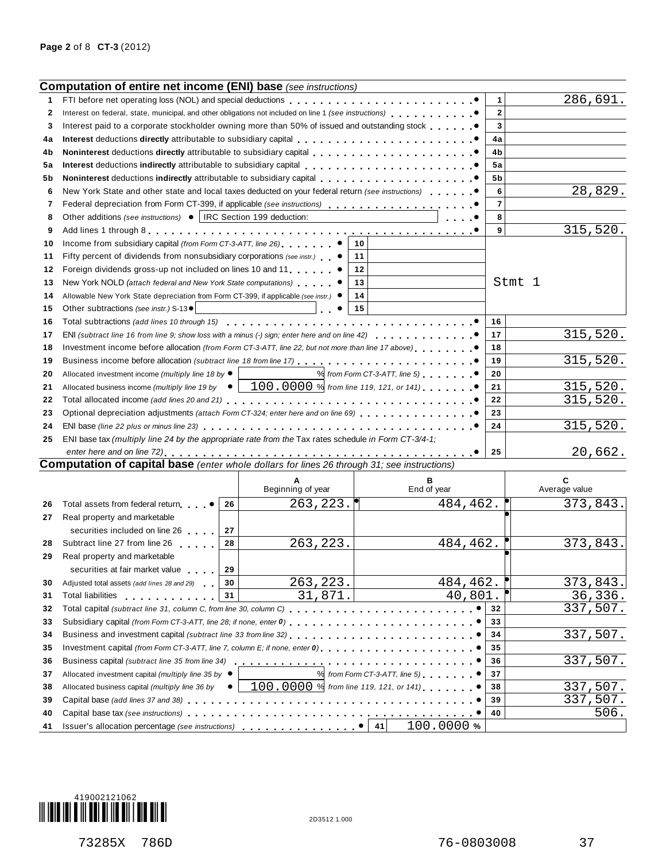|    | <b>Computation of entire net income (ENI) base</b> (see instructions)                                                  |    |                                          |    |                                 |                         |                    |
|----|------------------------------------------------------------------------------------------------------------------------|----|------------------------------------------|----|---------------------------------|-------------------------|--------------------|
| 1  |                                                                                                                        |    |                                          |    |                                 | 1                       | 286,691.           |
| 2  | Interest on federal, state, municipal, and other obligations not included on line 1 (see instructions)                 |    |                                          |    |                                 | $\overline{2}$          |                    |
| 3  | Interest paid to a corporate stockholder owning more than 50% of issued and outstanding stock                          |    |                                          |    |                                 | $\overline{\mathbf{3}}$ |                    |
| 4a | Interest deductions directly attributable to subsidiary capital                                                        |    |                                          |    |                                 | 4a                      |                    |
| 4b |                                                                                                                        |    |                                          |    |                                 | 4b                      |                    |
| 5а |                                                                                                                        |    |                                          |    |                                 | 5а                      |                    |
| 5b | <b>Noninterest</b> deductions indirectly attributable to subsidiary capital enterpresent and containing the set of the |    |                                          |    |                                 | 5b                      |                    |
| 6  | New York State and other state and local taxes deducted on your federal return (see instructions)                      |    |                                          |    |                                 | 6                       | 28,829.            |
| 7  | Federal depreciation from Form CT-399, if applicable (see instructions)                                                |    |                                          |    |                                 | $\overline{7}$          |                    |
| 8  | Other additions (see instructions) ●   IRC Section 199 deduction:                                                      |    |                                          |    |                                 | 8                       |                    |
| 9  |                                                                                                                        |    |                                          |    |                                 | 9                       | 315,520.           |
| 10 | Income from subsidiary capital (from Form CT-3-ATT, line 26)                                                           |    |                                          | 10 |                                 |                         |                    |
| 11 | Fifty percent of dividends from nonsubsidiary corporations (see instr.)                                                |    |                                          | 11 |                                 |                         |                    |
| 12 | Foreign dividends gross-up not included on lines 10 and 11                                                             |    |                                          | 12 |                                 |                         |                    |
| 13 | New York NOLD (attach federal and New York State computations)                                                         |    |                                          | 13 |                                 | Stmt 1                  |                    |
| 14 | Allowable New York State depreciation from Form CT-399, if applicable (see instr.) ●                                   |    |                                          | 14 |                                 |                         |                    |
| 15 | Other subtractions (see instr.) S-13 ·                                                                                 |    |                                          | 15 |                                 |                         |                    |
| 16 | Total subtractions (add lines 10 through 15)                                                                           |    | <u>.</u>                                 | .  |                                 | 16                      |                    |
| 17 | ENI (subtract line 16 from line 9; show loss with a minus (-) sign; enter here and on line 42)                         |    |                                          |    |                                 | 17                      | 315,520.           |
| 18 | Investment income before allocation (from Form CT-3-ATT, line 22, but not more than line 17 above)                     |    |                                          |    |                                 | 18                      |                    |
| 19 |                                                                                                                        |    |                                          |    |                                 | 19                      | 315,520.           |
| 20 | Allocated investment income (multiply line 18 by $\bullet$                                                             |    |                                          |    | $%$ from Form CT-3-ATT, line 5) | 20                      |                    |
| 21 | Allocated business income (multiply line 19 by $\bullet$   100.0000 % from line 119, 121, or 141) $\dots$              |    |                                          |    |                                 | 21                      | 315,520.           |
| 22 |                                                                                                                        |    |                                          |    |                                 | 22                      | 315,520.           |
| 23 | Optional depreciation adjustments (attach Form CT-324; enter here and on line 69)                                      |    |                                          |    |                                 | 23                      |                    |
| 24 |                                                                                                                        |    |                                          |    |                                 | 24                      | 315,520.           |
| 25 | ENI base tax (multiply line 24 by the appropriate rate from the Tax rates schedule in Form CT-3/4-1;                   |    |                                          |    |                                 |                         |                    |
|    |                                                                                                                        |    |                                          |    |                                 | 25                      | 20,662.            |
|    | Computation of capital base (enter whole dollars for lines 26 through 31; see instructions)                            |    |                                          |    |                                 |                         |                    |
|    |                                                                                                                        |    | A<br>Beginning of year                   |    | в<br>End of year                |                         | C<br>Average value |
| 26 | Total assets from federal return $\bullet$                                                                             | 26 | 263, 223.                                |    | 484,462.                        |                         | 373,843.           |
| 27 | Real property and marketable                                                                                           |    |                                          |    |                                 |                         |                    |
|    | securities included on line 26                                                                                         | 27 |                                          |    |                                 |                         |                    |
| 28 | Subtract line 27 from line 26                                                                                          | 28 | 263, 223.                                |    | 484,462.                        |                         | 373,843.           |
| 29 | Real property and marketable                                                                                           |    |                                          |    |                                 |                         |                    |
|    | securities at fair market value                                                                                        | 29 |                                          |    |                                 |                         |                    |
| 30 | Adjusted total assets (add lines 28 and 29)                                                                            | 30 | 263, 223.                                |    | 484,462.                        |                         | 373,843.           |
| 31 | Total liabilities                                                                                                      | 31 | 31,871.                                  |    | 40,801                          |                         | 36,336.            |
| 32 |                                                                                                                        |    |                                          |    |                                 | 32                      | 337,507.           |
| 33 | Subsidiary capital (from Form CT-3-ATT, line 28; if none, enter 0)                                                     |    |                                          |    |                                 | 33                      |                    |
| 34 |                                                                                                                        |    |                                          |    |                                 | 34                      | 337,507.           |
| 35 | Investment capital (from Form CT-3-ATT, line 7, column E; if none, enter 0)                                            |    |                                          |    |                                 | 35                      |                    |
| 36 | Business capital (subtract line 35 from line 34)                                                                       |    |                                          |    |                                 | 36                      | 337,507.           |
| 37 | Allocated investment capital (multiply line 35 by ●                                                                    |    |                                          |    | $%$ from Form CT-3-ATT, line 5) | 37                      |                    |
| 38 | Allocated business capital (multiply line 36 by $\bullet$                                                              |    | $100.0000\%$ from line 119, 121, or 141) |    |                                 | 38                      | 337,507.           |
| 39 |                                                                                                                        |    |                                          |    |                                 | 39                      | 337,507.           |
| 40 |                                                                                                                        |    |                                          |    |                                 | 40                      | 506.               |
| 41 |                                                                                                                        |    |                                          | 41 | 100.0000%                       |                         |                    |

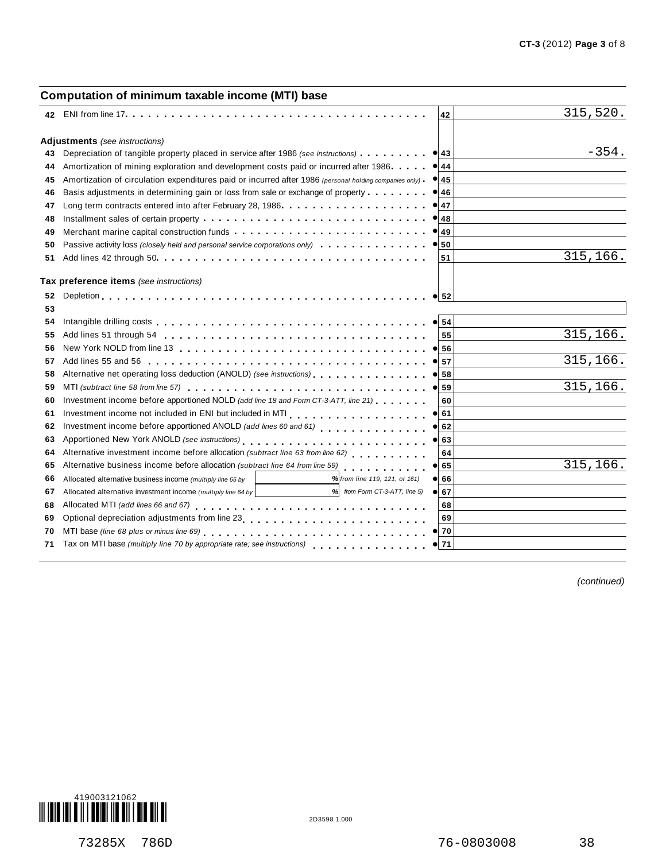|    | Computation of minimum taxable income (MTI) base                                                               |                 |           |
|----|----------------------------------------------------------------------------------------------------------------|-----------------|-----------|
|    |                                                                                                                | 42              | 315,520.  |
|    | Adjustments (see instructions)                                                                                 |                 |           |
| 43 | Depreciation of tangible property placed in service after 1986 (see instructions)                              | $\bullet$ 43    | $-354.$   |
| 44 | Amortization of mining exploration and development costs paid or incurred after 1986.                          | $\bullet$ 44    |           |
| 45 | Amortization of circulation expenditures paid or incurred after 1986 (personal holding companies only)         | $\bullet$ 45    |           |
| 46 | Basis adjustments in determining gain or loss from sale or exchange of property                                | $\bullet$ 46    |           |
| 47 |                                                                                                                | 47              |           |
| 48 |                                                                                                                | 48<br>$\bullet$ |           |
| 49 |                                                                                                                | $\bullet$ 49    |           |
| 50 |                                                                                                                |                 |           |
| 51 |                                                                                                                | 51              | 315,166.  |
|    | Tax preference items (see instructions)                                                                        |                 |           |
| 52 |                                                                                                                | $\bullet$ 52    |           |
| 53 |                                                                                                                |                 |           |
| 54 |                                                                                                                | $\bullet$ 54    |           |
| 55 |                                                                                                                | 55              | 315,166.  |
| 56 |                                                                                                                | 56              |           |
| 57 |                                                                                                                | 57<br>$\bullet$ | 315, 166. |
| 58 | Alternative net operating loss deduction (ANOLD) (see instructions)                                            | 58<br>$\bullet$ |           |
| 59 |                                                                                                                | 59<br>$\bullet$ | 315,166.  |
| 60 | Investment income before apportioned NOLD (add line 18 and Form CT-3-ATT, line 21)                             | 60              |           |
| 61 |                                                                                                                | 61<br>$\bullet$ |           |
| 62 |                                                                                                                | 62              |           |
| 63 |                                                                                                                | 63              |           |
| 64 | Alternative investment income before allocation (subtract line 63 from line 62)                                | 64              |           |
| 65 | Alternative business income before allocation (subtract line 64 from line 59) [11] [11] [11] [11] [11] [11] [1 | 65<br>$\bullet$ | 315,166.  |
| 66 | % from line 119, 121, or 161)<br>Allocated alternative business income (multiply line 65 by                    | 66<br>$\bullet$ |           |
| 67 | $%$ from Form CT-3-ATT, line 5) $\bullet$<br>Allocated alternative investment income (multiply line 64 by      | 67              |           |
| 68 |                                                                                                                | 68              |           |
| 69 |                                                                                                                | 69              |           |
| 70 |                                                                                                                | $\bullet$ 70    |           |
| 71 | Tax on MTI base (multiply line 70 by appropriate rate; see instructions)                                       | $\bullet$ 71    |           |
|    |                                                                                                                |                 |           |

*(continued)*

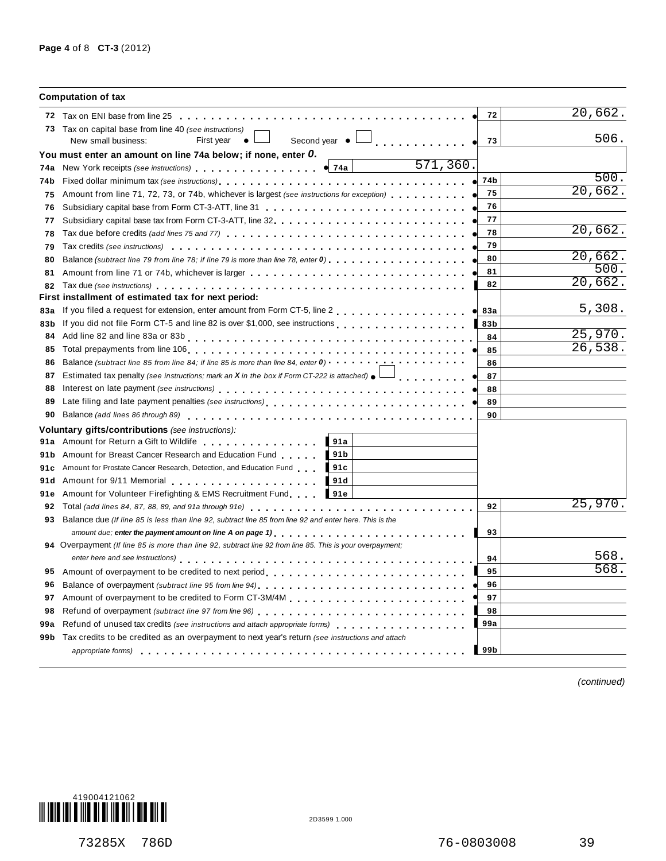|      | <b>Computation of tax</b>                                                                                                                                                                                                                                                                                                                   |                         |         |
|------|---------------------------------------------------------------------------------------------------------------------------------------------------------------------------------------------------------------------------------------------------------------------------------------------------------------------------------------------|-------------------------|---------|
|      |                                                                                                                                                                                                                                                                                                                                             | 72                      | 20,662. |
|      | 73 Tax on capital base from line 40 (see instructions)<br>Second year $\bullet$ $\Box$<br>First year<br>New small business:<br>$\bullet$ L                                                                                                                                                                                                  | 73                      | 506.    |
|      | You must enter an amount on line 74a below; if none, enter O.                                                                                                                                                                                                                                                                               |                         |         |
| 74a  | 571,360.<br>New York receipts (see instructions) entertainment of the Vietnam of T4a                                                                                                                                                                                                                                                        |                         |         |
| 74b  |                                                                                                                                                                                                                                                                                                                                             | 74b                     | 500.    |
| 75   | Amount from line 71, 72, 73, or 74b, whichever is largest (see instructions for exception) $\cdots$                                                                                                                                                                                                                                         | 75                      | 20,662. |
| 76   | Subsidiary capital base from Form CT-3-ATT, line 31 <b>Capital Liness</b> 1 <b>Capital Contract 2</b> and a series that the subsidiary capital base from Form CT-3-ATT, line 31 <b>and 2</b> and 2 and 2 and 2 and 2 and 2 and 2 and 2 and 2                                                                                                | 76                      |         |
| 77   | Subsidiary capital base tax from Form CT-3-ATT, line $32, \ldots, \ldots, \ldots, \ldots, \ldots, \ldots, \ldots, \ldots, \ldots$                                                                                                                                                                                                           | 77                      |         |
| 78   |                                                                                                                                                                                                                                                                                                                                             | 78                      | 20,662. |
| 79   |                                                                                                                                                                                                                                                                                                                                             | 79                      |         |
| 80   | Balance (subtract line 79 from line 78; if line 79 is more than line 78, enter 0)                                                                                                                                                                                                                                                           | 80                      | 20,662. |
| 81   |                                                                                                                                                                                                                                                                                                                                             | 81                      | 500.    |
| 82   |                                                                                                                                                                                                                                                                                                                                             | 82                      | 20,662. |
|      | First installment of estimated tax for next period:                                                                                                                                                                                                                                                                                         |                         |         |
| 83a  | If you filed a request for extension, enter amount from Form CT-5, line 2                                                                                                                                                                                                                                                                   | <b>83a</b><br>$\bullet$ | 5,308.  |
| 83b  | If you did not file Form CT-5 and line 82 is over \$1,000, see instructions                                                                                                                                                                                                                                                                 | 83b                     |         |
| 84   |                                                                                                                                                                                                                                                                                                                                             | 84                      | 25,970. |
| 85   |                                                                                                                                                                                                                                                                                                                                             | 85                      | 26,538. |
| 86   | Balance (subtract line 85 from line 84; if line 85 is more than line 84, enter $0$ ) $\cdots$ , $\cdots$ , $\cdots$                                                                                                                                                                                                                         | 86                      |         |
| 87   | Estimated tax penalty (see instructions; mark an X in the box if Form CT-222 is attached) $\bullet$<br>dia dia dia dia dia                                                                                                                                                                                                                  | 87                      |         |
| 88   |                                                                                                                                                                                                                                                                                                                                             | 88                      |         |
| 89   |                                                                                                                                                                                                                                                                                                                                             | 89                      |         |
| 90   |                                                                                                                                                                                                                                                                                                                                             | 90                      |         |
|      | Voluntary gifts/contributions (see instructions):                                                                                                                                                                                                                                                                                           |                         |         |
| 91a  | $\blacksquare$ 91a<br>Amount for Return a Gift to Wildlife <b>Community</b> Amount for Return a                                                                                                                                                                                                                                             |                         |         |
| 91 b | 191 <sub>b</sub><br>Amount for Breast Cancer Research and Education Fund                                                                                                                                                                                                                                                                    |                         |         |
| 91c  | Amount for Prostate Cancer Research, Detection, and Education Fund 191c                                                                                                                                                                                                                                                                     |                         |         |
| 91 d | $\blacksquare$ 91d<br>Amount for 9/11 Memorial example and the state of the state of the state of the state of the state of the state of the state of the state of the state of the state of the state of the state of the state of the state of the                                                                                        |                         |         |
| 91e  | Amount for Volunteer Firefighting & EMS Recruitment Fund 191e                                                                                                                                                                                                                                                                               |                         |         |
| 92   |                                                                                                                                                                                                                                                                                                                                             | 92                      | 25,970. |
| 93   | Balance due (If line 85 is less than line 92, subtract line 85 from line 92 and enter here. This is the                                                                                                                                                                                                                                     |                         |         |
|      |                                                                                                                                                                                                                                                                                                                                             | 93                      |         |
|      | 94 Overpayment (If line 85 is more than line 92, subtract line 92 from line 85. This is your overpayment;<br>enter here and see instructions) enterpreteral resources in the case of the case of the case of the case of the case of the case of the case of the case of the case of the case of the case of the case of the case of the ca | 94                      | 568.    |
| 95   | Amount of overpayment to be credited to next period                                                                                                                                                                                                                                                                                         | 95                      | 568.    |
| 96   |                                                                                                                                                                                                                                                                                                                                             | 96                      |         |
| 97   |                                                                                                                                                                                                                                                                                                                                             | 97                      |         |
| 98   | Refund of overpayment (subtract line 97 from line 96)                                                                                                                                                                                                                                                                                       | 98                      |         |
| 99a  | Refund of unused tax credits (see instructions and attach appropriate forms)                                                                                                                                                                                                                                                                | 99a                     |         |
|      | 99b Tax credits to be credited as an overpayment to next year's return (see instructions and attach                                                                                                                                                                                                                                         |                         |         |
|      | appropriate forms) entering to the enterity of the enterity of the enterity of the enterity of the enterity of                                                                                                                                                                                                                              | 99 <sub>b</sub>         |         |
|      |                                                                                                                                                                                                                                                                                                                                             |                         |         |

*(continued)*



73285X 786D 76-0803008 39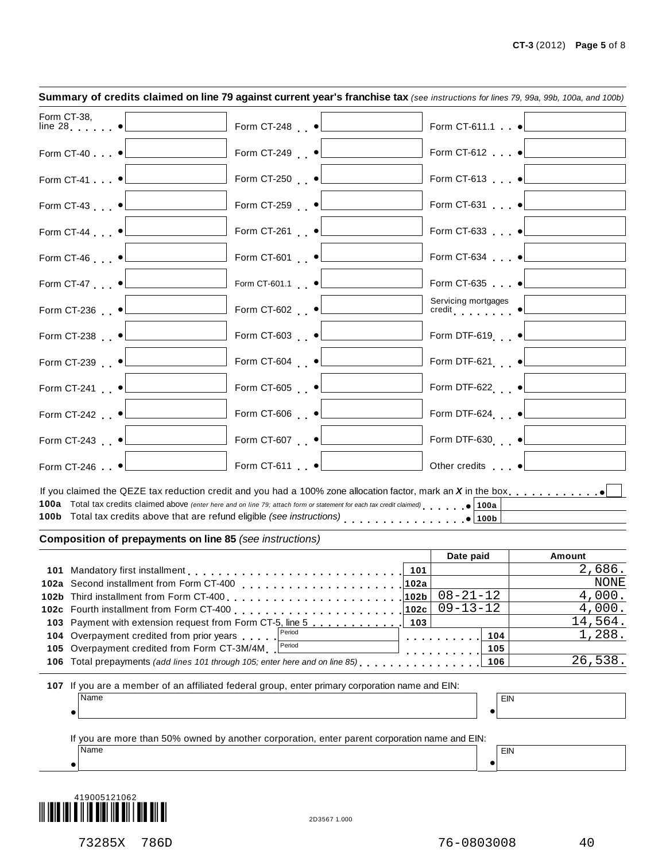|             | Summary of credits claimed on line 79 against current year's franchise tax (see instructions for lines 79, 99a, 99b, 100a, and 100b) |                                                                                                                |      |                                                                                      |                   |
|-------------|--------------------------------------------------------------------------------------------------------------------------------------|----------------------------------------------------------------------------------------------------------------|------|--------------------------------------------------------------------------------------|-------------------|
| Form CT-38, | $line 28$ $\bullet$                                                                                                                  | Form CT-248 •                                                                                                  |      | Form CT-611.1                                                                        |                   |
|             | Form CT-40 •                                                                                                                         | Form CT-249 $\bullet$                                                                                          |      | Form CT-612 · ·                                                                      |                   |
|             | Form CT-41 •                                                                                                                         | Form CT-250 •                                                                                                  |      | Form CT-613 $\bullet$                                                                |                   |
|             | Form CT-43 $\bullet$                                                                                                                 | Form CT-259 •                                                                                                  |      | Form CT-631 $\bullet$                                                                |                   |
|             | Form CT-44 $\bullet$                                                                                                                 | Form CT-261 •                                                                                                  |      | Form CT-633                                                                          |                   |
|             | Form CT-46 $\bullet$                                                                                                                 | Form CT-601 •                                                                                                  |      | Form CT-634                                                                          |                   |
|             | Form CT-47 $\bullet$                                                                                                                 | Form CT-601.1 •                                                                                                |      | Form CT-635                                                                          |                   |
|             | Form CT-236 •                                                                                                                        | Form CT-602 •                                                                                                  |      | $\begin{array}{ll}\text{Servicing mortgages} \\ \text{credit} & \bullet \end{array}$ |                   |
|             | Form CT-238 •                                                                                                                        | Form CT-603 •                                                                                                  |      | Form DTF-619 ·                                                                       |                   |
|             | Form CT-239 •                                                                                                                        | Form CT-604 •                                                                                                  |      | Form DTF-621 ·                                                                       |                   |
|             | Form CT-241 •                                                                                                                        | Form CT-605 $\bullet$                                                                                          |      | Form DTF-622 · ·                                                                     |                   |
|             | Form CT-242 •                                                                                                                        | Form CT-606 $\bullet$                                                                                          |      | Form DTF-624 ··                                                                      |                   |
|             | Form CT-243 •                                                                                                                        | Form CT-607 •                                                                                                  |      | Form DTF-630 ·                                                                       |                   |
|             | Form CT-246 $\bullet$                                                                                                                | Form CT-611 •                                                                                                  |      | Other credits •                                                                      |                   |
|             | 100a Total tax credits claimed above (enter here and on line 79; attach form or statement for each tax credit claimed)               |                                                                                                                |      |                                                                                      |                   |
|             | Composition of prepayments on line 85 (see instructions)                                                                             |                                                                                                                |      |                                                                                      |                   |
|             |                                                                                                                                      |                                                                                                                |      | Date paid                                                                            | <b>Amount</b>     |
|             | 101 Mandatory first installment <b>contains the Mandatory first installment</b>                                                      |                                                                                                                | 101  |                                                                                      | 2,686.            |
|             | 102a Second installment from Form CT-400                                                                                             |                                                                                                                | 102a |                                                                                      | <b>NONE</b>       |
|             | 102b Third installment from Form CT-400                                                                                              | de la característica de la característica de la característica de la característica de la característica de la | 102b | $08 - 21 - 12$                                                                       | 4,000.            |
|             | 102c Fourth installment from Form CT-400                                                                                             |                                                                                                                | 102c | $09 - 13 - 12$                                                                       | 4,000.            |
|             | 103 Payment with extension request from Form CT-5, line 5<br>104 Overpayment credited from prior years                               | Period                                                                                                         | 103  |                                                                                      | 14,564.<br>1,288. |
|             | 105 Overpayment credited from Form CT-3M/4M                                                                                          | Period                                                                                                         |      | 104<br>105                                                                           |                   |
|             | 106 Total prepayments (add lines 101 through 105; enter here and on line 85)                                                         |                                                                                                                |      | 106                                                                                  | 26,538.           |
|             | 107 If you are a member of an affiliated federal group, enter primary corporation name and EIN:                                      |                                                                                                                |      |                                                                                      |                   |
|             | Name                                                                                                                                 |                                                                                                                |      |                                                                                      | EIN               |
|             |                                                                                                                                      |                                                                                                                |      | $\bullet$                                                                            |                   |
|             | If you are more than 50% owned by another corporation, enter parent corporation name and EIN:                                        |                                                                                                                |      |                                                                                      |                   |
|             | Name                                                                                                                                 |                                                                                                                |      | $\bullet$                                                                            | EIN               |
|             | 419005121062                                                                                                                         | 2D3567 1.000                                                                                                   |      |                                                                                      |                   |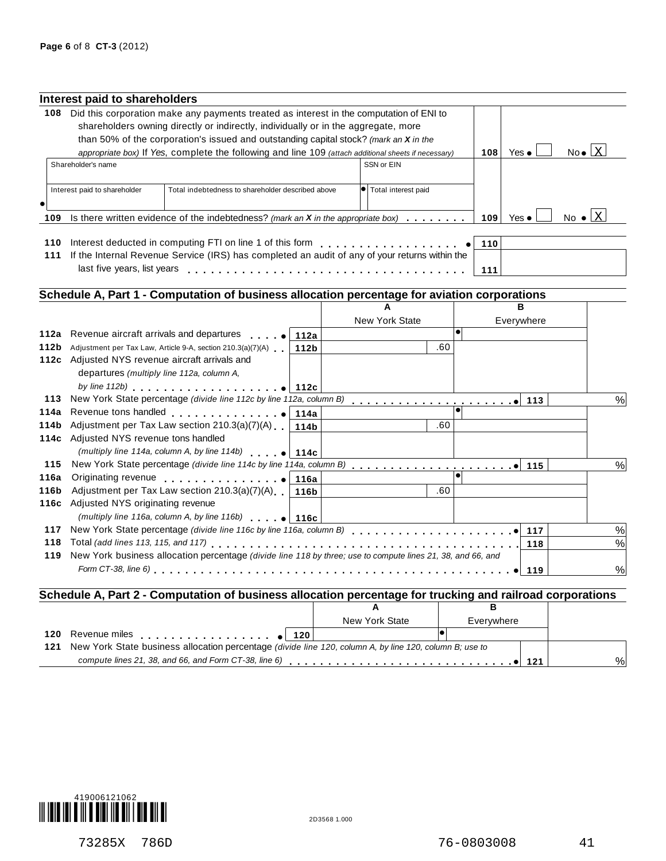|            | Interest paid to shareholders                   |                                                                                                                                                                                                                                                                                 |                  |                       |     |     |               |                                 |
|------------|-------------------------------------------------|---------------------------------------------------------------------------------------------------------------------------------------------------------------------------------------------------------------------------------------------------------------------------------|------------------|-----------------------|-----|-----|---------------|---------------------------------|
|            |                                                 | 108 Did this corporation make any payments treated as interest in the computation of ENI to                                                                                                                                                                                     |                  |                       |     |     |               |                                 |
|            |                                                 | shareholders owning directly or indirectly, individually or in the aggregate, more                                                                                                                                                                                              |                  |                       |     |     |               |                                 |
|            |                                                 | than 50% of the corporation's issued and outstanding capital stock? (mark an X in the                                                                                                                                                                                           |                  |                       |     |     |               |                                 |
|            |                                                 | appropriate box) If Yes, complete the following and line 109 (attach additional sheets if necessary)                                                                                                                                                                            |                  |                       |     | 108 | Yes $\bullet$ | $No \bullet \boxed{X}$          |
|            | Shareholder's name                              |                                                                                                                                                                                                                                                                                 |                  | SSN or EIN            |     |     |               |                                 |
|            |                                                 |                                                                                                                                                                                                                                                                                 |                  |                       |     |     |               |                                 |
|            | Interest paid to shareholder                    | Total indebtedness to shareholder described above                                                                                                                                                                                                                               |                  | • Total interest paid |     |     |               |                                 |
|            |                                                 |                                                                                                                                                                                                                                                                                 |                  |                       |     |     |               |                                 |
| 109        |                                                 | Is there written evidence of the indebtedness? (mark an $X$ in the appropriate box) $\ldots$ ,                                                                                                                                                                                  |                  |                       |     | 109 | Yes $\bullet$ | No $\bullet$ $\boxed{\text{X}}$ |
|            |                                                 |                                                                                                                                                                                                                                                                                 |                  |                       |     |     |               |                                 |
| 110        |                                                 | Interest deducted in computing FTI on line 1 of this form <b>container and the container</b>                                                                                                                                                                                    |                  |                       |     | 110 |               |                                 |
| 111        |                                                 | If the Internal Revenue Service (IRS) has completed an audit of any of your returns within the                                                                                                                                                                                  |                  |                       |     |     |               |                                 |
|            | last five years, list years                     |                                                                                                                                                                                                                                                                                 |                  |                       |     | 111 |               |                                 |
|            |                                                 |                                                                                                                                                                                                                                                                                 |                  |                       |     |     |               |                                 |
|            |                                                 | Schedule A, Part 1 - Computation of business allocation percentage for aviation corporations                                                                                                                                                                                    |                  |                       |     |     |               |                                 |
|            |                                                 |                                                                                                                                                                                                                                                                                 |                  | A                     |     |     | в             |                                 |
|            |                                                 |                                                                                                                                                                                                                                                                                 |                  | New York State        |     |     | Everywhere    |                                 |
| 112a       | Revenue aircraft arrivals and departures        | $\mathbf{r}$ and $\mathbf{r}$ and $\mathbf{r}$                                                                                                                                                                                                                                  | 112a             |                       |     |     |               |                                 |
| 112b       |                                                 | Adjustment per Tax Law, Article 9-A, section 210.3(a)(7)(A)                                                                                                                                                                                                                     | 112 <sub>b</sub> |                       | .60 |     |               |                                 |
|            | 112c Adjusted NYS revenue aircraft arrivals and |                                                                                                                                                                                                                                                                                 |                  |                       |     |     |               |                                 |
|            | departures (multiply line 112a, column A,       |                                                                                                                                                                                                                                                                                 |                  |                       |     |     |               |                                 |
|            |                                                 | by line 112b) $\qquad \qquad$ [112c                                                                                                                                                                                                                                             |                  |                       |     |     |               |                                 |
| 113        |                                                 | New York State percentage (divide line 112c by line 112a, column B)                                                                                                                                                                                                             |                  |                       |     |     | 113           | %                               |
| 114a       |                                                 | Revenue tons handled <b>container and all the container</b>                                                                                                                                                                                                                     | 114a             |                       | .60 |     |               |                                 |
| 114b       |                                                 | Adjustment per Tax Law section 210.3(a)(7)(A)                                                                                                                                                                                                                                   | 114b             |                       |     |     |               |                                 |
|            | 114c Adjusted NYS revenue tons handled          |                                                                                                                                                                                                                                                                                 |                  |                       |     |     |               |                                 |
| 115        |                                                 | (multiply line 114a, column A, by line 114b) $\bullet$ 114c                                                                                                                                                                                                                     |                  |                       |     |     |               |                                 |
| 116a       |                                                 |                                                                                                                                                                                                                                                                                 |                  |                       |     |     | 115           | %                               |
| 116b       |                                                 | Originating revenue entitled to the set of the set of the set of the set of the set of the set of the set of the set of the set of the set of the set of the set of the set of the set of the set of the set of the set of the<br>Adjustment per Tax Law section 210.3(a)(7)(A) | 116a             |                       | .60 |     |               |                                 |
|            | 116c Adjusted NYS originating revenue           |                                                                                                                                                                                                                                                                                 | 116b             |                       |     |     |               |                                 |
|            |                                                 |                                                                                                                                                                                                                                                                                 |                  |                       |     |     |               |                                 |
|            |                                                 | (multiply line 116a, column A, by line 116b) $\bullet$ 116c                                                                                                                                                                                                                     |                  |                       |     |     |               |                                 |
| 117<br>118 |                                                 |                                                                                                                                                                                                                                                                                 |                  |                       |     |     | 117           | $\%$                            |
| 119        |                                                 | New York business allocation percentage (divide line 118 by three; use to compute lines 21, 38, and 66, and                                                                                                                                                                     |                  |                       |     |     | 118           | $\%$                            |
|            |                                                 |                                                                                                                                                                                                                                                                                 |                  |                       |     |     |               |                                 |
|            |                                                 |                                                                                                                                                                                                                                                                                 |                  |                       |     |     | 119           | $\%$                            |

### **Schedule A, Part 2 - Computation of business allocation percentage for trucking and railroad corporations**

|                                                                                                                                         | New York State | Evervwhere |      |  |
|-----------------------------------------------------------------------------------------------------------------------------------------|----------------|------------|------|--|
|                                                                                                                                         |                |            |      |  |
| 121 New York State business allocation percentage (divide line 120, column A, by line 120, column B; use to                             |                |            |      |  |
| compute lines 21, 38, and 66, and Form CT-38, line 6) $\ldots$ , $\ldots$ , $\ldots$ , $\ldots$ , $\ldots$ , $\ldots$ , $\bullet$   121 |                |            | $\%$ |  |
|                                                                                                                                         |                |            |      |  |



73285X 786D 76-0803008 41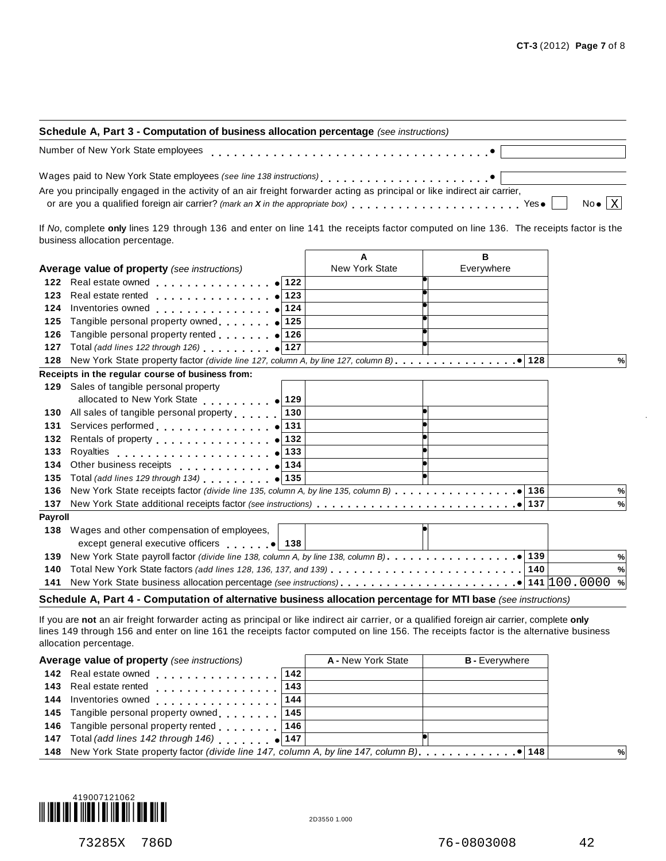| Schedule A, Part 3 - Computation of business allocation percentage (see instructions)                                                                                                                                                                                                                                                                         |  |  |  |  |  |
|---------------------------------------------------------------------------------------------------------------------------------------------------------------------------------------------------------------------------------------------------------------------------------------------------------------------------------------------------------------|--|--|--|--|--|
| Number of New York State employees entertainment results are responsed to the state of New York State employees                                                                                                                                                                                                                                               |  |  |  |  |  |
| Wages paid to New York State employees (see line 138 instructions)<br>entity and the state of the state of the Contract of the Contract of the Contract of the Contract of the Contract of the Contract of the Contract of the C<br>Are you principally engaged in the activity of an air freight forwarder acting as principal or like indirect air carrier, |  |  |  |  |  |
| or are you a qualified foreign air carrier? (mark an X in the appropriate box) $\overline{a}$ , $\overline{a}$ , $\overline{a}$ , $\overline{a}$ , $\overline{a}$ , $\overline{a}$ , $\overline{a}$ , $\overline{a}$ , $\overline{a}$ , $\overline{b}$ No $\overline{a}$ No $\overline{a}$ No $\overline{a}$                                                  |  |  |  |  |  |

If *No*, complete **only** lines 129 through 136 and enter on line 141 the receipts factor computed on line 136. The receipts factor is the business allocation percentage.

|                |                                                                                                                                                                                                                                       | A                     | в          |      |
|----------------|---------------------------------------------------------------------------------------------------------------------------------------------------------------------------------------------------------------------------------------|-----------------------|------------|------|
|                | Average value of property (see instructions)                                                                                                                                                                                          | <b>New York State</b> | Everywhere |      |
| 122            | <b>Real estate owned Real estate owned</b>                                                                                                                                                                                            |                       |            |      |
| 123            | Real estate rented                                                                                                                                                                                                                    |                       |            |      |
| 124            | . 124<br>Inventories owned                                                                                                                                                                                                            |                       |            |      |
| 125            | Tangible personal property owned $\bullet$ 125                                                                                                                                                                                        |                       |            |      |
| 126            | Tangible personal property rented $\bullet$ 126                                                                                                                                                                                       |                       |            |      |
| 127            | Total (add lines 122 through 126) $\bullet$ 127                                                                                                                                                                                       |                       |            |      |
| 128            |                                                                                                                                                                                                                                       |                       |            | %    |
|                | Receipts in the regular course of business from:                                                                                                                                                                                      |                       |            |      |
|                | 129 Sales of tangible personal property                                                                                                                                                                                               |                       |            |      |
|                |                                                                                                                                                                                                                                       |                       |            |      |
| 130            | All sales of tangible personal property<br>130                                                                                                                                                                                        |                       |            |      |
| 131            | 131<br>Services performed expansion of the services of                                                                                                                                                                                |                       |            |      |
| 132            | 132<br>Rentals of property entertainment of the set of the set of the set of the set of the set of the set of the set of the set of the set of the set of the set of the set of the set of the set of the set of the set of the set o |                       |            |      |
| 133            | 133<br>Rovalties                                                                                                                                                                                                                      |                       |            |      |
| 134            | Other business receipts (134                                                                                                                                                                                                          |                       |            |      |
| 135            | Total (add lines 129 through 134) $\bullet$ 135                                                                                                                                                                                       |                       |            |      |
| 136            |                                                                                                                                                                                                                                       |                       |            | %    |
| 137            |                                                                                                                                                                                                                                       |                       |            | %    |
| <b>Payroll</b> |                                                                                                                                                                                                                                       |                       |            |      |
| 138            | Wages and other compensation of employees,                                                                                                                                                                                            |                       |            |      |
|                | except general executive officers • 138                                                                                                                                                                                               |                       |            |      |
| 139            |                                                                                                                                                                                                                                       |                       |            | $\%$ |
| 140            | Total New York State factors (add lines 128, 136, 137, and 139) $\ldots \ldots \ldots \ldots \ldots \ldots \ldots \ldots$                                                                                                             |                       |            | %    |
| 141            |                                                                                                                                                                                                                                       |                       |            | %    |
|                |                                                                                                                                                                                                                                       |                       |            |      |

#### **Schedule A, Part 4 - Computation of alternative business allocation percentage for MTI base** *(see instructions)*

If you are **not** an air freight forwarder acting as principal or like indirect air carrier, or a qualified foreign air carrier, complete **only** lines 149 through 156 and enter on line 161 the receipts factor computed on line 156. The receipts factor is the alternative business allocation percentage.

| Average value of property (see instructions)        |               | A - New York State | <b>B</b> - Everywhere |   |
|-----------------------------------------------------|---------------|--------------------|-----------------------|---|
| 142 Real estate owned "                             | $ 142\rangle$ |                    |                       |   |
| 143 Real estate rented 1                            | 143           |                    |                       |   |
| 144 Inventories owned 144   144                     |               |                    |                       |   |
| 145 Tangible personal property owned 145            |               |                    |                       |   |
| 146 Tangible personal property rented 146           |               |                    |                       |   |
| 147 Total (add lines 142 through 146) $\bullet$ 147 |               |                    |                       |   |
|                                                     |               |                    |                       | % |
|                                                     |               |                    |                       |   |

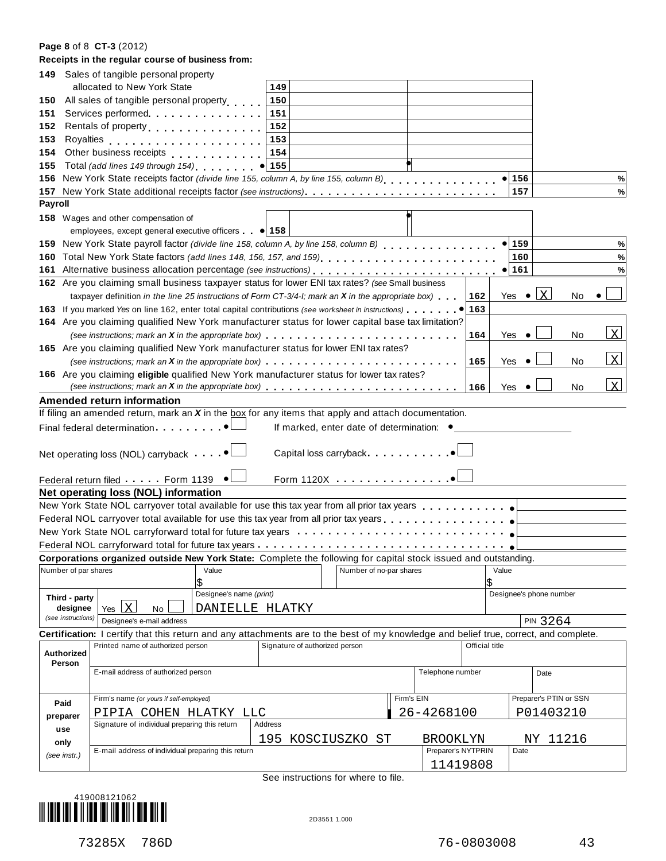#### **Page 8** of 8 **CT-3** (2012)

|                | Receipts in the regular course of business from:                                                                                                                                                                                     |                                |                                           |                    |                |               |                         |              |
|----------------|--------------------------------------------------------------------------------------------------------------------------------------------------------------------------------------------------------------------------------------|--------------------------------|-------------------------------------------|--------------------|----------------|---------------|-------------------------|--------------|
|                | 149 Sales of tangible personal property                                                                                                                                                                                              |                                |                                           |                    |                |               |                         |              |
|                | allocated to New York State                                                                                                                                                                                                          | 149                            |                                           |                    |                |               |                         |              |
| 150            | All sales of tangible personal property                                                                                                                                                                                              | 150                            |                                           |                    |                |               |                         |              |
| 151            | Services performed                                                                                                                                                                                                                   | 151                            |                                           |                    |                |               |                         |              |
|                | 152 Rentals of property <b>contains the set of the set of the set of the set of the set of the set of the set of the set of the set of the set of the set of the set of the set of the set of the set of the set of the set of t</b> | 152                            |                                           |                    |                |               |                         |              |
| 153            |                                                                                                                                                                                                                                      | 153                            |                                           |                    |                |               |                         |              |
| 154            | Other business receipts                                                                                                                                                                                                              | 154                            |                                           |                    |                |               |                         |              |
|                | 155 Total (add lines 149 through 154)                                                                                                                                                                                                | 155                            |                                           |                    |                |               |                         |              |
|                | 156 New York State receipts factor (divide line 155, column A, by line 155, column B)                                                                                                                                                |                                |                                           |                    |                | $\bullet$ 156 |                         | %            |
|                |                                                                                                                                                                                                                                      |                                |                                           |                    |                | 157           |                         | $\%$         |
| <b>Payroll</b> |                                                                                                                                                                                                                                      |                                |                                           |                    |                |               |                         |              |
|                | 158 Wages and other compensation of                                                                                                                                                                                                  |                                |                                           |                    |                |               |                         |              |
|                | employees, except general executive officers $\bullet$ 158                                                                                                                                                                           |                                |                                           |                    |                |               |                         |              |
|                | 159 New York State payroll factor (divide line 158, column A, by line 158, column B)                                                                                                                                                 |                                |                                           |                    |                | $\bullet$ 159 |                         | $\%$         |
|                | 160 Total New York State factors (add lines 148, 156, 157, and 159)                                                                                                                                                                  |                                |                                           |                    |                | 160           |                         | %            |
|                |                                                                                                                                                                                                                                      |                                |                                           |                    |                | $\bullet$ 161 |                         | %            |
|                | 162 Are you claiming small business taxpayer status for lower ENI tax rates? (see Small business                                                                                                                                     |                                |                                           |                    |                |               |                         |              |
|                | taxpayer definition in the line 25 instructions of Form CT-3/4-I; mark an $X$ in the appropriate box)                                                                                                                                |                                |                                           |                    | 162            | Yes $\bullet$ | $\mathbf{x}$<br>No      |              |
|                |                                                                                                                                                                                                                                      |                                |                                           |                    | 163            |               |                         |              |
|                | 164 Are you claiming qualified New York manufacturer status for lower capital base tax limitation?                                                                                                                                   |                                |                                           |                    |                |               |                         |              |
|                |                                                                                                                                                                                                                                      |                                |                                           |                    | 164            | Yes           | No                      | $\mathbf{x}$ |
|                | 165 Are you claiming qualified New York manufacturer status for lower ENI tax rates?                                                                                                                                                 |                                |                                           |                    |                |               |                         |              |
|                | (see instructions; mark an X in the appropriate box)                                                                                                                                                                                 |                                |                                           |                    | 165            | Yes           | No                      | Lx.          |
|                | 166 Are you claiming eligible qualified New York manufacturer status for lower tax rates?                                                                                                                                            |                                |                                           |                    |                |               |                         |              |
|                | (see instructions; mark an $X$ in the appropriate box) $\ldots$ , $\ldots$ , $\ldots$ , $\ldots$ , $\ldots$ , $\ldots$ , $\ldots$ , $\ldots$                                                                                         |                                |                                           |                    | 166            | Yes           | No                      | <u> x</u>    |
|                | Amended return information                                                                                                                                                                                                           |                                |                                           |                    |                |               |                         |              |
|                | If filing an amended return, mark an $X$ in the box for any items that apply and attach documentation.                                                                                                                               |                                |                                           |                    |                |               |                         |              |
|                | Final federal determination <b>Final</b>                                                                                                                                                                                             |                                | If marked, enter date of determination: ● |                    |                |               |                         |              |
|                |                                                                                                                                                                                                                                      |                                |                                           |                    |                |               |                         |              |
|                | Net operating loss (NOL) carryback ●                                                                                                                                                                                                 |                                | Capital loss carryback. 0                 |                    |                |               |                         |              |
|                |                                                                                                                                                                                                                                      |                                |                                           |                    |                |               |                         |              |
|                | Federal return filed Form 1139                                                                                                                                                                                                       |                                | Form 1120X 0                              |                    |                |               |                         |              |
|                | Net operating loss (NOL) information                                                                                                                                                                                                 |                                |                                           |                    |                |               |                         |              |
|                | New York State NOL carryover total available for use this tax year from all prior tax years                                                                                                                                          |                                |                                           |                    |                |               |                         |              |
|                |                                                                                                                                                                                                                                      |                                |                                           |                    |                |               |                         |              |
|                | New York State NOL carryforward total for future tax years $\cdots \cdots \cdots \cdots \cdots \cdots \cdots \cdots$                                                                                                                 |                                |                                           |                    |                |               |                         |              |
|                | Federal NOL carryforward total for future tax years entercangled contained and service of the service of the service of the service of the service of the service of the service of the service of the service of the service        |                                |                                           |                    |                |               |                         |              |
|                | Corporations organized outside New York State: Complete the following for capital stock issued and outstanding.                                                                                                                      |                                |                                           |                    |                |               |                         |              |
|                | Number of par shares<br>Value<br>1\$                                                                                                                                                                                                 |                                | Number of no-par shares                   |                    | Value<br>\$    |               |                         |              |
|                | Designee's name (print)                                                                                                                                                                                                              |                                |                                           |                    |                |               | Designee's phone number |              |
|                | Third - party<br>Yes $X$<br>designee<br>DANIELLE HLATKY                                                                                                                                                                              |                                |                                           |                    |                |               |                         |              |
|                | No<br>(see instructions)<br>Designee's e-mail address                                                                                                                                                                                |                                |                                           |                    |                |               | PIN 3264                |              |
|                | Certification: I certify that this return and any attachments are to the best of my knowledge and belief true, correct, and complete.                                                                                                |                                |                                           |                    |                |               |                         |              |
|                | Printed name of authorized person                                                                                                                                                                                                    | Signature of authorized person |                                           |                    | Official title |               |                         |              |
|                | <b>Authorized</b>                                                                                                                                                                                                                    |                                |                                           |                    |                |               |                         |              |
|                | Person<br>E-mail address of authorized person                                                                                                                                                                                        |                                |                                           | Telephone number   |                |               | Date                    |              |
|                |                                                                                                                                                                                                                                      |                                |                                           |                    |                |               |                         |              |
|                | Firm's name (or yours if self-employed)                                                                                                                                                                                              |                                |                                           | Firm's EIN         |                |               | Preparer's PTIN or SSN  |              |
|                | Paid<br>PIPIA COHEN HLATKY LLC                                                                                                                                                                                                       |                                |                                           | 26-4268100         |                |               | P01403210               |              |
|                | preparer<br>Signature of individual preparing this return                                                                                                                                                                            | Address                        |                                           |                    |                |               |                         |              |
|                | use                                                                                                                                                                                                                                  | 195                            | KOSCIUSZKO ST                             | <b>BROOKLYN</b>    |                |               | NY 11216                |              |
|                | only<br>E-mail address of individual preparing this return                                                                                                                                                                           |                                |                                           | Preparer's NYTPRIN |                | Date          |                         |              |
|                | (see instr.)                                                                                                                                                                                                                         |                                |                                           | 11419808           |                |               |                         |              |
|                |                                                                                                                                                                                                                                      |                                |                                           |                    |                |               |                         |              |

See instructions for where to file.

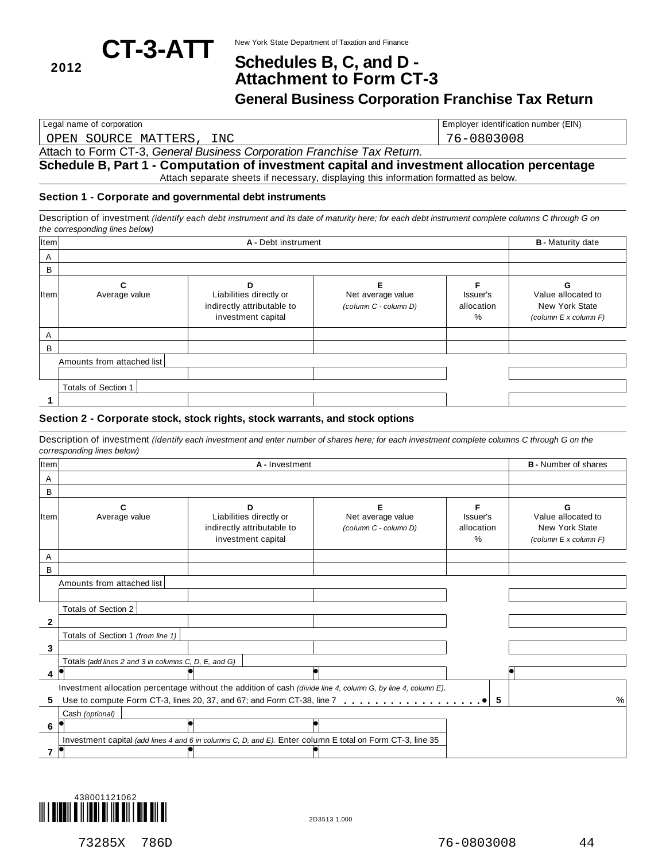

## New York State Department of Taxation and Finance **CT-3-ATT Schedules B, C, and <sup>D</sup> - <sup>2012</sup> Attachment to Form CT-3**

**General Business Corporation Franchise Tax Return**

Legal name of corporation **Employer identification number (EIN)** Employer identification number (EIN)

OPEN SOURCE MATTERS, INC 76-0803008

Attach to Form CT-3, *General Business Corporation Franchise Tax Return.*

#### **Schedule B, Part 1 - Computation of investment capital and investment allocation percentage** Attach separate sheets if necessary, displaying this information formatted as below.

#### **Section 1 - Corporate and governmental debt instruments**

Description of investment (identify each debt instrument and its date of maturity here; for each debt instrument complete columns C through G on *the corresponding lines below)*

| Item |                            | <b>B</b> - Maturity date                                                         |                                                 |                             |                                                               |
|------|----------------------------|----------------------------------------------------------------------------------|-------------------------------------------------|-----------------------------|---------------------------------------------------------------|
| Α    |                            |                                                                                  |                                                 |                             |                                                               |
| B    |                            |                                                                                  |                                                 |                             |                                                               |
| Item | Average value              | D<br>Liabilities directly or<br>indirectly attributable to<br>investment capital | F<br>Net average value<br>(column C - column D) | Issuer's<br>allocation<br>% | Value allocated to<br>New York State<br>(column E x column F) |
| A    |                            |                                                                                  |                                                 |                             |                                                               |
| B    |                            |                                                                                  |                                                 |                             |                                                               |
|      | Amounts from attached list |                                                                                  |                                                 |                             |                                                               |
|      |                            |                                                                                  |                                                 |                             |                                                               |
|      | Totals of Section 1        |                                                                                  |                                                 |                             |                                                               |
|      |                            |                                                                                  |                                                 |                             |                                                               |

#### **Section 2 - Corporate stock, stock rights, stock warrants, and stock options**

Description of investment (identify each investment and enter number of shares here; for each investment complete columns C through G on the *corresponding lines below)*

| Item |                                                      | <b>B</b> - Number of shares                                                                               |                                                                                                               |                                |                                                               |
|------|------------------------------------------------------|-----------------------------------------------------------------------------------------------------------|---------------------------------------------------------------------------------------------------------------|--------------------------------|---------------------------------------------------------------|
| A    |                                                      |                                                                                                           |                                                                                                               |                                |                                                               |
| B    |                                                      |                                                                                                           |                                                                                                               |                                |                                                               |
| Item | Average value                                        | Liabilities directly or<br>indirectly attributable to<br>investment capital                               | Net average value<br>(column C - column D)                                                                    | Issuer's<br>allocation<br>$\%$ | Value allocated to<br>New York State<br>(column E x column F) |
| A    |                                                      |                                                                                                           |                                                                                                               |                                |                                                               |
| B    |                                                      |                                                                                                           |                                                                                                               |                                |                                                               |
|      | Amounts from attached list                           |                                                                                                           |                                                                                                               |                                |                                                               |
|      |                                                      |                                                                                                           |                                                                                                               |                                |                                                               |
|      | Totals of Section 2                                  |                                                                                                           |                                                                                                               |                                |                                                               |
| 2    |                                                      |                                                                                                           |                                                                                                               |                                |                                                               |
|      | Totals of Section 1 (from line 1)                    |                                                                                                           |                                                                                                               |                                |                                                               |
| 3    |                                                      |                                                                                                           |                                                                                                               |                                |                                                               |
|      | Totals (add lines 2 and 3 in columns C, D, E, and G) |                                                                                                           |                                                                                                               |                                |                                                               |
| 4    |                                                      |                                                                                                           |                                                                                                               |                                |                                                               |
|      |                                                      |                                                                                                           | Investment allocation percentage without the addition of cash (divide line 4, column G, by line 4, column E). |                                |                                                               |
| 5    |                                                      |                                                                                                           |                                                                                                               | 5                              | $\%$                                                          |
|      | Cash (optional)                                      |                                                                                                           |                                                                                                               |                                |                                                               |
| 6    |                                                      |                                                                                                           |                                                                                                               |                                |                                                               |
|      |                                                      | Investment capital (add lines 4 and 6 in columns C, D, and E). Enter column E total on Form CT-3, line 35 |                                                                                                               |                                |                                                               |
|      |                                                      |                                                                                                           |                                                                                                               |                                |                                                               |



73285X 786D 76-0803008 44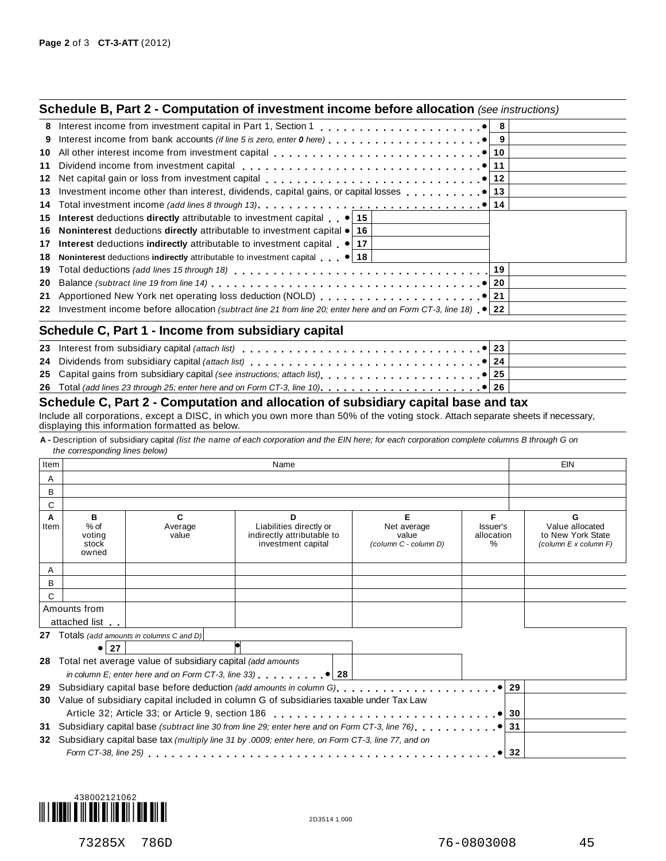|    | <b>Schedule B, Part 2 - Computation of investment income before allocation</b> (see instructions)                         |  |
|----|---------------------------------------------------------------------------------------------------------------------------|--|
|    |                                                                                                                           |  |
| 9  |                                                                                                                           |  |
| 10 |                                                                                                                           |  |
| 11 |                                                                                                                           |  |
| 12 | Net capital gain or loss from investment capital enterprise networks of the capital gain or loss from investment capital  |  |
| 13 |                                                                                                                           |  |
|    |                                                                                                                           |  |
|    | 15 Interest deductions directly attributable to investment capital $\bullet$ 15                                           |  |
|    | 16 Noninterest deductions directly attributable to investment capital $\bullet$ 16                                        |  |
|    | 17 Interest deductions indirectly attributable to investment capital (a) 17                                               |  |
| 18 | Noninterest deductions indirectly attributable to investment capital $ 18 $                                               |  |
| 19 |                                                                                                                           |  |
| 20 |                                                                                                                           |  |
|    |                                                                                                                           |  |
|    | 22 Investment income before allocation (subtract line 21 from line 20; enter here and on Form CT-3, line 18) $\bullet$ 22 |  |
|    | Schedule C, Part 1 - Income from subsidiary capital                                                                       |  |
|    |                                                                                                                           |  |
|    |                                                                                                                           |  |
|    |                                                                                                                           |  |
|    |                                                                                                                           |  |

| 25 Capital gains from subsidiary capital (see instructions; attach list) <b>25 Capital gains in the state of the state of the state of the state of the state of the state of the state of the state of the state of the state o</b> |
|--------------------------------------------------------------------------------------------------------------------------------------------------------------------------------------------------------------------------------------|
| 24 Dividends from subsidiary capital <i>(attach list)</i> enterpressment content to the content of the content of the                                                                                                                |

### $\frac{25}{26}$ **Schedule C, Part 2 - Computation and allocation of subsidiary capital base and tax**

Include all corporations, except a DISC, in which you own more than 50% of the voting stock. Attach separate sheets if necessary, displaying this information formatted as below.

A - Description of subsidiary capital (list the name of each corporation and the EIN here; for each corporation complete columns B through G on *the corresponding lines below)*

| Item      |                                                                                                                    |                                                               | EIN                                                                                               |                                                    |                                     |                                                                    |
|-----------|--------------------------------------------------------------------------------------------------------------------|---------------------------------------------------------------|---------------------------------------------------------------------------------------------------|----------------------------------------------------|-------------------------------------|--------------------------------------------------------------------|
| A         |                                                                                                                    |                                                               |                                                                                                   |                                                    |                                     |                                                                    |
| B         |                                                                                                                    |                                                               |                                                                                                   |                                                    |                                     |                                                                    |
| С         |                                                                                                                    |                                                               |                                                                                                   |                                                    |                                     |                                                                    |
| A<br>Item | в<br>$%$ of<br>voting<br>stock<br>owned                                                                            | C.<br>Average<br>value                                        | D<br>Liabilities directly or<br>indirectly attributable to<br>investment capital                  | Е<br>Net average<br>value<br>(column C - column D) | F<br>Issuer's<br>allocation<br>$\%$ | G<br>Value allocated<br>to New York State<br>(column E x column F) |
| A         |                                                                                                                    |                                                               |                                                                                                   |                                                    |                                     |                                                                    |
| B         |                                                                                                                    |                                                               |                                                                                                   |                                                    |                                     |                                                                    |
| С         |                                                                                                                    |                                                               |                                                                                                   |                                                    |                                     |                                                                    |
|           | Amounts from                                                                                                       |                                                               |                                                                                                   |                                                    |                                     |                                                                    |
|           | attached list                                                                                                      |                                                               |                                                                                                   |                                                    |                                     |                                                                    |
|           |                                                                                                                    | <b>27</b> Totals (add amounts in columns C and D)             |                                                                                                   |                                                    |                                     |                                                                    |
|           | ● 27                                                                                                               |                                                               |                                                                                                   |                                                    |                                     |                                                                    |
|           |                                                                                                                    | 28 Total net average value of subsidiary capital (add amounts |                                                                                                   |                                                    |                                     |                                                                    |
|           |                                                                                                                    |                                                               | in column E; enter here and on Form CT-3, line 33) $\ldots$ $\ldots$ $\bullet$ 28                 |                                                    |                                     |                                                                    |
| 29        |                                                                                                                    | 29                                                            |                                                                                                   |                                                    |                                     |                                                                    |
| 30        |                                                                                                                    |                                                               | Value of subsidiary capital included in column G of subsidiaries taxable under Tax Law            |                                                    |                                     |                                                                    |
|           |                                                                                                                    | 30                                                            |                                                                                                   |                                                    |                                     |                                                                    |
| 31        | Subsidiary capital base (subtract line 30 from line 29; enter here and on Form CT-3, line 76). $\ldots$ , $\ldots$ | 31                                                            |                                                                                                   |                                                    |                                     |                                                                    |
| 32        |                                                                                                                    |                                                               | Subsidiary capital base tax (multiply line 31 by .0009; enter here, on Form CT-3, line 77, and on |                                                    |                                     |                                                                    |
|           |                                                                                                                    |                                                               |                                                                                                   | 32                                                 |                                     |                                                                    |

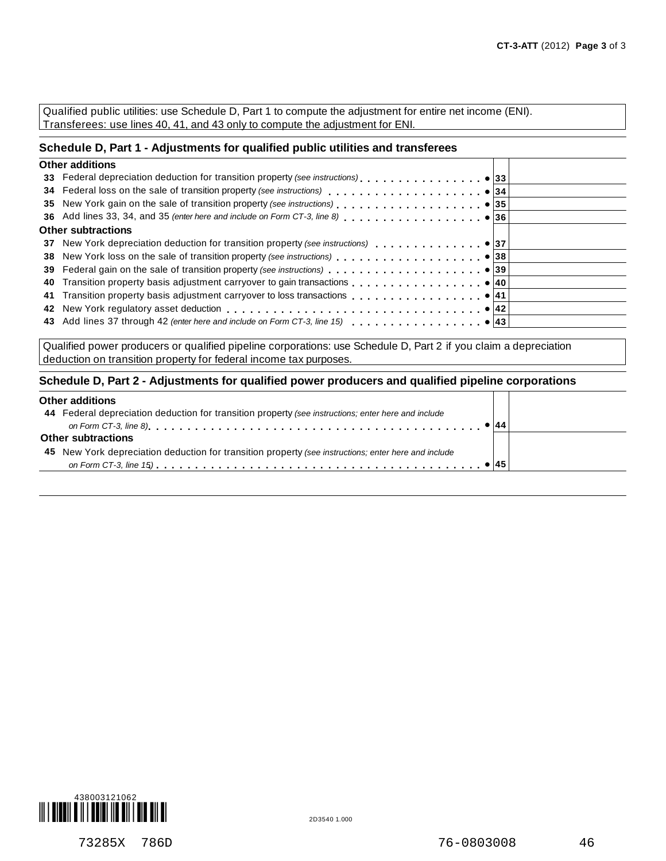Qualified public utilities: use Schedule D, Part 1 to compute the adjustment for entire net income (ENI). Transferees: use lines 40, 41, and 43 only to compute the adjustment for ENI.

#### **Schedule D, Part 1 - Adjustments for qualified public utilities and transferees**

| <b>Other additions</b>    |  |
|---------------------------|--|
|                           |  |
|                           |  |
|                           |  |
|                           |  |
| <b>Other subtractions</b> |  |
|                           |  |
|                           |  |
|                           |  |
|                           |  |
|                           |  |
|                           |  |
|                           |  |
|                           |  |

Qualified power producers or qualified pipeline corporations: use Schedule D, Part 2 if you claim a depreciation deduction on transition property for federal income tax purposes.

#### **Schedule D, Part 2 - Adjustments for qualified power producers and qualified pipeline corporations**

### **Other additions**

| <b>Other additions</b>                                                                               |  |
|------------------------------------------------------------------------------------------------------|--|
| 44 Federal depreciation deduction for transition property (see instructions; enter here and include  |  |
|                                                                                                      |  |
| <b>Other subtractions</b>                                                                            |  |
| 45 New York depreciation deduction for transition property (see instructions; enter here and include |  |
|                                                                                                      |  |
|                                                                                                      |  |



ℸ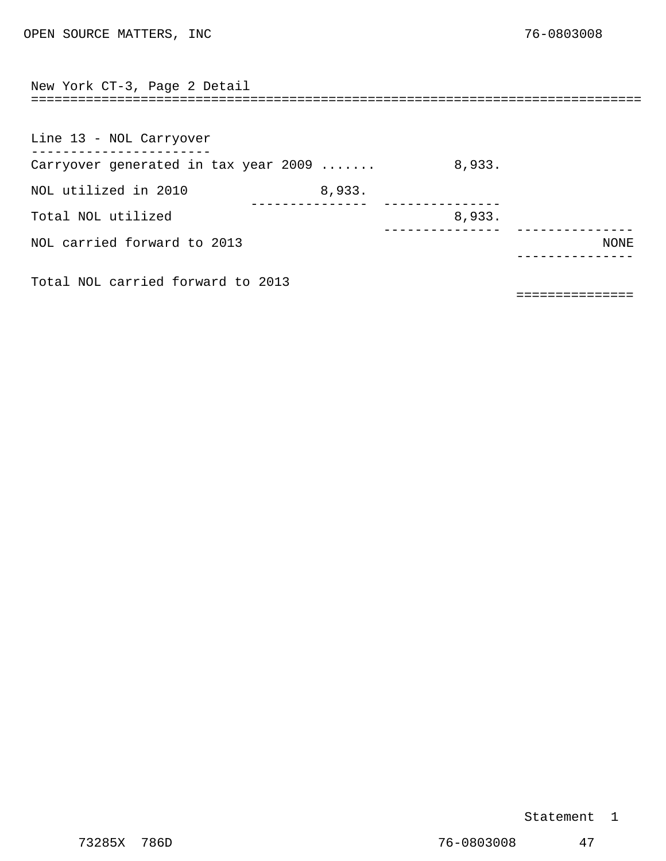<span id="page-35-0"></span>

| New York CT-3, Page 2 Detail         | ================================== |        |      |
|--------------------------------------|------------------------------------|--------|------|
|                                      |                                    |        |      |
| Line 13 - NOL Carryover              |                                    |        |      |
| Carryover generated in tax year 2009 |                                    | 8,933. |      |
| NOL utilized in 2010                 | 8,933.                             |        |      |
| Total NOL utilized                   |                                    | 8,933. |      |
| NOL carried forward to 2013          |                                    |        | NONE |
| Total NOL carried forward to 2013    |                                    |        |      |

===============

#### Statement 1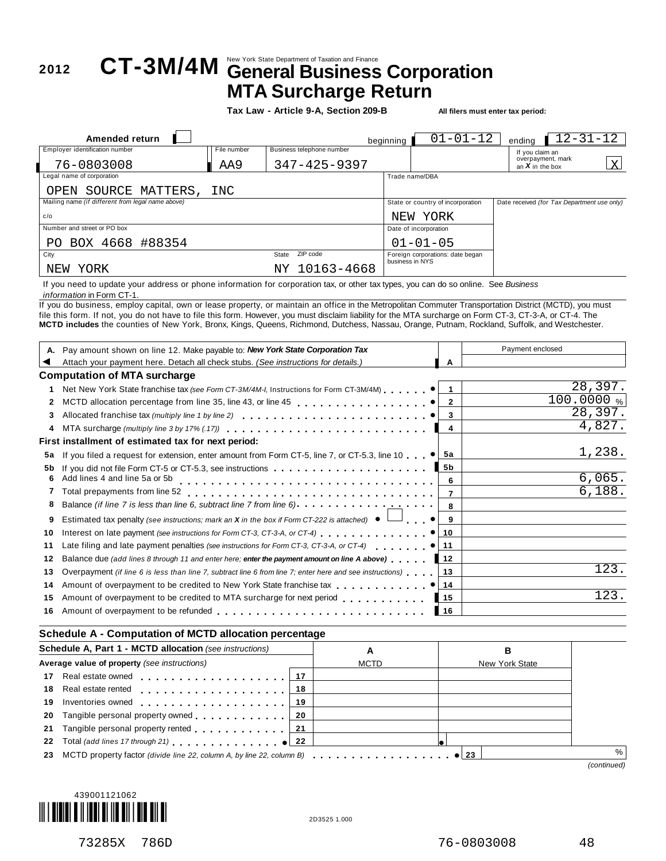## New York State Department of Taxation and Finance **<sup>2012</sup> CT-3M/4M General Business Corporation MTA Surcharge Return**

**Tax Law - Article 9-A, Section 209-B All filers must enter tax period:**

| Amended return                                    |             |                           | beginning | $01 - 01 - 12$                                      | endina                                 | $12 - 31 - 12$                              |
|---------------------------------------------------|-------------|---------------------------|-----------|-----------------------------------------------------|----------------------------------------|---------------------------------------------|
| Employer identification number                    | File number | Business telephone number |           |                                                     | If you claim an                        |                                             |
| 76-0803008                                        | AA9         | $347 - 425 - 9397$        |           |                                                     | overpayment, mark<br>an $X$ in the box | X                                           |
| Legal name of corporation                         |             |                           |           | Trade name/DBA                                      |                                        |                                             |
| OPEN SOURCE MATTERS,                              | INC         |                           |           |                                                     |                                        |                                             |
| Mailing name (if different from legal name above) |             |                           |           | State or country of incorporation                   |                                        | Date received (for Tax Department use only) |
| c/o                                               |             |                           |           | NEW YORK                                            |                                        |                                             |
| Number and street or PO box                       |             |                           |           | Date of incorporation                               |                                        |                                             |
| PO BOX 4668 #88354                                |             |                           |           | $01 - 01 - 05$                                      |                                        |                                             |
| City                                              |             | ZIP code<br>State         |           | Foreign corporations: date began<br>business in NYS |                                        |                                             |
| YORK<br>NEW                                       |             | NY 10163-4668             |           |                                                     |                                        |                                             |

If you need to update your address or phone information for corporation tax, or other tax types, you can do so online. See *Business information* in Form CT-1.

If you do business, employ capital, own or lease property, or maintain an office in the Metropolitan Commuter Transportation District (MCTD), you must file this form. If not, you do not have to file this form. However, you must disclaim liability for the MTA surcharge on Form CT-3, CT-3-A, or CT-4. The **MCTD includes** the counties of New York, Bronx, Kings, Queens, Richmond, Dutchess, Nassau, Orange, Putnam, Rockland, Suffolk, and Westchester.

|    | Pay amount shown on line 12. Make payable to: New York State Corporation Tax                                                                                     |                   | Payment enclosed |
|----|------------------------------------------------------------------------------------------------------------------------------------------------------------------|-------------------|------------------|
|    | Attach your payment here. Detach all check stubs. (See instructions for details.)                                                                                | А                 |                  |
|    | <b>Computation of MTA surcharge</b>                                                                                                                              |                   |                  |
|    | Net New York State franchise tax (see Form CT-3M/4M-I, Instructions for Form CT-3M/4M) ● 1                                                                       |                   | 28,397.          |
|    | MCTD allocation percentage from line 35, line 43, or line 45 <b>and in the set of the CO</b> allocation percentage from line 35, line 43, or line 45             |                   | 100.0000%        |
|    |                                                                                                                                                                  |                   | 28,397.          |
|    | MTA surcharge (multiply line 3 by 17% (.17) $\ldots$ , $\ldots$ , $\ldots$ , $\ldots$ , $\ldots$ , $\ldots$ , $\ldots$ , $\ldots$                                | 4                 | 4,827.           |
|    | First installment of estimated tax for next period:                                                                                                              |                   |                  |
| 5a | If you filed a request for extension, enter amount from Form CT-5, line 7, or CT-5.3, line 10 $\bullet$ 5a                                                       |                   | 1,238.           |
| 5b | If you did not file Form CT-5 or CT-5.3, see instructions                                                                                                        | 5b                |                  |
| 6  | Add lines 4 and line 5a or 5b                                                                                                                                    | 6                 | 6,065.           |
|    | Total prepayments from line 52 $\ldots \ldots \ldots \ldots \ldots \ldots \ldots \ldots \ldots$                                                                  |                   | 6,188.           |
|    | Balance (if line 7 is less than line 6, subtract line 7 from line 6) <b>Alance in the substance (if line 7</b> is less than line 6, subtract line 7 from line 6) |                   |                  |
| 9  | Estimated tax penalty (see instructions; mark an <b>X</b> in the box if Form CT-222 is attached) $\bullet$ $\Box$ $\bullet$   <b>9</b>                           |                   |                  |
| 10 |                                                                                                                                                                  |                   |                  |
| 11 | Late filing and late payment penalties (see instructions for Form CT-3, CT-3-A, or CT-4) $\ldots$ ,                                                              |                   |                  |
| 12 | <b>Balance due (add lines 8 through 11 and enter here; enter the payment amount on line A above)</b> 12                                                          |                   |                  |
| 13 | Overpayment (if line 6 is less than line 7, subtract line 6 from line 7; enter here and see instructions)                                                        | ∣ 13              | 123              |
| 14 |                                                                                                                                                                  |                   |                  |
| 15 | Amount of overpayment to be credited to MTA surcharge for next period                                                                                            | ▌ 15              | 123              |
| 16 |                                                                                                                                                                  | $\blacksquare$ 16 |                  |

#### **Schedule A - Computation of MCTD allocation percentage**

| Schedule A, Part 1 - MCTD allocation (see instructions) |                                                                                  | A   |             | в |                |             |
|---------------------------------------------------------|----------------------------------------------------------------------------------|-----|-------------|---|----------------|-------------|
|                                                         | Average value of property (see instructions)                                     |     | <b>MCTD</b> |   | New York State |             |
|                                                         |                                                                                  | -17 |             |   |                |             |
|                                                         |                                                                                  | 18  |             |   |                |             |
|                                                         | 19 Inventories owned 19                                                          |     |             |   |                |             |
|                                                         | 20 Tangible personal property owned 20                                           |     |             |   |                |             |
|                                                         | 21 Tangible personal property rented <b>21</b> Tangible personal property rented |     |             |   |                |             |
|                                                         | 22 Total (add lines 17 through 21) example 122                                   |     |             |   |                |             |
|                                                         |                                                                                  |     |             |   |                | $\%$        |
|                                                         |                                                                                  |     |             |   |                | (continued) |

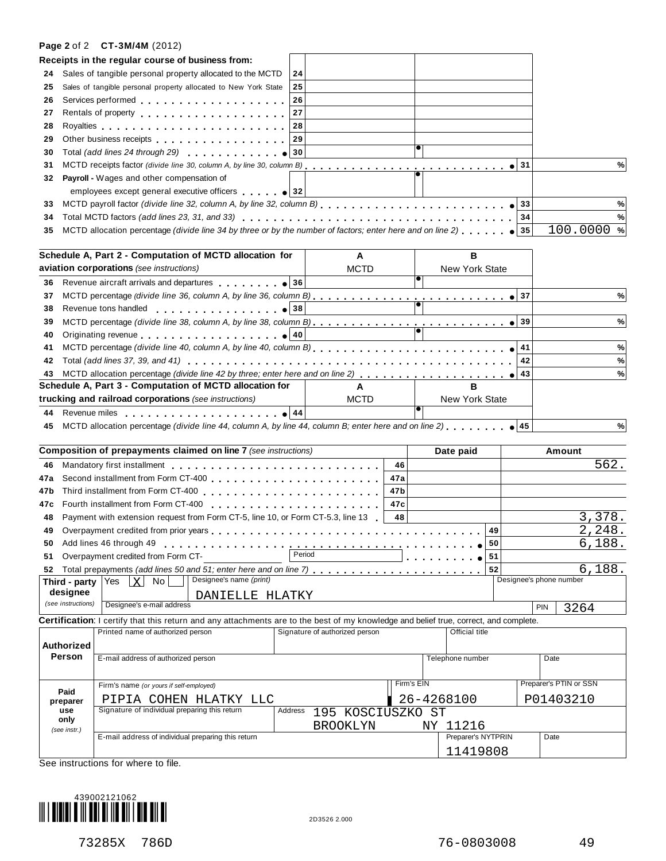#### **Page 2** of 2 **CT-3M/4M** (2012)

|     |                    | Receipts in the regular course of business from:                                                                                                                                                                               |         |                                |     |            |                       |              |                         |
|-----|--------------------|--------------------------------------------------------------------------------------------------------------------------------------------------------------------------------------------------------------------------------|---------|--------------------------------|-----|------------|-----------------------|--------------|-------------------------|
| 24  |                    | Sales of tangible personal property allocated to the MCTD                                                                                                                                                                      | 24      |                                |     |            |                       |              |                         |
| 25  |                    | Sales of tangible personal property allocated to New York State                                                                                                                                                                | 25      |                                |     |            |                       |              |                         |
| 26  |                    | Services performed entering the services performed                                                                                                                                                                             | 26      |                                |     |            |                       |              |                         |
| 27  |                    | Rentals of property entering the set of the set of the set of the set of the set of the set of the set of the                                                                                                                  | 27      |                                |     |            |                       |              |                         |
| 28  |                    |                                                                                                                                                                                                                                | 28      |                                |     |            |                       |              |                         |
| 29  |                    | Other business receipts experience of the state of the state of the state of the state of the state of the state of the state of the state of the state of the state of the state of the state of the state of the state of th | 29      |                                |     |            |                       |              |                         |
| 30  |                    | Total (add lines 24 through 29) $\bigcirc$ 30                                                                                                                                                                                  |         |                                |     |            |                       |              |                         |
| 31  |                    |                                                                                                                                                                                                                                |         |                                |     |            |                       | $\bullet$ 31 | %                       |
| 32  |                    | Payroll - Wages and other compensation of                                                                                                                                                                                      |         |                                |     |            |                       |              |                         |
|     |                    | employees except general executive officers $\bullet$ 32                                                                                                                                                                       |         |                                |     |            |                       |              |                         |
| 33  |                    |                                                                                                                                                                                                                                |         |                                |     |            |                       | 33           | %                       |
| 34  |                    |                                                                                                                                                                                                                                |         |                                |     |            |                       | 34           | %                       |
| 35  |                    | MCTD allocation percentage (divide line 34 by three or by the number of factors; enter here and on line 2) 35                                                                                                                  |         |                                |     |            |                       |              | $100.0000$ %            |
|     |                    |                                                                                                                                                                                                                                |         |                                |     |            |                       |              |                         |
|     |                    | Schedule A, Part 2 - Computation of MCTD allocation for                                                                                                                                                                        |         | A                              |     |            | в                     |              |                         |
|     |                    | aviation corporations (see instructions)                                                                                                                                                                                       |         | <b>MCTD</b>                    |     |            | <b>New York State</b> |              |                         |
| 36  |                    |                                                                                                                                                                                                                                |         |                                |     |            |                       |              |                         |
| 37  |                    |                                                                                                                                                                                                                                |         |                                |     |            |                       |              | %                       |
| 38  |                    | Revenue tons handled $\bullet$ 38                                                                                                                                                                                              |         |                                |     |            |                       |              |                         |
| 39  |                    | MCTD percentage (divide line 38, column A, by line 38, column B)                                                                                                                                                               |         |                                |     |            |                       | $\bullet$ 39 | %                       |
| 40  |                    | Originating revenue example and the set of 40                                                                                                                                                                                  |         |                                |     |            |                       |              |                         |
| 41  |                    |                                                                                                                                                                                                                                |         |                                |     |            |                       | 41           | %                       |
| 42  |                    |                                                                                                                                                                                                                                |         |                                |     |            |                       | 42           | %                       |
| 43  |                    |                                                                                                                                                                                                                                |         |                                |     |            |                       | 43           | %                       |
|     |                    | Schedule A, Part 3 - Computation of MCTD allocation for                                                                                                                                                                        |         | A                              |     |            | R.                    |              |                         |
|     |                    | trucking and railroad corporations (see instructions)                                                                                                                                                                          |         | <b>MCTD</b>                    |     |            | <b>New York State</b> |              |                         |
| 44  |                    | Revenue miles $\ldots$ , $\ldots$ , $\ldots$ , $\ldots$ , $\bullet$ 44                                                                                                                                                         |         |                                |     |            |                       |              |                         |
| 45  |                    | MCTD allocation percentage (divide line 44, column A, by line 44, column B; enter here and on line 2), $\ldots$ , $\bullet$ 45                                                                                                 |         |                                |     |            |                       |              | %                       |
|     |                    | <b>Composition of prepayments claimed on line 7</b> (see instructions)                                                                                                                                                         |         |                                |     |            | Date paid             |              | Amount                  |
| 46  |                    |                                                                                                                                                                                                                                |         |                                | 46  |            |                       |              | 562.                    |
| 47a |                    |                                                                                                                                                                                                                                |         |                                | 47a |            |                       |              |                         |
| 47b |                    |                                                                                                                                                                                                                                |         |                                | 47b |            |                       |              |                         |
| 47c |                    |                                                                                                                                                                                                                                |         |                                | 47c |            |                       |              |                         |
| 48  |                    | Payment with extension request from Form CT-5, line 10, or Form CT-5.3, line 13                                                                                                                                                |         |                                | 48  |            |                       |              | 3,378.                  |
| 49  |                    |                                                                                                                                                                                                                                |         |                                |     |            | 49                    |              | 2,248.                  |
|     |                    | 50 Add lines 46 through 49<br>and and and and                                                                                                                                                                                  |         |                                |     |            | 50                    |              | 6,188.                  |
| 51  |                    | Overpayment credited from Form CT-                                                                                                                                                                                             | Period  | .                              |     |            | 51                    |              |                         |
|     |                    | 52 Total prepayments (add lines 50 and 51; enter here and on line 7)                                                                                                                                                           |         |                                |     |            | 52                    |              | 6,188                   |
|     | Third - party      | Designee's name (print)<br>$\vert$ X $\vert$<br>No.<br>Yes                                                                                                                                                                     |         |                                |     |            |                       |              | Designee's phone number |
|     | designee           | DANIELLE HLATKY                                                                                                                                                                                                                |         |                                |     |            |                       |              |                         |
|     | (see instructions) | Designee's e-mail address                                                                                                                                                                                                      |         |                                |     |            |                       |              | PIN<br>3264             |
|     |                    | Certification: I certify that this return and any attachments are to the best of my knowledge and belief true, correct, and complete.                                                                                          |         |                                |     |            |                       |              |                         |
|     |                    | Printed name of authorized person                                                                                                                                                                                              |         | Signature of authorized person |     |            | Official title        |              |                         |
|     | Authorized         |                                                                                                                                                                                                                                |         |                                |     |            |                       |              |                         |
|     | Person             | E-mail address of authorized person                                                                                                                                                                                            |         |                                |     |            | Telephone number      |              | Date                    |
|     |                    |                                                                                                                                                                                                                                |         |                                |     |            |                       |              |                         |
|     |                    | Firm's name (or yours if self-employed)                                                                                                                                                                                        |         |                                |     | Firm's EIN |                       |              | Preparer's PTIN or SSN  |
|     | Paid               |                                                                                                                                                                                                                                |         |                                |     |            |                       |              |                         |
|     | preparer<br>use    | PIPIA COHEN HLATKY LLC<br>Signature of individual preparing this return                                                                                                                                                        | Address |                                |     |            | 26-4268100            |              | P01403210               |
|     | only               |                                                                                                                                                                                                                                |         | 195 KOSCIUSZKO ST              |     |            |                       |              |                         |
|     | (see instr.)       |                                                                                                                                                                                                                                |         | <b>BROOKLYN</b>                |     |            | NY 11216              |              |                         |
|     |                    | E-mail address of individual preparing this return                                                                                                                                                                             |         |                                |     |            | Preparer's NYTPRIN    |              | Date                    |
|     |                    |                                                                                                                                                                                                                                |         |                                |     |            | 11419808              |              |                         |

See instructions for where to file.

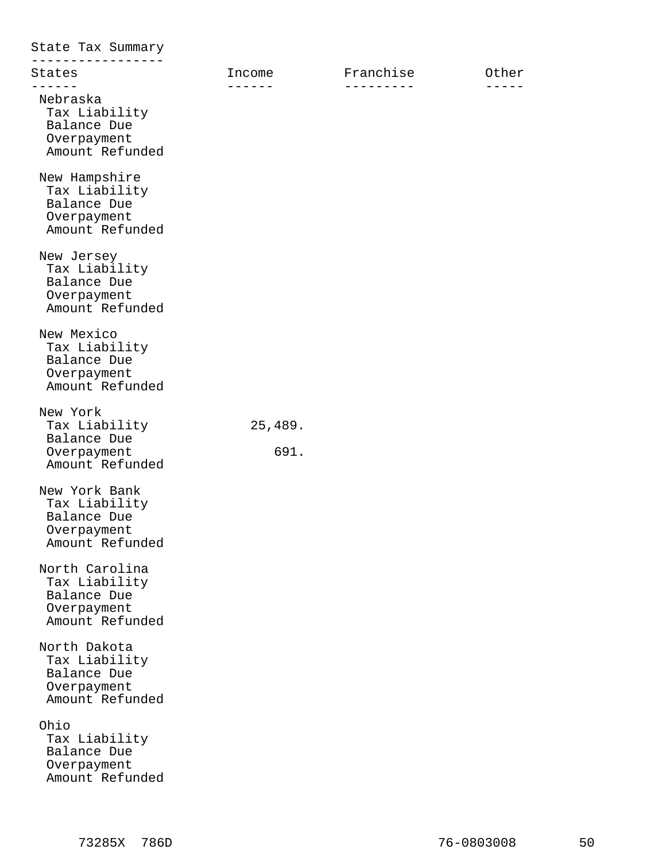| State Tax Summary                                                                |                  |                                |       |
|----------------------------------------------------------------------------------|------------------|--------------------------------|-------|
| States<br>------                                                                 | Income<br>$   -$ | Franchise<br>- - - - - - - - - | Other |
| Nebraska<br>Tax Liability<br>Balance Due<br>Overpayment<br>Amount Refunded       |                  |                                |       |
| New Hampshire<br>Tax Liability<br>Balance Due<br>Overpayment<br>Amount Refunded  |                  |                                |       |
| New Jersey<br>Tax Liability<br>Balance Due<br>Overpayment<br>Amount Refunded     |                  |                                |       |
| New Mexico<br>Tax Liability<br>Balance Due<br>Overpayment<br>Amount Refunded     |                  |                                |       |
| New York<br>Tax Liability<br>Balance Due<br>Overpayment<br>Amount Refunded       | 25,489.<br>691.  |                                |       |
| New York Bank<br>Tax Liability<br>Balance Due<br>Overpayment<br>Amount Refunded  |                  |                                |       |
| North Carolina<br>Tax Liability<br>Balance Due<br>Overpayment<br>Amount Refunded |                  |                                |       |
| North Dakota<br>Tax Liability<br>Balance Due<br>Overpayment<br>Amount Refunded   |                  |                                |       |
| Ohio<br>Tax Liability<br>Balance Due<br>Overpayment<br>Amount Refunded           |                  |                                |       |